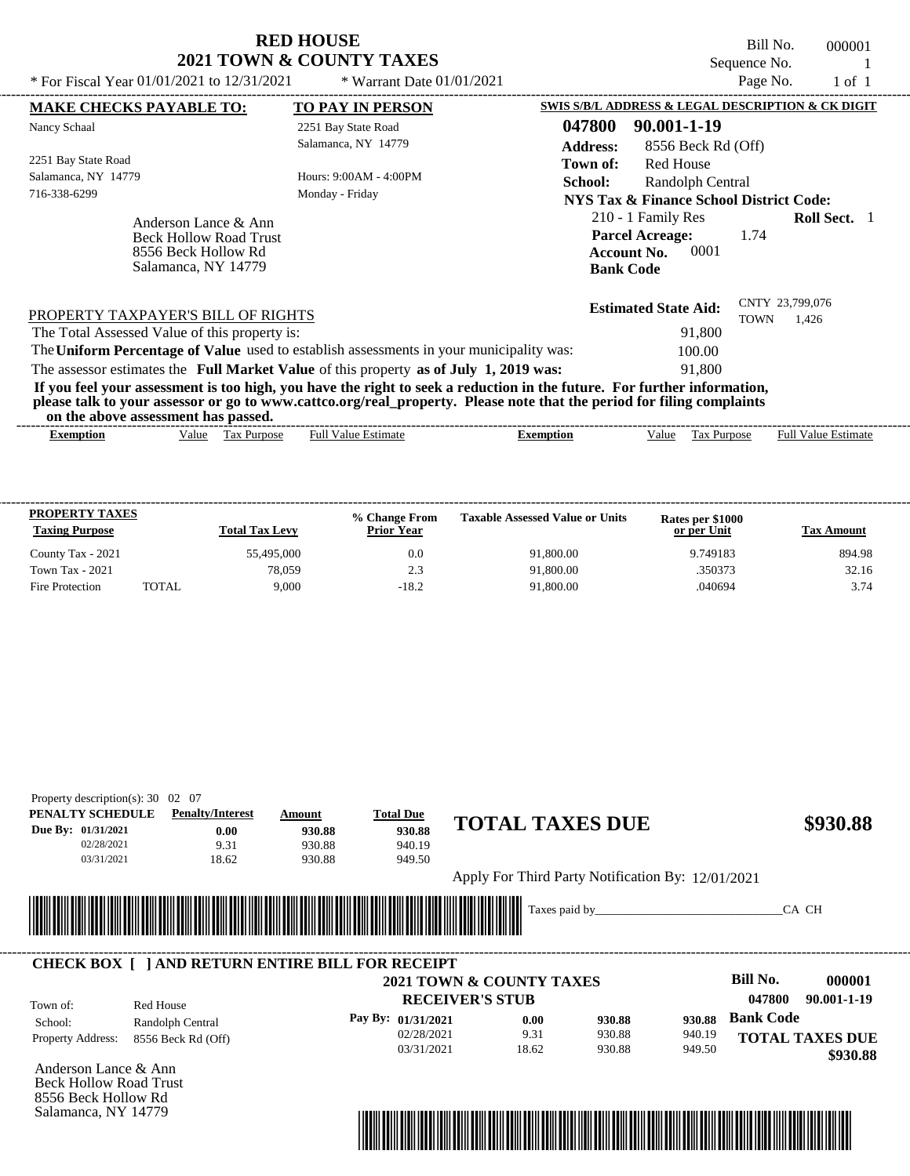Bill No. 000001 Sequence No. 1<br>Page No. 1 of 1

| * For Fiscal Year $01/01/2021$ to $12/31/2021$                                                                                                                                                                                                                                          | * Warrant Date $01/01/2021$                |                           |                                                                                                | Page No.                | 1 of 1              |  |
|-----------------------------------------------------------------------------------------------------------------------------------------------------------------------------------------------------------------------------------------------------------------------------------------|--------------------------------------------|---------------------------|------------------------------------------------------------------------------------------------|-------------------------|---------------------|--|
| <b>MAKE CHECKS PAYABLE TO:</b>                                                                                                                                                                                                                                                          | <b>TO PAY IN PERSON</b>                    |                           | SWIS S/B/L ADDRESS & LEGAL DESCRIPTION & CK DIGIT                                              |                         |                     |  |
| Nancy Schaal                                                                                                                                                                                                                                                                            | 2251 Bay State Road<br>Salamanca, NY 14779 | 047800<br><b>Address:</b> | 90.001-1-19<br>8556 Beck Rd (Off)                                                              |                         |                     |  |
| 2251 Bay State Road<br>Salamanca, NY 14779                                                                                                                                                                                                                                              | Hours: 9:00AM - 4:00PM                     | Town of:                  | Red House                                                                                      |                         |                     |  |
| 716-338-6299                                                                                                                                                                                                                                                                            | Monday - Friday                            | <b>School:</b>            | Randolph Central<br>NYS Tax & Finance School District Code:                                    |                         |                     |  |
| Anderson Lance & Ann<br><b>Beck Hollow Road Trust</b><br>8556 Beck Hollow Rd<br>Salamanca, NY 14779                                                                                                                                                                                     |                                            |                           | 210 - 1 Family Res<br><b>Parcel Acreage:</b><br>0001<br><b>Account No.</b><br><b>Bank Code</b> | 1.74                    | <b>Roll Sect.</b> 1 |  |
| PROPERTY TAXPAYER'S BILL OF RIGHTS<br>The Total Assessed Value of this property is:                                                                                                                                                                                                     |                                            |                           | <b>Estimated State Aid:</b><br>91,800                                                          | CNTY 23,799,076<br>TOWN | 1,426               |  |
| The Uniform Percentage of Value used to establish assessments in your municipality was:                                                                                                                                                                                                 |                                            |                           | 100.00                                                                                         |                         |                     |  |
| The assessor estimates the Full Market Value of this property as of July 1, 2019 was:                                                                                                                                                                                                   |                                            |                           | 91,800                                                                                         |                         |                     |  |
| If you feel your assessment is too high, you have the right to seek a reduction in the future. For further information,<br>please talk to your assessor or go to www.cattco.org/real_property. Please note that the period for filing complaints<br>on the above assessment has passed. |                                            |                           |                                                                                                |                         |                     |  |

| vu uv<br>. аротс азэсээнісні наз разэса. |       |                 |                         |                  |       |                                             |                                        |
|------------------------------------------|-------|-----------------|-------------------------|------------------|-------|---------------------------------------------|----------------------------------------|
| Exemption                                | √alue | l ax<br>Purpose | Estimate<br>Full<br>11C | <b>_xemption</b> | √alue | $\overline{\phantom{a}}$<br>∽urpose<br>- as | - Full <sup>V</sup><br>Estimate<br>alu |
|                                          |       |                 |                         |                  |       |                                             |                                        |

| <b>PROPERTY TAXES</b><br><b>Taxing Purpose</b> |       | <b>Total Tax Levy</b> | % Change From<br><b>Prior Year</b> | <b>Taxable Assessed Value or Units</b> | Rates per \$1000<br>or per Unit | <b>Tax Amount</b> |
|------------------------------------------------|-------|-----------------------|------------------------------------|----------------------------------------|---------------------------------|-------------------|
| County Tax - 2021                              |       | 55,495,000            | 0.0                                | 91,800.00                              | 9.749183                        | 894.98            |
| <b>Town Tax - 2021</b>                         |       | 78,059                | 2.3                                | 91,800.00                              | .350373                         | 32.16             |
| Fire Protection                                | TOTAL | 9.000                 | $-18.2$                            | 91,800.00                              | .040694                         | 3.74              |

| PENALTY SCHEDULE                | <b>Penalty/Interest</b>                                 | Amount                      | <b>Total Due</b>   |                                                   |        |        |                  |                        |
|---------------------------------|---------------------------------------------------------|-----------------------------|--------------------|---------------------------------------------------|--------|--------|------------------|------------------------|
| Due By: 01/31/2021              | 0.00                                                    | 930.88                      | 930.88             | <b>TOTAL TAXES DUE</b>                            |        |        |                  | \$930.88               |
| 02/28/2021                      | 9.31                                                    | 930.88                      | 940.19             |                                                   |        |        |                  |                        |
| 03/31/2021                      | 18.62                                                   | 930.88                      | 949.50             |                                                   |        |        |                  |                        |
|                                 |                                                         |                             |                    | Apply For Third Party Notification By: 12/01/2021 |        |        |                  |                        |
|                                 |                                                         |                             |                    |                                                   |        |        |                  |                        |
|                                 |                                                         | <u> Tanzania (h. 1878).</u> |                    | Taxes paid by                                     |        |        |                  | CA CH                  |
|                                 |                                                         |                             |                    |                                                   |        |        |                  |                        |
|                                 | <b>CHECK BOX [ ] AND RETURN ENTIRE BILL FOR RECEIPT</b> |                             |                    |                                                   |        |        |                  |                        |
|                                 |                                                         |                             |                    |                                                   |        |        |                  |                        |
|                                 |                                                         |                             |                    |                                                   |        |        |                  |                        |
|                                 |                                                         |                             |                    | <b>2021 TOWN &amp; COUNTY TAXES</b>               |        |        | Bill No.         | 000001                 |
|                                 | Red House                                               |                             |                    | <b>RECEIVER'S STUB</b>                            |        |        | 047800           | 90.001-1-19            |
| School:                         | Randolph Central                                        |                             | Pay By: 01/31/2021 | 0.00                                              | 930.88 | 930.88 | <b>Bank Code</b> |                        |
| Property Address:               | 8556 Beck Rd (Off)                                      |                             | 02/28/2021         | 9.31                                              | 930.88 | 940.19 |                  | <b>TOTAL TAXES DUE</b> |
|                                 |                                                         |                             | 03/31/2021         | 18.62                                             | 930.88 | 949.50 |                  | \$930.88               |
| Anderson Lance & Ann            |                                                         |                             |                    |                                                   |        |        |                  |                        |
| <b>Beck Hollow Road Trust</b>   |                                                         |                             |                    |                                                   |        |        |                  |                        |
| Town of:<br>8556 Beck Hollow Rd |                                                         |                             |                    |                                                   |        |        |                  |                        |

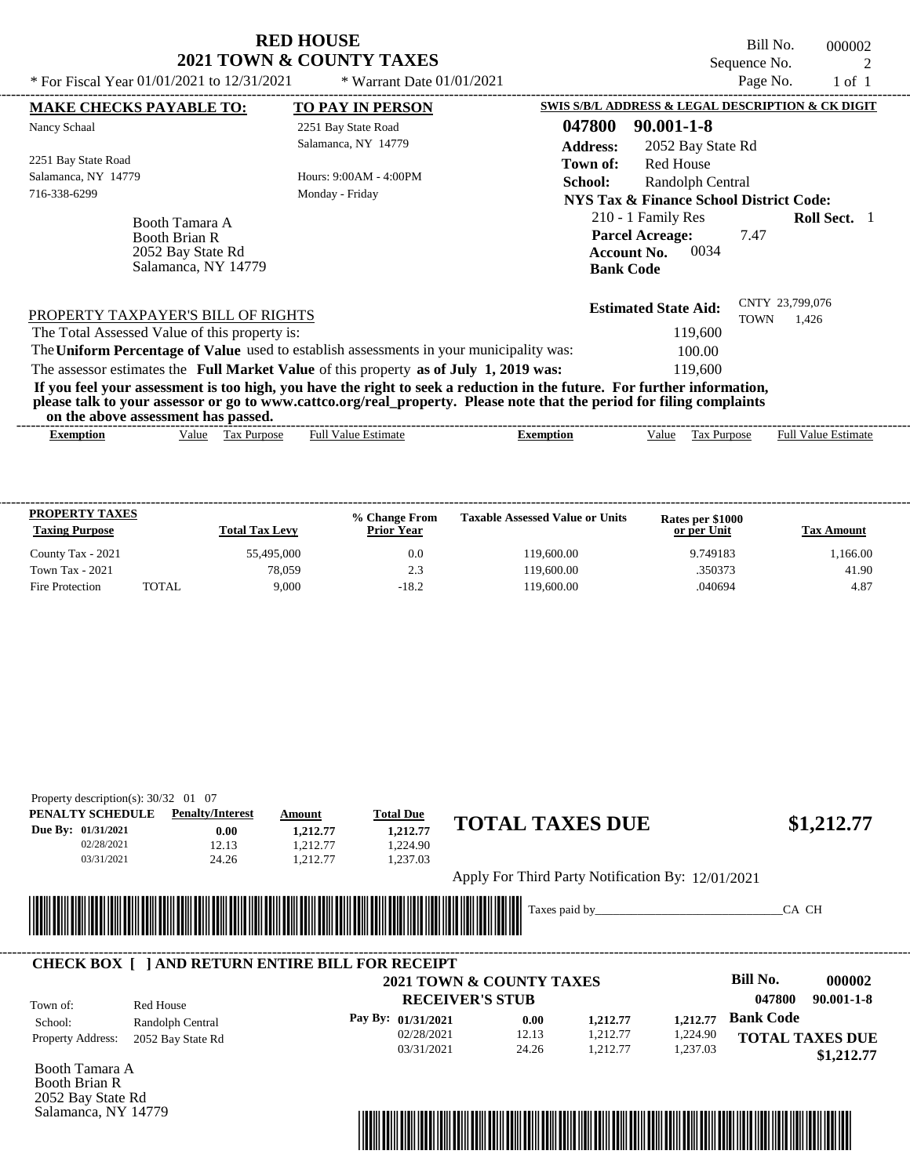| <b>RED HOUSE</b>                    |
|-------------------------------------|
| <b>2021 TOWN &amp; COUNTY TAXES</b> |

Bill No. 000002 Sequence No. 2<br>Page No. 2<br>1 of 1

| * For Fiscal Year 01/01/2021 to 12/31/2021                                         | * Warrant Date $01/01/2021$                                                                                                                                                                                                                      |                                                                                                | Page No.    | $1$ of $1$                 |  |
|------------------------------------------------------------------------------------|--------------------------------------------------------------------------------------------------------------------------------------------------------------------------------------------------------------------------------------------------|------------------------------------------------------------------------------------------------|-------------|----------------------------|--|
| <b>MAKE CHECKS PAYABLE TO:</b>                                                     | <b>TO PAY IN PERSON</b>                                                                                                                                                                                                                          | SWIS S/B/L ADDRESS & LEGAL DESCRIPTION & CK DIGIT                                              |             |                            |  |
| Nancy Schaal                                                                       | 2251 Bay State Road                                                                                                                                                                                                                              | 047800<br>$90.001 - 1 - 8$                                                                     |             |                            |  |
|                                                                                    | Salamanca, NY 14779                                                                                                                                                                                                                              | <b>Address:</b><br>2052 Bay State Rd                                                           |             |                            |  |
| 2251 Bay State Road                                                                |                                                                                                                                                                                                                                                  | <b>Red House</b><br>Town of:                                                                   |             |                            |  |
| Salamanca, NY 14779                                                                | Hours: 9:00AM - 4:00PM                                                                                                                                                                                                                           | School:<br>Randolph Central                                                                    |             |                            |  |
| 716-338-6299                                                                       | Monday - Friday                                                                                                                                                                                                                                  | NYS Tax & Finance School District Code:                                                        |             |                            |  |
| Booth Tamara A<br><b>Booth Brian R</b><br>2052 Bay State Rd<br>Salamanca, NY 14779 |                                                                                                                                                                                                                                                  | 210 - 1 Family Res<br><b>Parcel Acreage:</b><br>0034<br><b>Account No.</b><br><b>Bank Code</b> | 7.47        | <b>Roll Sect.</b> 1        |  |
| PROPERTY TAXPAYER'S BILL OF RIGHTS                                                 |                                                                                                                                                                                                                                                  | <b>Estimated State Aid:</b>                                                                    | <b>TOWN</b> | CNTY 23,799,076<br>1,426   |  |
| The Total Assessed Value of this property is:                                      |                                                                                                                                                                                                                                                  | 119,600                                                                                        |             |                            |  |
|                                                                                    | The Uniform Percentage of Value used to establish assessments in your municipality was:                                                                                                                                                          | 100.00                                                                                         |             |                            |  |
|                                                                                    | The assessor estimates the Full Market Value of this property as of July 1, 2019 was:                                                                                                                                                            | 119,600                                                                                        |             |                            |  |
| on the above assessment has passed.                                                | If you feel your assessment is too high, you have the right to seek a reduction in the future. For further information,<br>please talk to your assessor or go to www.cattco.org/real_property. Please note that the period for filing complaints |                                                                                                |             |                            |  |
| Value Tax Purpose<br>Exemption                                                     | <b>Full Value Estimate</b>                                                                                                                                                                                                                       | <b>Exemption</b><br>Value                                                                      | Tax Purpose | <b>Full Value Estimate</b> |  |

| <b>PROPERTY TAXES</b><br><b>Taxing Purpose</b> |              | <b>Total Tax Levy</b> | % Change From<br><b>Prior Year</b> | <b>Taxable Assessed Value or Units</b> | Rates per \$1000<br>or per Unit | <b>Tax Amount</b> |
|------------------------------------------------|--------------|-----------------------|------------------------------------|----------------------------------------|---------------------------------|-------------------|
| County Tax - 2021                              |              | 55,495,000            | 0.0                                | 119.600.00                             | 9.749183                        | 166.00            |
| <b>Town Tax - 2021</b>                         |              | 78.059                | 2.3                                | 119,600.00                             | .350373                         | 41.90             |
| Fire Protection                                | <b>TOTAL</b> | 9.000                 | $-18.2$                            | 119,600.00                             | .040694                         | 4.87              |

| PENALTY SCHEDULE              | <b>Penalty/Interest</b>                                 | Amount                    | <b>Total Due</b>       | <b>TOTAL TAXES DUE</b>                            |          |                            |
|-------------------------------|---------------------------------------------------------|---------------------------|------------------------|---------------------------------------------------|----------|----------------------------|
| Due By: 01/31/2021            | 0.00                                                    | 1,212.77                  | 1,212.77               |                                                   |          | \$1,212.77                 |
| 02/28/2021                    | 12.13                                                   | 1.212.77                  | 1,224.90               |                                                   |          |                            |
| 03/31/2021                    | 24.26                                                   | 1.212.77                  | 1.237.03               |                                                   |          |                            |
|                               |                                                         |                           |                        | Apply For Third Party Notification By: 12/01/2021 |          |                            |
|                               |                                                         |                           |                        |                                                   |          |                            |
|                               |                                                         |                           |                        | Taxes paid by                                     |          | CA CH                      |
|                               |                                                         | <u> Harry Harry Harry</u> |                        |                                                   |          |                            |
|                               |                                                         |                           |                        |                                                   |          |                            |
|                               | <b>CHECK BOX     AND RETURN ENTIRE BILL FOR RECEIPT</b> |                           |                        | <b>2021 TOWN &amp; COUNTY TAXES</b>               |          | Bill No.<br>000002         |
|                               |                                                         |                           | <b>RECEIVER'S STUB</b> |                                                   |          | 047800<br>$90.001 - 1 - 8$ |
| School:                       | Red House                                               |                           | Pay By: 01/31/2021     | 0.00<br>1,212.77                                  | 1,212.77 | <b>Bank Code</b>           |
| Town of:<br>Property Address: | Randolph Central<br>2052 Bay State Rd                   |                           | 02/28/2021             | 12.13<br>1,212.77                                 | 1,224.90 | <b>TOTAL TAXES DUE</b>     |

Booth Tamara A Booth Brian R 2052 Bay State Rd Salamanca, NY 14779

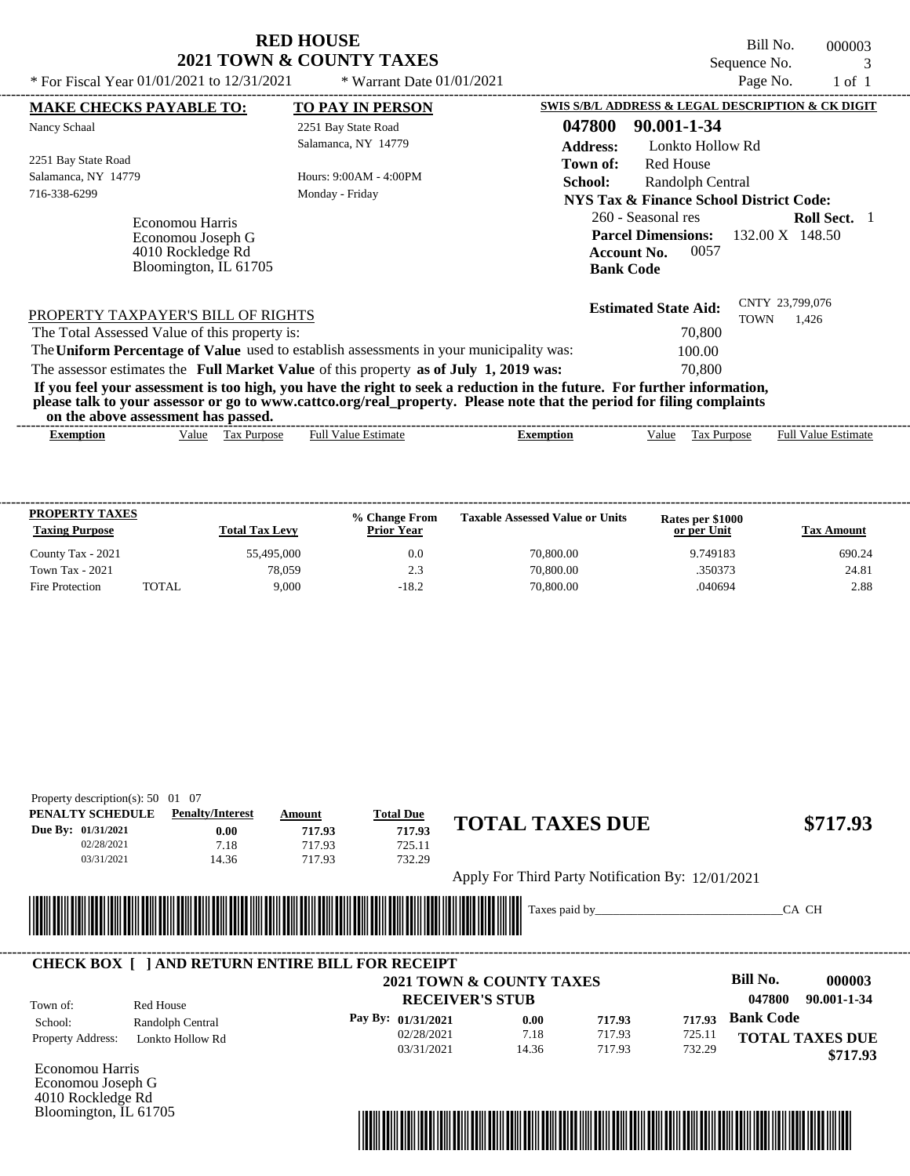Bill No. 000003 Sequence No. 3<br>Page No. 3<br>1 of 1

| * For Fiscal Year $01/01/2021$ to $12/31/2021$                                                                                                                                                                                                                                          | * Warrant Date $01/01/2021$                 | Page No.<br>$1$ of $1$                                                                                                                   |
|-----------------------------------------------------------------------------------------------------------------------------------------------------------------------------------------------------------------------------------------------------------------------------------------|---------------------------------------------|------------------------------------------------------------------------------------------------------------------------------------------|
| <b>MAKE CHECKS PAYABLE TO:</b>                                                                                                                                                                                                                                                          | <b>TO PAY IN PERSON</b>                     | SWIS S/B/L ADDRESS & LEGAL DESCRIPTION & CK DIGIT                                                                                        |
| Nancy Schaal                                                                                                                                                                                                                                                                            | 2251 Bay State Road<br>Salamanca, NY 14779  | 047800<br>90.001-1-34<br><b>Address:</b><br>Lonkto Hollow Rd                                                                             |
| 2251 Bay State Road<br>Salamanca, NY 14779<br>716-338-6299                                                                                                                                                                                                                              | Hours: $9:00AM - 4:00PM$<br>Monday - Friday | Red House<br>Town of:<br><b>School:</b><br>Randolph Central<br>NYS Tax & Finance School District Code:                                   |
| Economou Harris<br>Economou Joseph G<br>4010 Rockledge Rd<br>Bloomington, IL 61705                                                                                                                                                                                                      |                                             | 260 - Seasonal res<br><b>Roll Sect.</b> 1<br><b>Parcel Dimensions:</b> 132.00 X 148.50<br>0057<br><b>Account No.</b><br><b>Bank Code</b> |
| PROPERTY TAXPAYER'S BILL OF RIGHTS<br>The Total Assessed Value of this property is:                                                                                                                                                                                                     |                                             | CNTY 23,799,076<br><b>Estimated State Aid:</b><br><b>TOWN</b><br>1,426<br>70,800                                                         |
| The Uniform Percentage of Value used to establish assessments in your municipality was:<br>The assessor estimates the Full Market Value of this property as of July 1, 2019 was:                                                                                                        |                                             | 100.00<br>70,800                                                                                                                         |
| If you feel your assessment is too high, you have the right to seek a reduction in the future. For further information,<br>please talk to your assessor or go to www.cattco.org/real_property. Please note that the period for filing complaints<br>on the above assessment has passed. |                                             |                                                                                                                                          |

| $\overline{\phantom{a}}$<br>- Full <sup>V</sup><br>√alue<br>alue<br>Estimate<br>Estimate<br><b>Purpose</b><br>lax<br>alu<br><b>Purpose</b><br>Full<br>Exemption<br><b>_xemption</b> |
|-------------------------------------------------------------------------------------------------------------------------------------------------------------------------------------|
|                                                                                                                                                                                     |

| <b>PROPERTY TAXES</b><br><b>Taxing Purpose</b> |       | <b>Total Tax Levy</b> | % Change From<br><b>Prior Year</b> | <b>Taxable Assessed Value or Units</b> | Rates per \$1000<br>or per Unit | Tax Amount |
|------------------------------------------------|-------|-----------------------|------------------------------------|----------------------------------------|---------------------------------|------------|
| County Tax - 2021                              |       | 55.495,000            | 0.0                                | 70,800.00                              | 9.749183                        | 690.24     |
| <b>Town Tax - 2021</b>                         |       | 78.059                | 2.3                                | 70,800.00                              | .350373                         | 24.81      |
| Fire Protection                                | TOTAL | 9.000                 | $-18.2$                            | 70,800.00                              | .040694                         | 2.88       |

| Property description(s): $50 \quad 01 \quad 07$ |                         |        |                  |                                                   |          |  |  |  |
|-------------------------------------------------|-------------------------|--------|------------------|---------------------------------------------------|----------|--|--|--|
| PENALTY SCHEDULE                                | <b>Penalty/Interest</b> | Amount | <b>Total Due</b> | <b>TOTAL TAXES DUE</b>                            |          |  |  |  |
| Due By: 01/31/2021                              | 0.00                    | 717.93 | 717.93           |                                                   | \$717.93 |  |  |  |
| 02/28/2021                                      | 7.18                    | 717.93 | 725.11           |                                                   |          |  |  |  |
| 03/31/2021                                      | 14.36                   | 717.93 | 732.29           |                                                   |          |  |  |  |
|                                                 |                         |        |                  | Apply For Third Party Notification By: 12/01/2021 |          |  |  |  |
|                                                 | CA CH<br>Taxes paid by  |        |                  |                                                   |          |  |  |  |
|                                                 |                         |        |                  |                                                   |          |  |  |  |

|                          |                  | <b>CHECK BOX     AND RETURN ENTIRE BILL FOR RECEIPT</b> |                          |        |        |                        |
|--------------------------|------------------|---------------------------------------------------------|--------------------------|--------|--------|------------------------|
|                          |                  |                                                         | 2021 TOWN & COUNTY TAXES |        |        | Bill No.<br>000003     |
| Town of:                 | Red House        |                                                         | <b>RECEIVER'S STUB</b>   |        |        | 90.001-1-34<br>047800  |
| School:                  | Randolph Central | Pay By: $01/31/2021$                                    | 0.00                     | 717.93 | 717.93 | <b>Bank Code</b>       |
| <b>Property Address:</b> | Lonkto Hollow Rd | 02/28/2021                                              | 7.18                     | 717.93 | 725.11 | <b>TOTAL TAXES DUE</b> |
|                          |                  | 03/31/2021                                              | 14.36                    | 717.93 | 732.29 | \$717.93               |

Economou Harris Economou Joseph G 4010 Rockledge Rd Bloomington, IL 61705

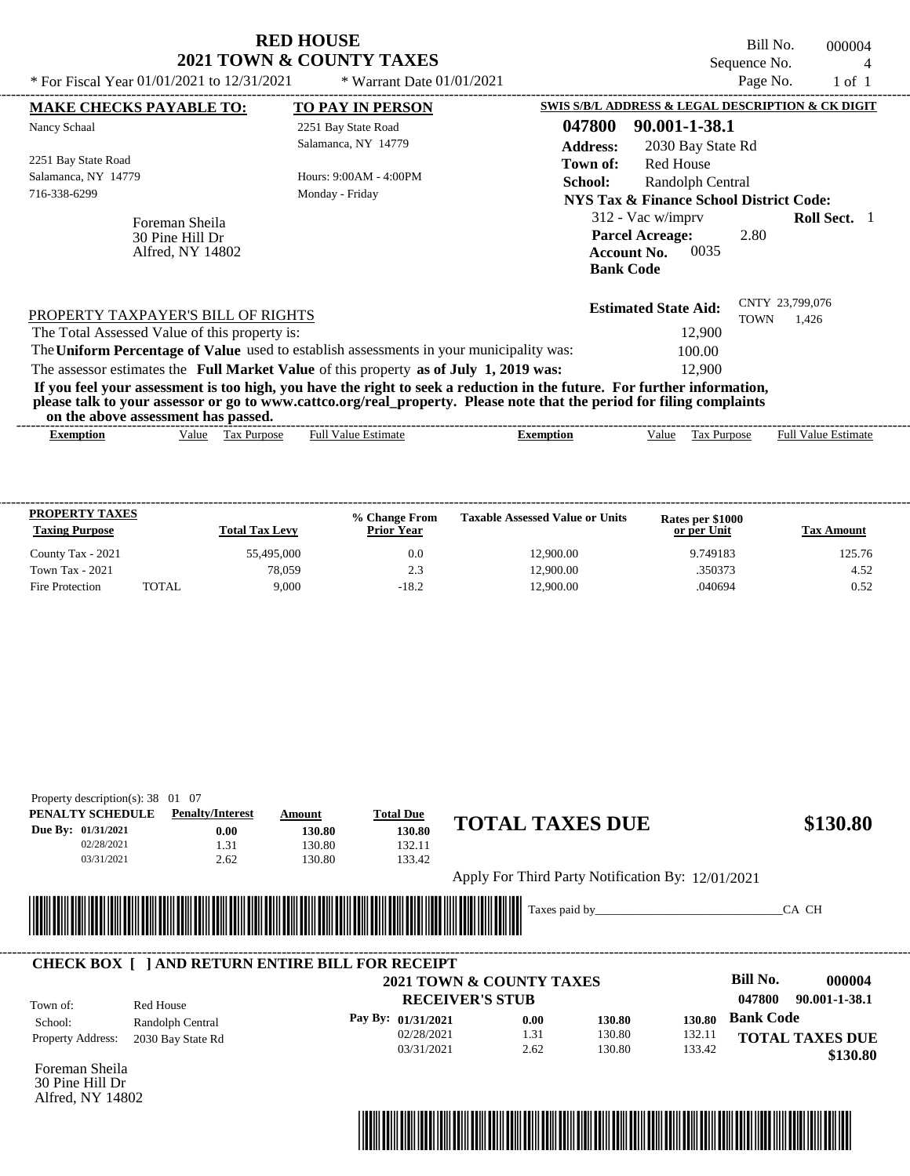|                                                       | <b>RED HOUSE</b>                                                                                                                                                                                                                                 |                                                                                         |                   | Bill No.                       | 000004              |  |
|-------------------------------------------------------|--------------------------------------------------------------------------------------------------------------------------------------------------------------------------------------------------------------------------------------------------|-----------------------------------------------------------------------------------------|-------------------|--------------------------------|---------------------|--|
|                                                       | 2021 TOWN & COUNTY TAXES                                                                                                                                                                                                                         |                                                                                         |                   | Sequence No.                   |                     |  |
| * For Fiscal Year 01/01/2021 to 12/31/2021            | * Warrant Date 01/01/2021                                                                                                                                                                                                                        |                                                                                         |                   | Page No.                       | $1$ of $1$          |  |
| <b>MAKE CHECKS PAYABLE TO:</b>                        | <b>TO PAY IN PERSON</b>                                                                                                                                                                                                                          | SWIS S/B/L ADDRESS & LEGAL DESCRIPTION & CK DIGIT                                       |                   |                                |                     |  |
| Nancy Schaal                                          | 2251 Bay State Road                                                                                                                                                                                                                              | 047800                                                                                  | 90.001-1-38.1     |                                |                     |  |
|                                                       | Salamanca, NY 14779                                                                                                                                                                                                                              | <b>Address:</b>                                                                         | 2030 Bay State Rd |                                |                     |  |
| 2251 Bay State Road                                   |                                                                                                                                                                                                                                                  | Town of:                                                                                | <b>Red House</b>  |                                |                     |  |
| Salamanca, NY 14779                                   | Hours: 9:00AM - 4:00PM                                                                                                                                                                                                                           | School:                                                                                 | Randolph Central  |                                |                     |  |
| 716-338-6299                                          | Monday - Friday                                                                                                                                                                                                                                  | <b>NYS Tax &amp; Finance School District Code:</b>                                      |                   |                                |                     |  |
| Foreman Sheila<br>30 Pine Hill Dr<br>Alfred, NY 14802 |                                                                                                                                                                                                                                                  | $312$ - Vac w/imprv<br><b>Parcel Acreage:</b><br><b>Account No.</b><br><b>Bank Code</b> | 0035              | 2.80                           | <b>Roll Sect.</b> 1 |  |
| PROPERTY TAXPAYER'S BILL OF RIGHTS                    |                                                                                                                                                                                                                                                  | <b>Estimated State Aid:</b>                                                             |                   | CNTY 23,799,076<br><b>TOWN</b> | 1.426               |  |
| The Total Assessed Value of this property is:         |                                                                                                                                                                                                                                                  |                                                                                         | 12,900            |                                |                     |  |
|                                                       | The Uniform Percentage of Value used to establish assessments in your municipality was:                                                                                                                                                          |                                                                                         | 100.00            |                                |                     |  |
|                                                       | The assessor estimates the Full Market Value of this property as of July 1, 2019 was:                                                                                                                                                            |                                                                                         | 12,900            |                                |                     |  |
| on the above assessment has passed.                   | If you feel your assessment is too high, you have the right to seek a reduction in the future. For further information,<br>please talk to your assessor or go to www.cattco.org/real_property. Please note that the period for filing complaints |                                                                                         |                   |                                |                     |  |
|                                                       |                                                                                                                                                                                                                                                  |                                                                                         |                   |                                |                     |  |

| xemptior. | √alue | l`o v<br>Purpose<br>ιαλ | Full<br>$\vee$ alue $\perp$<br>∠stimate | xemption | ∨alue | <b>Purpos</b><br><b>D</b><br>.<br>l da | Full<br>alue<br>Estimate |
|-----------|-------|-------------------------|-----------------------------------------|----------|-------|----------------------------------------|--------------------------|
|           |       |                         |                                         |          |       |                                        |                          |

| <b>PROPERTY TAXES</b><br><b>Taxing Purpose</b> |       | <b>Total Tax Levy</b> | % Change From<br><b>Prior Year</b> | <b>Taxable Assessed Value or Units</b> | Rates per \$1000<br>or per Unit | Tax Amount |
|------------------------------------------------|-------|-----------------------|------------------------------------|----------------------------------------|---------------------------------|------------|
| County Tax - 2021                              |       | 55,495,000            | 0.0                                | 12,900.00                              | 9.749183                        | 125.76     |
| Town Tax - 2021                                |       | 78.059                | 2.3                                | 12,900.00                              | .350373                         | 4.52       |
| Fire Protection                                | TOTAL | 9.000                 | $-18.2$                            | 12,900.00                              | .040694                         | 0.52       |

| PENALTY SCHEDULE             | <b>Penalty/Interest</b>               |      | Amount | <b>Total Due</b>                                                                                                      |                                                   |               |        |                  |                         |
|------------------------------|---------------------------------------|------|--------|-----------------------------------------------------------------------------------------------------------------------|---------------------------------------------------|---------------|--------|------------------|-------------------------|
| Due By: 01/31/2021           |                                       | 0.00 | 130.80 | 130.80                                                                                                                | <b>TOTAL TAXES DUE</b>                            |               |        |                  | \$130.80                |
| 02/28/2021                   |                                       | 1.31 | 130.80 | 132.11                                                                                                                |                                                   |               |        |                  |                         |
| 03/31/2021                   |                                       | 2.62 | 130.80 | 133.42                                                                                                                |                                                   |               |        |                  |                         |
|                              |                                       |      |        |                                                                                                                       | Apply For Third Party Notification By: 12/01/2021 |               |        |                  |                         |
|                              |                                       |      |        |                                                                                                                       |                                                   |               |        |                  |                         |
|                              |                                       |      |        |                                                                                                                       |                                                   |               |        |                  |                         |
|                              |                                       |      |        |                                                                                                                       |                                                   | Taxes paid by |        |                  | CA CH                   |
|                              |                                       |      |        | <u> Tanzania di Baratta di Baratta di Baratta di Baratta di Baratta di Baratta di Baratta di Baratta di Baratta d</u> |                                                   |               |        |                  |                         |
|                              |                                       |      |        |                                                                                                                       |                                                   |               |        |                  |                         |
|                              |                                       |      |        | <b>CHECK BOX   JAND RETURN ENTIRE BILL FOR RECEIPT</b>                                                                |                                                   |               |        | <b>Bill No.</b>  |                         |
|                              |                                       |      |        | <b>RECEIVER'S STUB</b>                                                                                                | <b>2021 TOWN &amp; COUNTY TAXES</b>               |               |        | 047800           | 000004<br>90.001-1-38.1 |
| Town of:                     | Red House                             |      |        | Pay By: 01/31/2021                                                                                                    | 0.00                                              | 130.80        | 130.80 | <b>Bank Code</b> |                         |
| School:<br>Property Address: | Randolph Central<br>2030 Bay State Rd |      |        | 02/28/2021                                                                                                            | 1.31                                              | 130.80        | 132.11 |                  | <b>TOTAL TAXES DUE</b>  |



30 Pine Hill Dr Alfred, NY 14802

# **RED HOUSE**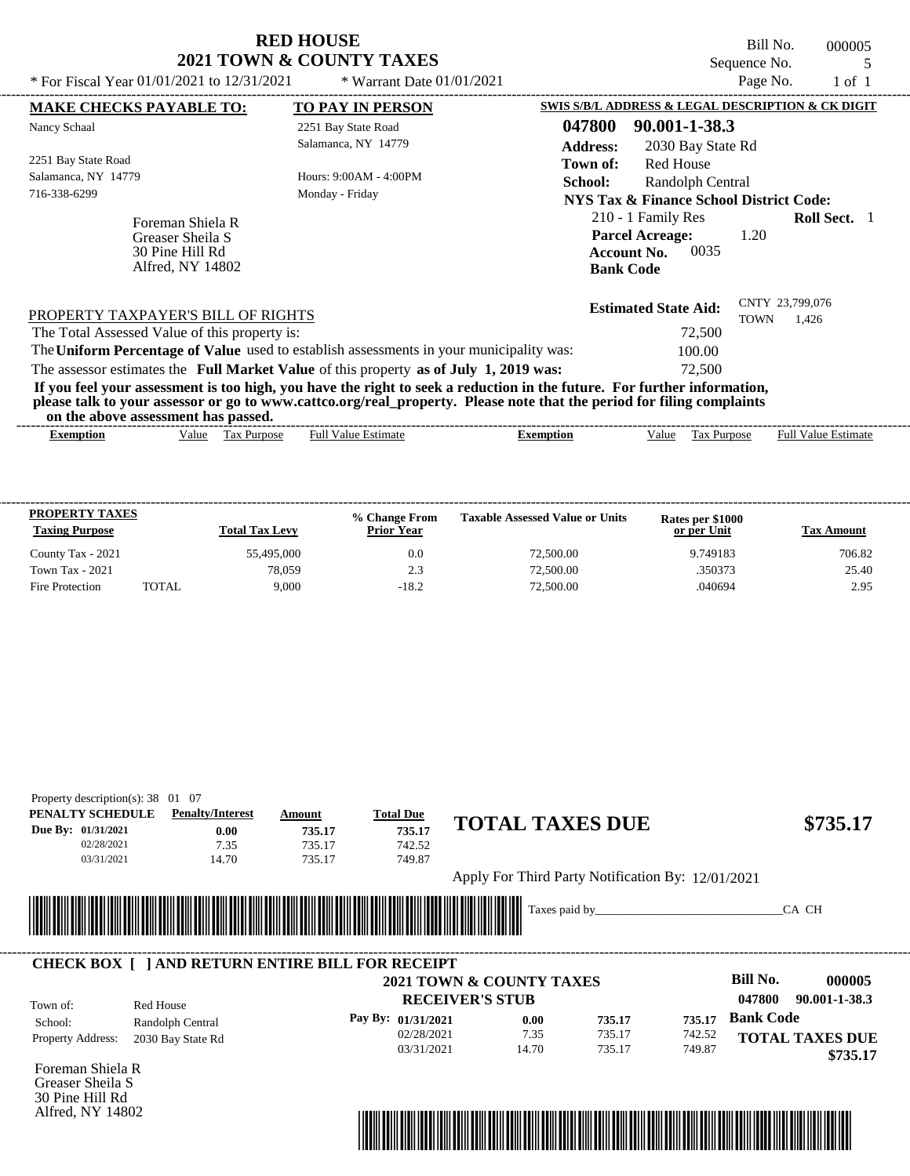| <b>RED HOUSE</b>         |  |
|--------------------------|--|
| 2021 TOWN & COUNTY TAXES |  |

Bill No. 000005<br>
uence No. 5<br>
Page No. 1 of 1 Sequence No.<br>Page No.

| * For Fiscal Year 01/01/2021 to 12/31/2021                                          | * Warrant Date $01/01/2021$                                                             |                                                                                                                                                                                                                                                  | Page No.                                | $1$ of $1$                 |
|-------------------------------------------------------------------------------------|-----------------------------------------------------------------------------------------|--------------------------------------------------------------------------------------------------------------------------------------------------------------------------------------------------------------------------------------------------|-----------------------------------------|----------------------------|
| <b>MAKE CHECKS PAYABLE TO:</b>                                                      | <b>TO PAY IN PERSON</b>                                                                 | SWIS S/B/L ADDRESS & LEGAL DESCRIPTION & CK DIGIT                                                                                                                                                                                                |                                         |                            |
| Nancy Schaal                                                                        | 2251 Bay State Road<br>Salamanca, NY 14779                                              | 047800<br>90.001-1-38.3<br><b>Address:</b><br>2030 Bay State Rd                                                                                                                                                                                  |                                         |                            |
| 2251 Bay State Road<br>Salamanca, NY 14779<br>716-338-6299                          | Hours: 9:00AM - 4:00PM<br>Monday - Friday                                               | <b>Red House</b><br>Town of:<br>School:<br>Randolph Central<br>NYS Tax & Finance School District Code:                                                                                                                                           |                                         |                            |
| Foreman Shiela R<br>Greaser Sheila S<br>30 Pine Hill Rd<br>Alfred, NY 14802         |                                                                                         | 210 - 1 Family Res<br><b>Parcel Acreage:</b><br>0035<br><b>Account No.</b><br><b>Bank Code</b>                                                                                                                                                   | 1.20                                    | <b>Roll Sect.</b> 1        |
| PROPERTY TAXPAYER'S BILL OF RIGHTS<br>The Total Assessed Value of this property is: |                                                                                         | <b>Estimated State Aid:</b><br>72,500                                                                                                                                                                                                            | CNTY 23,799,076<br><b>TOWN</b><br>1.426 |                            |
|                                                                                     | The Uniform Percentage of Value used to establish assessments in your municipality was: | 100.00                                                                                                                                                                                                                                           |                                         |                            |
|                                                                                     | The assessor estimates the Full Market Value of this property as of July 1, 2019 was:   | 72,500                                                                                                                                                                                                                                           |                                         |                            |
| on the above assessment has passed.                                                 |                                                                                         | If you feel your assessment is too high, you have the right to seek a reduction in the future. For further information,<br>please talk to your assessor or go to www.cattco.org/real_property. Please note that the period for filing complaints |                                         |                            |
| Exemption                                                                           | <b>Full Value Estimate</b><br>Value Tax Purpose                                         | Tax Purpose<br><b>Exemption</b><br>Value                                                                                                                                                                                                         |                                         | <b>Full Value Estimate</b> |

| <b>PROPERTY TAXES</b><br><b>Taxing Purpose</b> |       | <b>Total Tax Levy</b> | % Change From<br><b>Prior Year</b> | <b>Taxable Assessed Value or Units</b> | Rates per \$1000<br>or per Unit | Tax Amount |
|------------------------------------------------|-------|-----------------------|------------------------------------|----------------------------------------|---------------------------------|------------|
| County Tax - 2021                              |       | 55,495,000            | 0.0                                | 72,500.00                              | 9.749183                        | 706.82     |
| <b>Town Tax - 2021</b>                         |       | 78.059                | 2.3                                | 72,500.00                              | .350373                         | 25.40      |
| Fire Protection                                | TOTAL | 9.000                 | $-18.2$                            | 72,500.00                              | .040694                         | 2.95       |

| PENALTY SCHEDULE                                                    | <b>Penalty/Interest</b>                                       | Amount                   | <b>Total Due</b> |                                                   |                         |
|---------------------------------------------------------------------|---------------------------------------------------------------|--------------------------|------------------|---------------------------------------------------|-------------------------|
| Due By: 01/31/2021                                                  |                                                               | 735.17<br>0.00<br>735.17 |                  | <b>TOTAL TAXES DUE</b>                            | \$735.17                |
| 02/28/2021                                                          | 7.35                                                          | 735.17                   | 742.52           |                                                   |                         |
| 03/31/2021                                                          | 14.70                                                         | 735.17                   | 749.87           |                                                   |                         |
|                                                                     |                                                               |                          |                  | Apply For Third Party Notification By: 12/01/2021 |                         |
|                                                                     |                                                               |                          |                  |                                                   |                         |
| WWW                                                                 | <u> 1989 - Andrea Stadt British, fransk politik (d. 1989)</u> |                          |                  | Taxes paid by                                     | CA CH                   |
|                                                                     |                                                               |                          |                  |                                                   |                         |
|                                                                     |                                                               |                          |                  | 2021 TOWN & COUNTY TAXES                          | Bill No.<br>000005      |
| <b>CHECK BOX [ ] AND RETURN ENTIRE BILL FOR RECEIPT</b><br>Town of: | Red House                                                     |                          |                  | <b>RECEIVER'S STUB</b>                            | 047800<br>90.001-1-38.3 |

| School:                  | Randolph Central  | Pay By: 01/31/2021 | 0.00  | 735.17 | 735.17 | <b>Bank Code</b>       |
|--------------------------|-------------------|--------------------|-------|--------|--------|------------------------|
| <b>Property Address:</b> | 2030 Bay State Rd | 02/28/2021         | 7.35  | 735.17 | 742.52 | <b>TOTAL TAXES DUE</b> |
|                          |                   | 03/31/2021         | 14.70 | 735.17 | 749.87 | \$735.17               |
| Foreman Shiela R         |                   |                    |       |        |        |                        |

Foreman Shiela R Greaser Sheila S 30 Pine Hill Rd Alfred, NY 14802

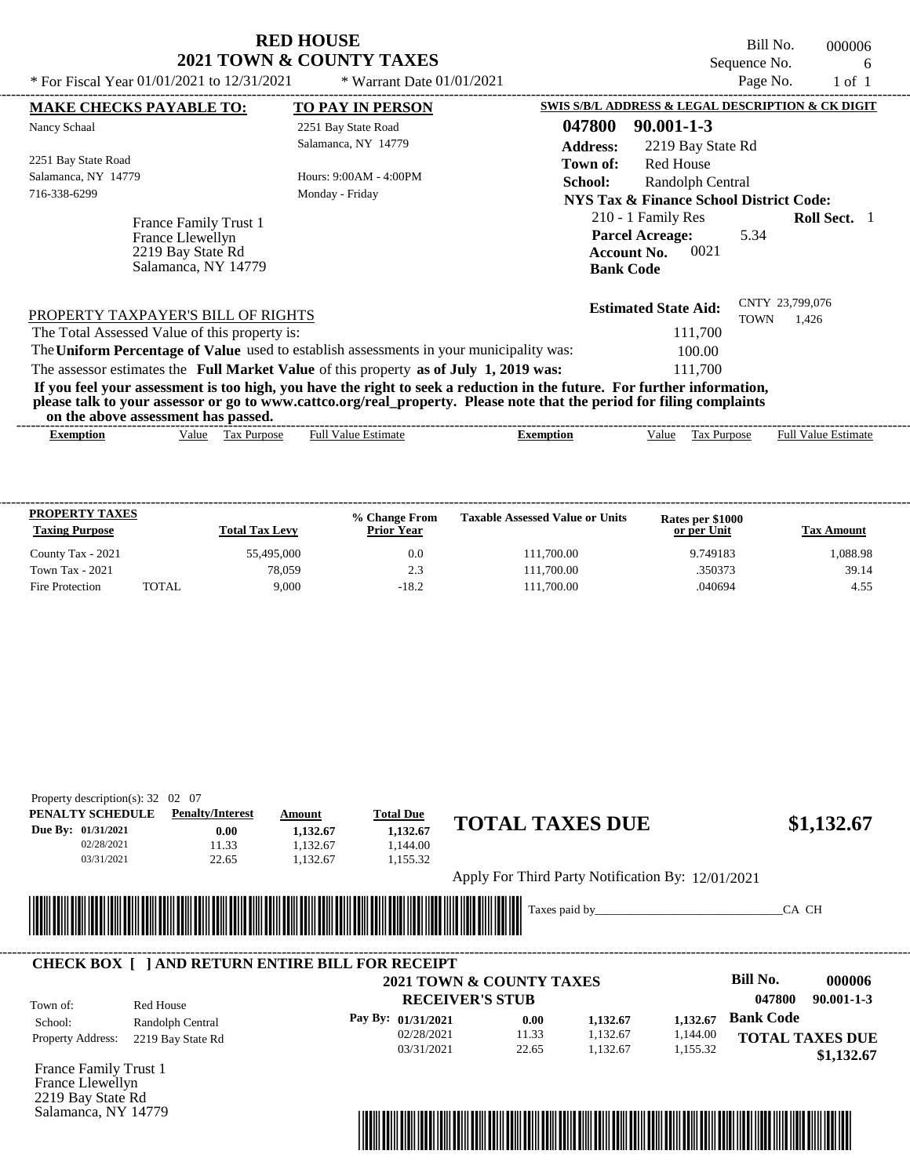| <b>RED HOUSE</b>                    |  |  |  |  |  |  |
|-------------------------------------|--|--|--|--|--|--|
| <b>2021 TOWN &amp; COUNTY TAXES</b> |  |  |  |  |  |  |

Bill No. 000006 Sequence No. 6<br>Page No. 1 of 1

| * For Fiscal Year 01/01/2021 to 12/31/2021                                            | * Warrant Date $01/01/2021$                                                             | Page No.<br>$1$ of $1$                                                                                                                                                                                                                           |
|---------------------------------------------------------------------------------------|-----------------------------------------------------------------------------------------|--------------------------------------------------------------------------------------------------------------------------------------------------------------------------------------------------------------------------------------------------|
| <b>MAKE CHECKS PAYABLE TO:</b>                                                        | <b>TO PAY IN PERSON</b>                                                                 | SWIS S/B/L ADDRESS & LEGAL DESCRIPTION & CK DIGIT                                                                                                                                                                                                |
| Nancy Schaal                                                                          | 2251 Bay State Road<br>Salamanca, NY 14779                                              | 047800<br>$90.001 - 1 - 3$<br><b>Address:</b><br>2219 Bay State Rd                                                                                                                                                                               |
| 2251 Bay State Road<br>Salamanca, NY 14779<br>716-338-6299                            | Hours: 9:00AM - 4:00PM<br>Monday - Friday                                               | <b>Red House</b><br>Town of:<br>School:<br>Randolph Central<br><b>NYS Tax &amp; Finance School District Code:</b>                                                                                                                                |
| France Family Trust 1<br>France Llewellyn<br>2219 Bay State Rd<br>Salamanca, NY 14779 |                                                                                         | 210 - 1 Family Res<br><b>Roll Sect.</b> 1<br><b>Parcel Acreage:</b><br>5.34<br>0021<br><b>Account No.</b><br><b>Bank Code</b>                                                                                                                    |
| PROPERTY TAXPAYER'S BILL OF RIGHTS<br>The Total Assessed Value of this property is:   |                                                                                         | CNTY 23,799,076<br><b>Estimated State Aid:</b><br><b>TOWN</b><br>1.426<br>111,700                                                                                                                                                                |
|                                                                                       | The Uniform Percentage of Value used to establish assessments in your municipality was: | 100.00                                                                                                                                                                                                                                           |
|                                                                                       | The assessor estimates the Full Market Value of this property as of July 1, 2019 was:   | 111.700                                                                                                                                                                                                                                          |
| on the above assessment has passed.                                                   |                                                                                         | If you feel your assessment is too high, you have the right to seek a reduction in the future. For further information,<br>please talk to your assessor or go to www.cattco.org/real_property. Please note that the period for filing complaints |
| <b>Exemption</b>                                                                      | <b>Full Value Estimate</b><br>Value Tax Purpose                                         | <b>Full Value Estimate</b><br>Tax Purpose<br><b>Exemption</b><br>Value                                                                                                                                                                           |

| <b>PROPERTY TAXES</b><br><b>Taxing Purpose</b> |       | <b>Total Tax Levy</b> | <b>% Change From</b><br><b>Prior Year</b> | <b>Taxable Assessed Value or Units</b> | Rates per \$1000<br>or per Unit | <b>Tax Amount</b> |
|------------------------------------------------|-------|-----------------------|-------------------------------------------|----------------------------------------|---------------------------------|-------------------|
| County Tax - 2021                              |       | 55,495,000            | 0.0                                       | 111,700.00                             | 9.749183                        | 1.088.98          |
| <b>Town Tax - 2021</b>                         |       | 78.059                | 2.3                                       | 111,700.00                             | .350373                         | 39.14             |
| Fire Protection                                | TOTAL | 9.000                 | $-18.2$                                   | 111,700.00                             | .040694                         | 4.55              |

| PENALTY SCHEDULE   | <b>Penalty/Interest</b>                                | Amount                      | <b>Total Due</b>                    |               | <b>TOTAL TAXES DUE</b>                            |          |                            |
|--------------------|--------------------------------------------------------|-----------------------------|-------------------------------------|---------------|---------------------------------------------------|----------|----------------------------|
| Due By: 01/31/2021 | 0.00                                                   | 1,132.67                    | 1,132.67                            |               |                                                   |          | \$1,132.67                 |
| 02/28/2021         | 11.33                                                  | 1.132.67                    | 1.144.00                            |               |                                                   |          |                            |
| 03/31/2021         | 22.65                                                  | 1.132.67                    | 1,155.32                            |               |                                                   |          |                            |
|                    |                                                        |                             |                                     |               | Apply For Third Party Notification By: 12/01/2021 |          |                            |
|                    |                                                        |                             |                                     |               |                                                   |          |                            |
|                    |                                                        |                             |                                     |               |                                                   |          |                            |
|                    |                                                        |                             |                                     | Taxes paid by |                                                   |          | CA CH                      |
|                    | <u> Hilling</u>                                        | <u> Tanzania (h. 1878).</u> |                                     |               |                                                   |          |                            |
|                    |                                                        |                             |                                     |               |                                                   |          |                            |
|                    | <b>CHECK BOX   JAND RETURN ENTIRE BILL FOR RECEIPT</b> |                             |                                     |               |                                                   |          |                            |
|                    |                                                        |                             | <b>2021 TOWN &amp; COUNTY TAXES</b> |               |                                                   |          | Bill No.<br>000006         |
| Town of:           | Red House                                              |                             | <b>RECEIVER'S STUB</b>              |               |                                                   |          | 047800<br>$90.001 - 1 - 3$ |
| School:            |                                                        |                             | Pay By: 01/31/2021                  | 0.00          | 1,132.67                                          | 1,132.67 | <b>Bank Code</b>           |
| Property Address:  | Randolph Central<br>2219 Bay State Rd                  |                             | 02/28/2021                          | 11.33         | 1,132.67                                          | 1,144.00 | <b>TOTAL TAXES DUE</b>     |



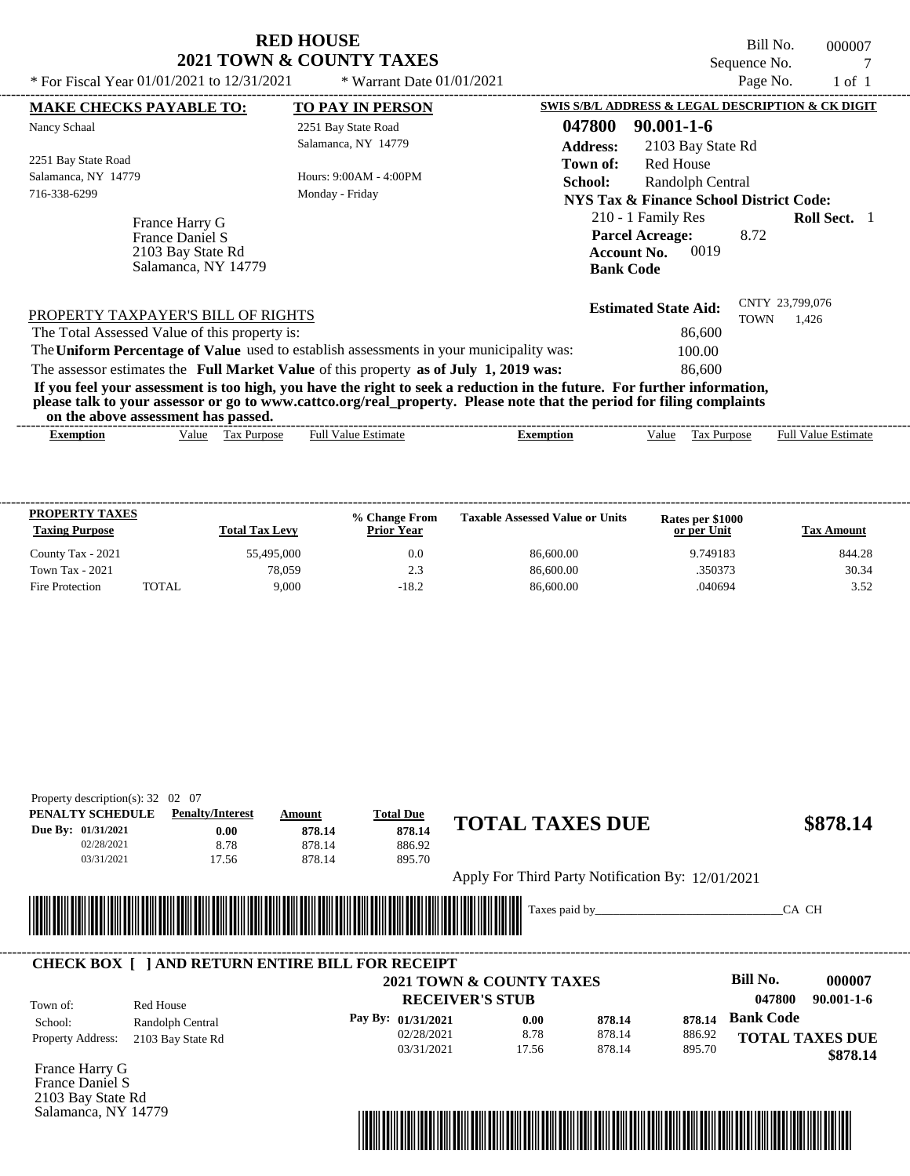|                                                                                     | <b>RED HOUSE</b><br>2021 TOWN & COUNTY TAXES                                            | Bill No.<br>000007<br>Sequence No.                                                                                            |
|-------------------------------------------------------------------------------------|-----------------------------------------------------------------------------------------|-------------------------------------------------------------------------------------------------------------------------------|
| * For Fiscal Year $01/01/2021$ to $12/31/2021$                                      | * Warrant Date $01/01/2021$                                                             | Page No.<br>$1$ of $1$                                                                                                        |
| <b>MAKE CHECKS PAYABLE TO:</b>                                                      | <b>TO PAY IN PERSON</b>                                                                 | SWIS S/B/L ADDRESS & LEGAL DESCRIPTION & CK DIGIT                                                                             |
| Nancy Schaal                                                                        | 2251 Bay State Road                                                                     | 047800<br>$90.001 - 1 - 6$                                                                                                    |
|                                                                                     | Salamanca, NY 14779                                                                     | <b>Address:</b><br>2103 Bay State Rd                                                                                          |
| 2251 Bay State Road                                                                 |                                                                                         | Red House<br>Town of:                                                                                                         |
| Salamanca, NY 14779                                                                 | Hours: 9:00AM - 4:00PM                                                                  | School:<br>Randolph Central                                                                                                   |
| 716-338-6299                                                                        | Monday - Friday                                                                         | <b>NYS Tax &amp; Finance School District Code:</b>                                                                            |
| France Harry G<br>France Daniel S<br>2103 Bay State Rd<br>Salamanca, NY 14779       |                                                                                         | 210 - 1 Family Res<br><b>Roll Sect.</b> 1<br><b>Parcel Acreage:</b><br>8.72<br>0019<br><b>Account No.</b><br><b>Bank Code</b> |
| PROPERTY TAXPAYER'S BILL OF RIGHTS<br>The Total Assessed Value of this property is: | The Uniform Percentage of Value used to establish assessments in your municipality was: | CNTY 23,799,076<br><b>Estimated State Aid:</b><br>TOWN<br>1,426<br>86,600<br>100.00                                           |
|                                                                                     | The assessor estimates the Full Market Value of this property as of July 1, 2019 was:   | 86,600                                                                                                                        |

**If you feel your assessment is too high, you have the right to seek a reduction in the future. For further information, please talk to your assessor or go to www.cattco.org/real\_property. Please note that the period for filing complaints on the above assessment has passed.**

| vu uv<br>. аротс аззеззнісні наз раззеа. |       |                             |                 |           |      |                                            |                                         |
|------------------------------------------|-------|-----------------------------|-----------------|-----------|------|--------------------------------------------|-----------------------------------------|
| Exemption                                | √alue | lax<br><b>Purpose</b><br>__ | Estimate<br>Ful | Exemption | alue | $\overline{\phantom{a}}$<br><b>Purpose</b> | - Full <sup>V</sup><br>Estimate<br>alu⁄ |

| <b>PROPERTY TAXES</b><br><b>Taxing Purpose</b> |       | <b>Total Tax Levy</b> | % Change From<br><b>Prior Year</b> | <b>Taxable Assessed Value or Units</b> | Rates per \$1000<br>or per Unit | Tax Amount |
|------------------------------------------------|-------|-----------------------|------------------------------------|----------------------------------------|---------------------------------|------------|
| County Tax - 2021                              |       | 55.495,000            | 0.0                                | 86,600.00                              | 9.749183                        | 844.28     |
| <b>Town Tax - 2021</b>                         |       | 78.059                | 2.3                                | 86,600.00                              | .350373                         | 30.34      |
| Fire Protection                                | TOTAL | 9.000                 | $-18.2$                            | 86,600.00                              | .040694                         | 3.52       |

| Property description(s): $32$ | -07<br>02                                                            |        |                    |                                                   |        |        |                  |                        |
|-------------------------------|----------------------------------------------------------------------|--------|--------------------|---------------------------------------------------|--------|--------|------------------|------------------------|
| PENALTY SCHEDULE              | <b>Penalty/Interest</b>                                              | Amount | <b>Total Due</b>   | <b>TOTAL TAXES DUE</b>                            |        |        |                  | \$878.14               |
| Due By: 01/31/2021            | 0.00                                                                 | 878.14 | 878.14             |                                                   |        |        |                  |                        |
| 02/28/2021                    | 8.78                                                                 | 878.14 | 886.92             |                                                   |        |        |                  |                        |
| 03/31/2021                    | 17.56                                                                | 878.14 | 895.70             |                                                   |        |        |                  |                        |
|                               |                                                                      |        |                    | Apply For Third Party Notification By: 12/01/2021 |        |        |                  |                        |
|                               |                                                                      |        |                    |                                                   |        |        |                  |                        |
|                               | <u> 1989 - Andrea Stadt British, Amerikaansk politiker (d. 1989)</u> |        |                    | Taxes paid by_                                    |        |        |                  | CA CH                  |
|                               |                                                                      |        |                    |                                                   |        |        |                  |                        |
|                               | <b>CHECK BOX [ ] AND RETURN ENTIRE BILL FOR RECEIPT</b>              |        |                    |                                                   |        |        |                  |                        |
|                               |                                                                      |        |                    | <b>2021 TOWN &amp; COUNTY TAXES</b>               |        |        | Bill No.         | 000007                 |
| Town of:                      | Red House                                                            |        |                    | <b>RECEIVER'S STUB</b>                            |        |        | 047800           | $90.001 - 1 - 6$       |
| School:                       | Randolph Central                                                     |        | Pay By: 01/31/2021 | 0.00                                              | 878.14 | 878.14 | <b>Bank Code</b> |                        |
| Property Address:             | 2103 Bay State Rd                                                    |        | 02/28/2021         | 8.78                                              | 878.14 | 886.92 |                  | <b>TOTAL TAXES DUE</b> |
|                               |                                                                      |        | 03/31/2021         | 17.56                                             | 878.14 | 895.70 |                  | \$878.14               |
| France Harry G                |                                                                      |        |                    |                                                   |        |        |                  |                        |
| France Daniel S               |                                                                      |        |                    |                                                   |        |        |                  |                        |
| 2103 Bay State Rd             |                                                                      |        |                    |                                                   |        |        |                  |                        |
| Salamanca, NY 14779           |                                                                      |        |                    |                                                   |        |        |                  |                        |

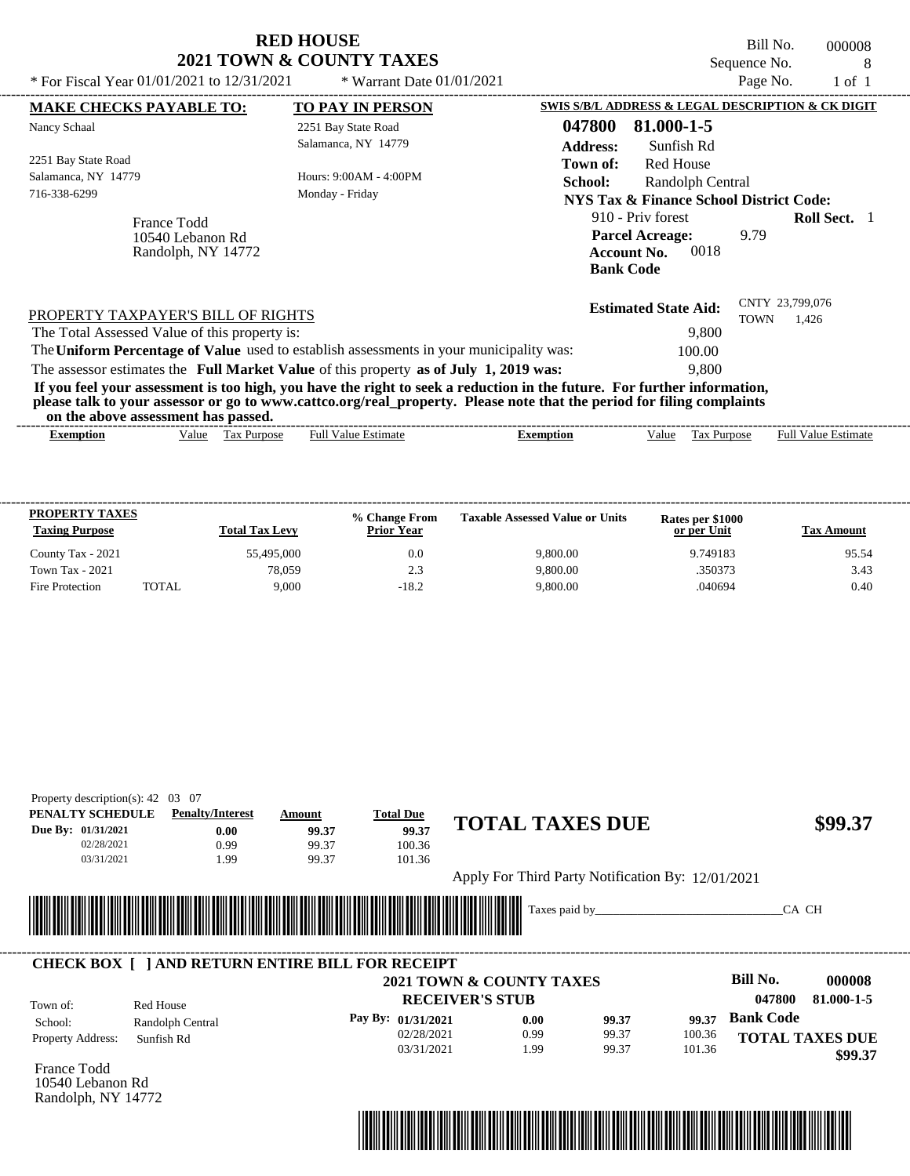|                                                                                                                                                                                | <b>RED HOUSE</b><br><b>2021 TOWN &amp; COUNTY TAXES</b> | Bill No.<br>000008<br>Sequence No.<br>8                                                                                                                                                                                                                   |
|--------------------------------------------------------------------------------------------------------------------------------------------------------------------------------|---------------------------------------------------------|-----------------------------------------------------------------------------------------------------------------------------------------------------------------------------------------------------------------------------------------------------------|
| * For Fiscal Year 01/01/2021 to 12/31/2021                                                                                                                                     | * Warrant Date $01/01/2021$                             | Page No.<br>$1$ of $1$                                                                                                                                                                                                                                    |
| <b>MAKE CHECKS PAYABLE TO:</b>                                                                                                                                                 | <b>TO PAY IN PERSON</b>                                 | SWIS S/B/L ADDRESS & LEGAL DESCRIPTION & CK DIGIT                                                                                                                                                                                                         |
| Nancy Schaal                                                                                                                                                                   | 2251 Bay State Road<br>Salamanca, NY 14779              | 047800<br>81.000-1-5<br><b>Address:</b><br>Sunfish Rd                                                                                                                                                                                                     |
| 2251 Bay State Road<br>Salamanca, NY 14779<br>716-338-6299                                                                                                                     | Hours: 9:00AM - 4:00PM<br>Monday - Friday               | <b>Red House</b><br>Town of:<br><b>School:</b><br>Randolph Central<br>NYS Tax & Finance School District Code:                                                                                                                                             |
| France Todd<br>10540 Lebanon Rd<br>Randolph, NY 14772                                                                                                                          |                                                         | 910 - Priv forest<br><b>Roll Sect.</b> 1<br><b>Parcel Acreage:</b><br>9.79<br>0018<br><b>Account No.</b><br><b>Bank Code</b>                                                                                                                              |
| PROPERTY TAXPAYER'S BILL OF RIGHTS<br>The Total Assessed Value of this property is:<br>The Uniform Percentage of Value used to establish assessments in your municipality was: |                                                         | CNTY 23,799,076<br><b>Estimated State Aid:</b><br><b>TOWN</b><br>1,426<br>9,800<br>100.00                                                                                                                                                                 |
| The assessor estimates the Full Market Value of this property as of July 1, 2019 was:<br>on the above according that narrow                                                    |                                                         | 9,800<br>If you feel your assessment is too high, you have the right to seek a reduction in the future. For further information,<br>please talk to your assessor or go to www.cattco.org/real_property. Please note that the period for filing complaints |

| on<br>assessment<br>the<br>above<br>---- | . nas<br>passed.               |                         |          |       |                        |                             |
|------------------------------------------|--------------------------------|-------------------------|----------|-------|------------------------|-----------------------------|
| Exemption                                | √alue<br>`ax<br><b>Purpose</b> | <b>Estimate</b><br>Full | xemption | √alue | <b>Aurpose</b><br>1 as | Full $V$<br>Estimate<br>alu |

| <b>PROPERTY TAXES</b><br><b>Taxing Purpose</b> |       | <b>Total Tax Levy</b> | % Change From<br><b>Prior Year</b> | <b>Taxable Assessed Value or Units</b> | Rates per \$1000<br>or per Unit | <b>Tax Amount</b> |
|------------------------------------------------|-------|-----------------------|------------------------------------|----------------------------------------|---------------------------------|-------------------|
| County Tax - 2021                              |       | 55,495,000            | 0.0                                | 9.800.00                               | 9.749183                        | 95.54             |
| Town Tax - 2021                                |       | 78.059                | 2.3                                | 9,800.00                               | .350373                         | 3.43              |
| Fire Protection                                | TOTAL | 9.000                 | $-18.2$                            | 9,800.00                               | .040694                         | 0.40              |

| PENALTY SCHEDULE             | <b>Penalty/Interest</b>        | Amount                                                  | <b>Total Due</b>            | <b>TOTAL TAXES DUE</b>                            |       |        |                  | \$99.37                |
|------------------------------|--------------------------------|---------------------------------------------------------|-----------------------------|---------------------------------------------------|-------|--------|------------------|------------------------|
| Due By: 01/31/2021           | 0.00                           | 99.37                                                   | 99.37                       |                                                   |       |        |                  |                        |
| 02/28/2021                   | 0.99                           | 99.37                                                   | 100.36                      |                                                   |       |        |                  |                        |
| 03/31/2021                   | 1.99                           | 99.37                                                   | 101.36                      |                                                   |       |        |                  |                        |
|                              |                                |                                                         |                             | Apply For Third Party Notification By: 12/01/2021 |       |        |                  |                        |
|                              |                                |                                                         |                             |                                                   |       |        |                  |                        |
|                              |                                |                                                         |                             | Taxes paid by                                     |       |        | CA CH            |                        |
|                              |                                |                                                         |                             |                                                   |       |        |                  |                        |
|                              |                                |                                                         | <u> Tanzania (h. 1878).</u> |                                                   |       |        |                  |                        |
|                              |                                |                                                         |                             |                                                   |       |        |                  |                        |
|                              |                                | <b>CHECK BOX [ ] AND RETURN ENTIRE BILL FOR RECEIPT</b> |                             |                                                   |       |        |                  |                        |
|                              |                                |                                                         |                             | 2021 TOWN & COUNTY TAXES                          |       |        | <b>Bill No.</b>  | 000008                 |
|                              |                                |                                                         |                             | <b>RECEIVER'S STUB</b>                            |       |        | 047800           | 81.000-1-5             |
| Town of:                     | Red House                      |                                                         | Pay By: 01/31/2021          | 0.00                                              | 99.37 | 99.37  | <b>Bank Code</b> |                        |
| School:<br>Property Address: | Randolph Central<br>Sunfish Rd |                                                         | 02/28/2021                  | 0.99                                              | 99.37 | 100.36 |                  | <b>TOTAL TAXES DUE</b> |
|                              |                                |                                                         |                             |                                                   |       |        |                  |                        |



Randolph, NY 14772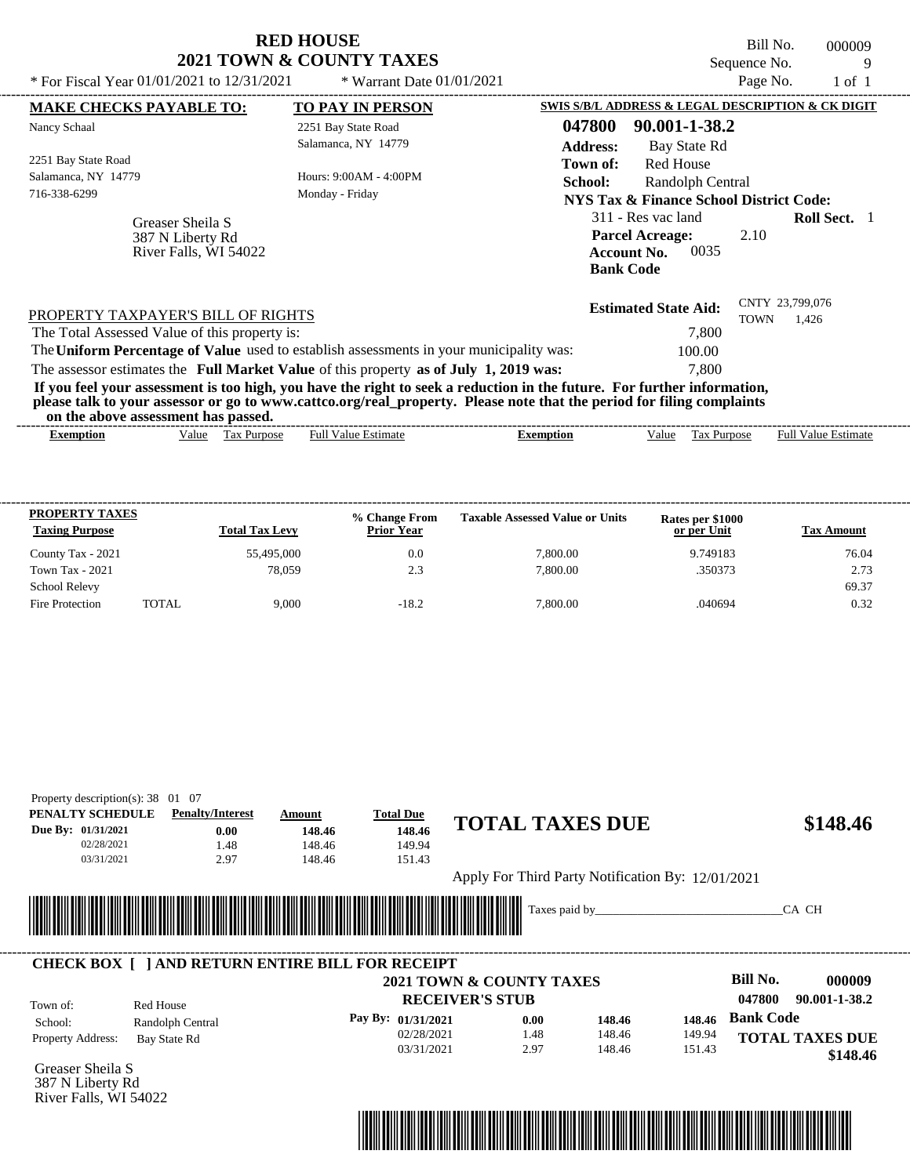|                                                                                                                                                                                                                                                                                         | <b>RED HOUSE</b><br><b>2021 TOWN &amp; COUNTY TAXES</b> | Bill No.<br>000009<br>Sequence No.<br>9                                                                                       |
|-----------------------------------------------------------------------------------------------------------------------------------------------------------------------------------------------------------------------------------------------------------------------------------------|---------------------------------------------------------|-------------------------------------------------------------------------------------------------------------------------------|
| * For Fiscal Year 01/01/2021 to 12/31/2021                                                                                                                                                                                                                                              | * Warrant Date $01/01/2021$                             | Page No.<br>$1$ of $1$                                                                                                        |
| <b>MAKE CHECKS PAYABLE TO:</b>                                                                                                                                                                                                                                                          | <b>TO PAY IN PERSON</b>                                 | SWIS S/B/L ADDRESS & LEGAL DESCRIPTION & CK DIGIT                                                                             |
| Nancy Schaal                                                                                                                                                                                                                                                                            | 2251 Bay State Road                                     | 047800<br>90.001-1-38.2                                                                                                       |
|                                                                                                                                                                                                                                                                                         | Salamanca, NY 14779                                     | <b>Address:</b><br>Bay State Rd                                                                                               |
| 2251 Bay State Road                                                                                                                                                                                                                                                                     |                                                         | <b>Red House</b><br>Town of:                                                                                                  |
| Salamanca, NY 14779                                                                                                                                                                                                                                                                     | Hours: 9:00AM - 4:00PM                                  | Randolph Central<br>School:                                                                                                   |
| 716-338-6299                                                                                                                                                                                                                                                                            | Monday - Friday                                         | <b>NYS Tax &amp; Finance School District Code:</b>                                                                            |
| Greaser Sheila S<br>387 N Liberty Rd<br>River Falls, WI 54022                                                                                                                                                                                                                           |                                                         | 311 - Res vac land<br><b>Roll Sect.</b> 1<br><b>Parcel Acreage:</b><br>2.10<br>0035<br><b>Account No.</b><br><b>Bank Code</b> |
| PROPERTY TAXPAYER'S BILL OF RIGHTS<br>The Total Assessed Value of this property is:                                                                                                                                                                                                     |                                                         | CNTY 23,799,076<br><b>Estimated State Aid:</b><br><b>TOWN</b><br>1,426<br>7.800                                               |
| The Uniform Percentage of Value used to establish assessments in your municipality was:                                                                                                                                                                                                 |                                                         | 100.00                                                                                                                        |
| The assessor estimates the Full Market Value of this property as of July 1, 2019 was:                                                                                                                                                                                                   |                                                         | 7.800                                                                                                                         |
| If you feel your assessment is too high, you have the right to seek a reduction in the future. For further information,<br>please talk to your assessor or go to www.cattco.org/real_property. Please note that the period for filing complaints<br>on the above assessment has passed. |                                                         |                                                                                                                               |

| $\sim$<br>Full $V$<br>√alue<br>'alue<br>Estimate<br><b>Purpose</b><br>lax<br>, alue<br>Ful<br><b>Purpose</b><br>Exemption<br>emption | Estimate |
|--------------------------------------------------------------------------------------------------------------------------------------|----------|

| <b>PROPERTY TAXES</b><br><b>Taxing Purpose</b> |              | <b>Total Tax Levy</b> | % Change From<br><b>Prior Year</b> | <b>Taxable Assessed Value or Units</b> | <b>Rates per \$1000</b><br>or per Unit | <b>Tax Amount</b> |
|------------------------------------------------|--------------|-----------------------|------------------------------------|----------------------------------------|----------------------------------------|-------------------|
| County Tax - 2021                              |              | 55,495,000            | 0.0                                | 7.800.00                               | 9.749183                               | 76.04             |
| <b>Town Tax - 2021</b>                         |              | 78.059                | 2.3                                | 7,800.00                               | .350373                                | 2.73              |
| <b>School Relevy</b>                           |              |                       |                                    |                                        |                                        | 69.37             |
| Fire Protection                                | <b>TOTAL</b> | 9.000                 | $-18.2$                            | 7,800.00                               | .040694                                | 0.32              |

| PENALTY SCHEDULE             | <b>Penalty/Interest</b>                                | Amount | <b>Total Due</b>                                     |                        |                                                   |        |                         |
|------------------------------|--------------------------------------------------------|--------|------------------------------------------------------|------------------------|---------------------------------------------------|--------|-------------------------|
| Due By: 01/31/2021           | 0.00                                                   | 148.46 | 148.46                                               | <b>TOTAL TAXES DUE</b> |                                                   |        | \$148.46                |
| 02/28/2021                   | 1.48                                                   | 148.46 | 149.94                                               |                        |                                                   |        |                         |
| 03/31/2021                   | 2.97                                                   | 148.46 | 151.43                                               |                        |                                                   |        |                         |
|                              |                                                        |        |                                                      |                        | Apply For Third Party Notification By: 12/01/2021 |        |                         |
|                              |                                                        |        |                                                      |                        |                                                   |        |                         |
|                              |                                                        |        |                                                      |                        |                                                   |        |                         |
|                              |                                                        |        |                                                      |                        | Taxes paid by                                     |        | CA CH                   |
| <b>Allian Street</b>         |                                                        |        | <u> 1989 - Johann Stoff, Amerikaansk politiker (</u> |                        |                                                   |        |                         |
|                              |                                                        |        |                                                      |                        |                                                   |        |                         |
|                              | <b>CHECK BOX   JAND RETURN ENTIRE BILL FOR RECEIPT</b> |        |                                                      |                        |                                                   |        |                         |
|                              |                                                        |        | <b>2021 TOWN &amp; COUNTY TAXES</b>                  |                        |                                                   |        | Bill No.<br>000009      |
|                              |                                                        |        | <b>RECEIVER'S STUB</b>                               |                        |                                                   |        | 047800<br>90.001-1-38.2 |
| Town of:                     | Red House                                              |        |                                                      | 0.00                   | 148.46                                            | 148.46 | <b>Bank Code</b>        |
| School:<br>Property Address: | Randolph Central<br>Bay State Rd                       |        | Pay By: 01/31/2021<br>02/28/2021                     | 1.48                   | 148.46                                            | 149.94 | <b>TOTAL TAXES DUE</b>  |

Greaser Sheila S 387 N Liberty Rd River Falls, WI 54022

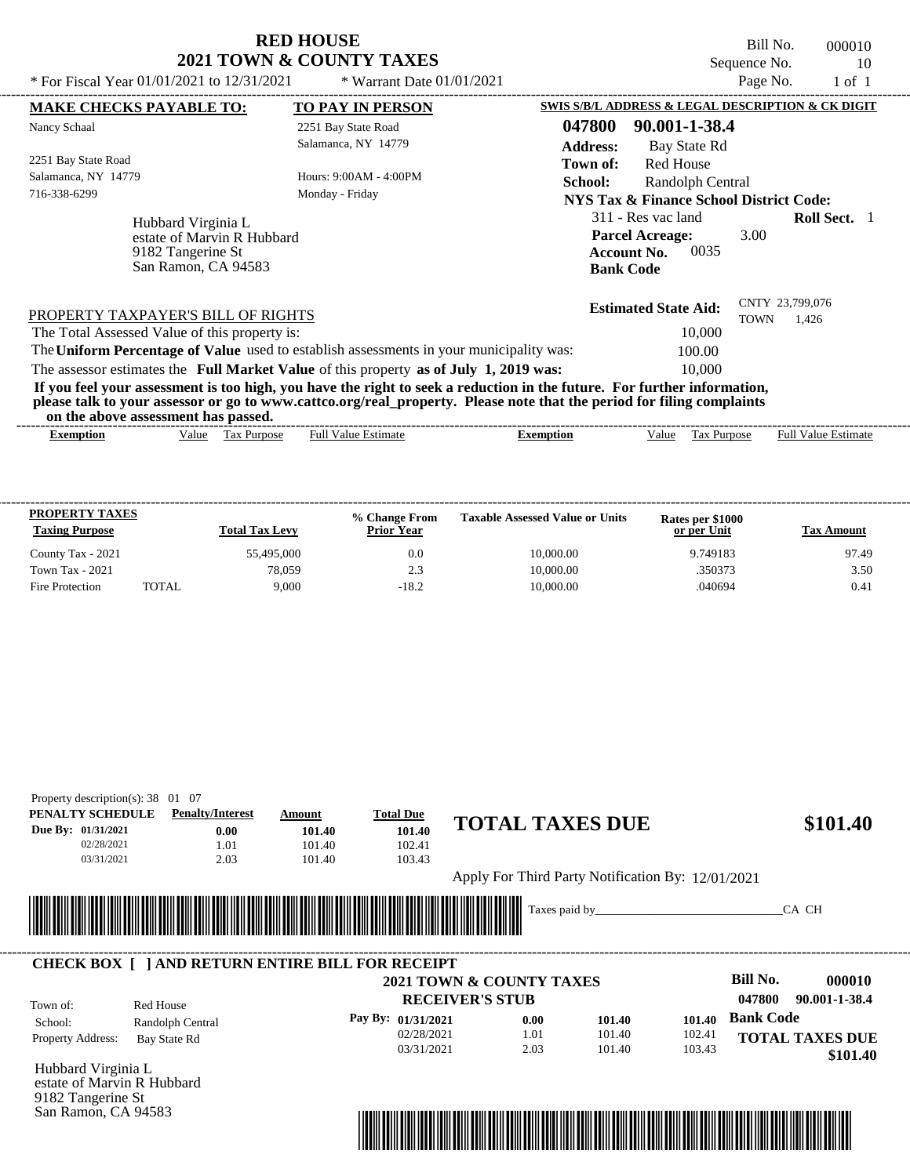Bill No. 000010 Sequence No. 10<br>Page No. 1 of 1

| * For Fiscal Year 01/01/2021 to 12/31/2021                                                   | * Warrant Date $01/01/2021$                                                             |                                                                                                                                                                                                                                                  | Page No.                                 | 1 of 1                     |
|----------------------------------------------------------------------------------------------|-----------------------------------------------------------------------------------------|--------------------------------------------------------------------------------------------------------------------------------------------------------------------------------------------------------------------------------------------------|------------------------------------------|----------------------------|
| <b>MAKE CHECKS PAYABLE TO:</b>                                                               | <b>TO PAY IN PERSON</b>                                                                 | SWIS S/B/L ADDRESS & LEGAL DESCRIPTION & CK DIGIT                                                                                                                                                                                                |                                          |                            |
| Nancy Schaal                                                                                 | 2251 Bay State Road                                                                     | 047800<br>90.001-1-38.4                                                                                                                                                                                                                          |                                          |                            |
|                                                                                              | Salamanca, NY 14779                                                                     | <b>Address:</b><br>Bay State Rd                                                                                                                                                                                                                  |                                          |                            |
| 2251 Bay State Road<br>Salamanca, NY 14779                                                   | Hours: 9:00AM - 4:00PM                                                                  | Red House<br>Town of:                                                                                                                                                                                                                            |                                          |                            |
| 716-338-6299                                                                                 | Monday - Friday                                                                         | School:<br>Randolph Central<br>NYS Tax & Finance School District Code:                                                                                                                                                                           |                                          |                            |
| Hubbard Virginia L<br>estate of Marvin R Hubbard<br>9182 Tangerine St<br>San Ramon, CA 94583 |                                                                                         | 311 - Res vac land<br><b>Parcel Acreage:</b><br><b>Account No.</b><br><b>Bank Code</b>                                                                                                                                                           | 3.00<br>0035                             | <b>Roll Sect.</b> 1        |
| PROPERTY TAXPAYER'S BILL OF RIGHTS<br>The Total Assessed Value of this property is:          |                                                                                         | <b>Estimated State Aid:</b>                                                                                                                                                                                                                      | CNTY 23,799,076<br><b>TOWN</b><br>10,000 | 1.426                      |
|                                                                                              | The Uniform Percentage of Value used to establish assessments in your municipality was: | 100.00                                                                                                                                                                                                                                           |                                          |                            |
|                                                                                              | The assessor estimates the Full Market Value of this property as of July 1, 2019 was:   |                                                                                                                                                                                                                                                  | 10,000                                   |                            |
| on the above assessment has passed.                                                          |                                                                                         | If you feel your assessment is too high, you have the right to seek a reduction in the future. For further information,<br>please talk to your assessor or go to www.cattco.org/real_property. Please note that the period for filing complaints |                                          |                            |
| Value Tax Purpose<br><b>Exemption</b>                                                        | <b>Full Value Estimate</b>                                                              | <b>Exemption</b><br>Value                                                                                                                                                                                                                        | Tax Purpose                              | <b>Full Value Estimate</b> |

| <b>PROPERTY TAXES</b><br><b>Taxing Purpose</b> |              | <b>Total Tax Levy</b> | % Change From<br><b>Prior Year</b> | <b>Taxable Assessed Value or Units</b> | Rates per \$1000<br>or per Unit | <b>Tax Amount</b> |
|------------------------------------------------|--------------|-----------------------|------------------------------------|----------------------------------------|---------------------------------|-------------------|
| County Tax - 2021                              |              | 55,495,000            | 0.0                                | 10,000.00                              | 9.749183                        | 97.49             |
| <b>Town Tax - 2021</b>                         |              | 78.059                | 2.3                                | 10,000.00                              | .350373                         | 3.50              |
| Fire Protection                                | <b>TOTAL</b> | 9.000                 | $-18.2$                            | 10,000.00                              | .040694                         | 0.41              |

| Property description(s): $38 \quad 01 \quad 07$<br>PENALTY SCHEDULE | <b>Penalty/Interest</b>                                | Amount                      | <b>Total Due</b>       |                                                   |        |                         |
|---------------------------------------------------------------------|--------------------------------------------------------|-----------------------------|------------------------|---------------------------------------------------|--------|-------------------------|
| Due By: 01/31/2021                                                  | 0.00                                                   | 101.40                      | 101.40                 | <b>TOTAL TAXES DUE</b>                            |        | \$101.40                |
| 02/28/2021                                                          | 1.01                                                   | 101.40                      | 102.41                 |                                                   |        |                         |
| 03/31/2021                                                          | 2.03                                                   | 101.40                      | 103.43                 |                                                   |        |                         |
|                                                                     |                                                        |                             |                        | Apply For Third Party Notification By: 12/01/2021 |        |                         |
|                                                                     |                                                        |                             |                        |                                                   |        |                         |
|                                                                     |                                                        |                             |                        | Taxes paid by                                     |        | CA CH                   |
|                                                                     |                                                        | <u> Tanzania (h. 1888).</u> |                        |                                                   |        |                         |
|                                                                     |                                                        |                             |                        |                                                   |        |                         |
|                                                                     | <b>CHECK BOX   JAND RETURN ENTIRE BILL FOR RECEIPT</b> |                             |                        | <b>2021 TOWN &amp; COUNTY TAXES</b>               |        | Bill No.<br>000010      |
|                                                                     |                                                        |                             | <b>RECEIVER'S STUB</b> |                                                   |        | 047800<br>90.001-1-38.4 |
| School:                                                             | Red House                                              |                             | Pay By: 01/31/2021     | 0.00<br>101.40                                    | 101.40 | <b>Bank Code</b>        |
| Town of:<br><b>Property Address:</b>                                | Randolph Central<br>Bay State Rd                       |                             | 02/28/2021             | 101.40<br>1.01                                    | 102.41 | <b>TOTAL TAXES DUE</b>  |

Hubbard Virginia L estate of Marvin R Hubbard 9182 Tangerine St San Ramon, CA 94583

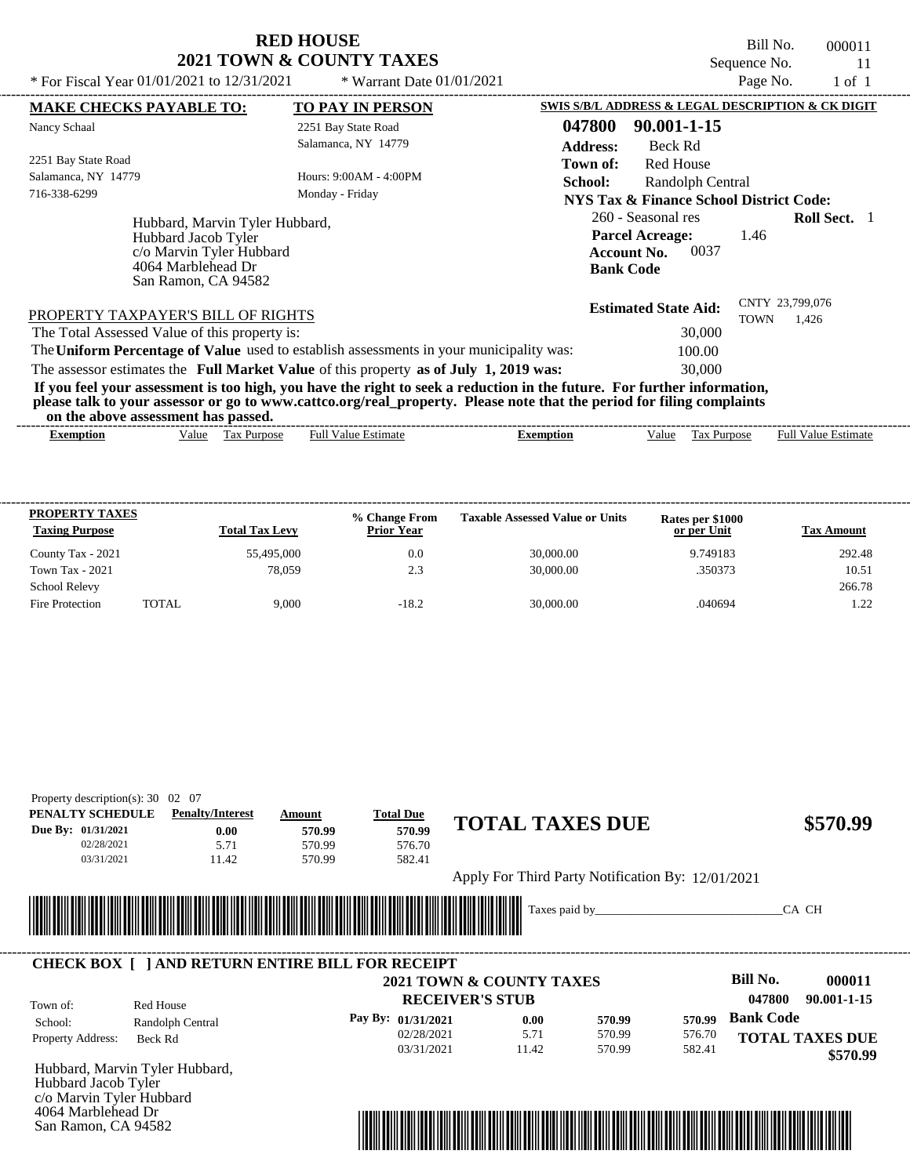Bill No. 000011 Sequence No. 11

 **\$570.99**

| * For Fiscal Year $01/01/2021$ to $12/31/2021$                                                                                 | * Warrant Date $01/01/2021$                                                                                                                                                                                                                      |                                                                                                | Page No.                       | 1 of 1              |
|--------------------------------------------------------------------------------------------------------------------------------|--------------------------------------------------------------------------------------------------------------------------------------------------------------------------------------------------------------------------------------------------|------------------------------------------------------------------------------------------------|--------------------------------|---------------------|
| <b>MAKE CHECKS PAYABLE TO:</b>                                                                                                 | TO PAY IN PERSON                                                                                                                                                                                                                                 | SWIS S/B/L ADDRESS & LEGAL DESCRIPTION & CK DIGIT                                              |                                |                     |
| Nancy Schaal                                                                                                                   | 2251 Bay State Road                                                                                                                                                                                                                              | 047800<br>90.001-1-15                                                                          |                                |                     |
|                                                                                                                                | Salamanca, NY 14779                                                                                                                                                                                                                              | <b>Address:</b><br>Beck Rd                                                                     |                                |                     |
| 2251 Bay State Road                                                                                                            |                                                                                                                                                                                                                                                  | Red House<br>Town of:                                                                          |                                |                     |
| Salamanca, NY 14779                                                                                                            | Hours: 9:00AM - 4:00PM                                                                                                                                                                                                                           | <b>School:</b><br>Randolph Central                                                             |                                |                     |
| 716-338-6299                                                                                                                   | Monday - Friday                                                                                                                                                                                                                                  | NYS Tax & Finance School District Code:                                                        |                                |                     |
| Hubbard, Marvin Tyler Hubbard,<br>Hubbard Jacob Tyler<br>c/o Marvin Tyler Hubbard<br>4064 Marblehead Dr<br>San Ramon, CA 94582 |                                                                                                                                                                                                                                                  | 260 - Seasonal res<br><b>Parcel Acreage:</b><br>0037<br><b>Account No.</b><br><b>Bank Code</b> | 1.46                           | <b>Roll Sect.</b> 1 |
| PROPERTY TAXPAYER'S BILL OF RIGHTS                                                                                             |                                                                                                                                                                                                                                                  | <b>Estimated State Aid:</b>                                                                    | CNTY 23,799,076<br><b>TOWN</b> | 1,426               |
| The Total Assessed Value of this property is:                                                                                  |                                                                                                                                                                                                                                                  | 30,000                                                                                         |                                |                     |
|                                                                                                                                | The Uniform Percentage of Value used to establish assessments in your municipality was:                                                                                                                                                          | 100.00                                                                                         |                                |                     |
|                                                                                                                                | The assessor estimates the Full Market Value of this property as of July 1, 2019 was:                                                                                                                                                            | 30,000                                                                                         |                                |                     |
|                                                                                                                                | If you feel your assessment is too high, you have the right to seek a reduction in the future. For further information,<br>please talk to your assessor or go to www.cattco.org/real_property. Please note that the period for filing complaints |                                                                                                |                                |                     |

**on the above assessment has passed.**

| Full $V$<br>√alue<br>alue<br>Purpose<br>Estimate<br>ax:<br>Estimate<br>Ful<br>Value<br>$\sim$<br>Purpose<br>Exemption<br>Exemption<br>٦1Α<br>1 as | ----- | ,,,,<br>. v | . азэсээнісні наз базэса. |  |  | -------------- |
|---------------------------------------------------------------------------------------------------------------------------------------------------|-------|-------------|---------------------------|--|--|----------------|
|                                                                                                                                                   |       |             |                           |  |  |                |

| <b>PROPERTY TAXES</b><br><b>Taxing Purpose</b> |        | <b>Total Tax Levy</b> | % Change From<br><b>Prior Year</b> | <b>Taxable Assessed Value or Units</b> | Rates per \$1000<br>or per Unit | <b>Tax Amount</b> |
|------------------------------------------------|--------|-----------------------|------------------------------------|----------------------------------------|---------------------------------|-------------------|
| County Tax - 2021                              |        | 55,495,000            | 0.0                                | 30,000.00                              | 9.749183                        | 292.48            |
| <b>Town Tax - 2021</b>                         |        | 78.059                | 2.3                                | 30,000.00                              | .350373                         | 10.51             |
| <b>School Relevy</b>                           |        |                       |                                    |                                        |                                 | 266.78            |
| Fire Protection                                | TOTAL. | 9.000                 | $-18.2$                            | 30,000.00                              | .040694                         | 1.22              |

| Property description(s): $30 \quad 02 \quad 07$ |                                                              |                                                                                                                                                                                                                                      |                    |                                     |                                                   |                        |
|-------------------------------------------------|--------------------------------------------------------------|--------------------------------------------------------------------------------------------------------------------------------------------------------------------------------------------------------------------------------------|--------------------|-------------------------------------|---------------------------------------------------|------------------------|
| PENALTY SCHEDULE                                | <b>Penalty/Interest</b>                                      | Amount                                                                                                                                                                                                                               | <b>Total Due</b>   |                                     |                                                   |                        |
| Due By: 01/31/2021                              | 0.00                                                         | 570.99                                                                                                                                                                                                                               | 570.99             | <b>TOTAL TAXES DUE</b>              |                                                   | \$570.99               |
| 02/28/2021                                      | 5.71                                                         | 570.99                                                                                                                                                                                                                               | 576.70             |                                     |                                                   |                        |
| 03/31/2021                                      | 11.42                                                        | 570.99                                                                                                                                                                                                                               | 582.41             |                                     |                                                   |                        |
|                                                 |                                                              |                                                                                                                                                                                                                                      |                    |                                     | Apply For Third Party Notification By: 12/01/2021 |                        |
|                                                 | ║║<br><b>CHECK BOX   JAND RETURN ENTIRE BILL FOR RECEIPT</b> | <u> Timba ka matsayin ka shekara ta 1999 ka shekara ta 1999 ka shekara ta 1999 ka shekara ta 1999 ka shekara ta 1999 ka shekara ta 1999 ka shekara ta 1999 ka shekara ta 1999 ka shekara ta 1999 ka shekara ta 1999 ka shekara t</u> |                    |                                     | Taxes paid by                                     | CA CH                  |
|                                                 |                                                              |                                                                                                                                                                                                                                      |                    | <b>2021 TOWN &amp; COUNTY TAXES</b> |                                                   | Bill No.<br>000011     |
| Town of:                                        | Red House                                                    |                                                                                                                                                                                                                                      |                    | <b>RECEIVER'S STUB</b>              |                                                   | 047800<br>90.001-1-15  |
| School:                                         | Randolph Central                                             |                                                                                                                                                                                                                                      | Pay By: 01/31/2021 | 0.00                                | 570.99<br>570.99                                  | <b>Bank Code</b>       |
| Property Address:                               | Beck Rd                                                      |                                                                                                                                                                                                                                      | 02/28/2021         | 5.71                                | 570.99<br>576.70                                  | <b>TOTAL TAXES DUE</b> |

03/31/2021

Hubbard, Marvin Tyler Hubbard, Hubbard Jacob Tyler c/o Marvin Tyler Hubbard 4064 Marblehead Dr San Ramon, CA 94582



570.99

582.41

11.42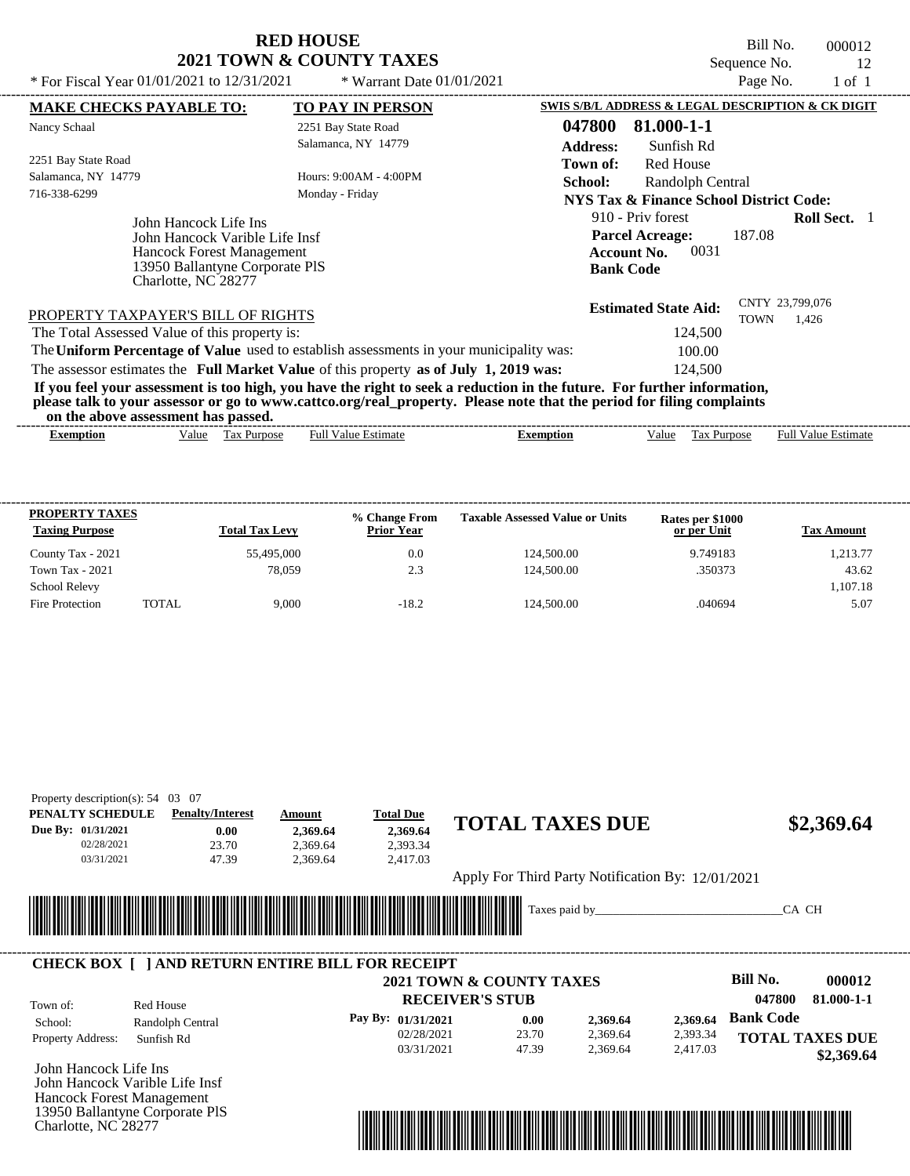Bill No. 000012 Sequence No. 12<br>Page No. 1 of 1

| * For Fiscal Year 01/01/2021 to 12/31/2021                                                                                                           | * Warrant Date $01/01/2021$                                                                                                                                                                                                                      |                                                                                               | Page No.    | $1$ of $1$                 |  |
|------------------------------------------------------------------------------------------------------------------------------------------------------|--------------------------------------------------------------------------------------------------------------------------------------------------------------------------------------------------------------------------------------------------|-----------------------------------------------------------------------------------------------|-------------|----------------------------|--|
| <b>MAKE CHECKS PAYABLE TO:</b>                                                                                                                       | <b>TO PAY IN PERSON</b>                                                                                                                                                                                                                          | SWIS S/B/L ADDRESS & LEGAL DESCRIPTION & CK DIGIT                                             |             |                            |  |
| Nancy Schaal                                                                                                                                         | 2251 Bay State Road                                                                                                                                                                                                                              | 047800<br>81.000-1-1                                                                          |             |                            |  |
|                                                                                                                                                      | Salamanca, NY 14779                                                                                                                                                                                                                              | <b>Address:</b><br>Sunfish Rd                                                                 |             |                            |  |
| 2251 Bay State Road                                                                                                                                  |                                                                                                                                                                                                                                                  | <b>Red House</b><br>Town of:                                                                  |             |                            |  |
| Salamanca, NY 14779                                                                                                                                  | Hours: 9:00AM - 4:00PM                                                                                                                                                                                                                           | School:<br>Randolph Central                                                                   |             |                            |  |
| 716-338-6299                                                                                                                                         | Monday - Friday                                                                                                                                                                                                                                  | <b>NYS Tax &amp; Finance School District Code:</b>                                            |             |                            |  |
| John Hancock Life Ins<br>John Hancock Varible Life Insf<br><b>Hancock Forest Management</b><br>13950 Ballantyne Corporate PIS<br>Charlotte, NC 28277 |                                                                                                                                                                                                                                                  | 910 - Priv forest<br><b>Parcel Acreage:</b><br>0031<br><b>Account No.</b><br><b>Bank Code</b> | 187.08      | <b>Roll Sect.</b> 1        |  |
| PROPERTY TAXPAYER'S BILL OF RIGHTS                                                                                                                   |                                                                                                                                                                                                                                                  | <b>Estimated State Aid:</b>                                                                   | <b>TOWN</b> | CNTY 23,799,076<br>1,426   |  |
| The Total Assessed Value of this property is:                                                                                                        |                                                                                                                                                                                                                                                  | 124,500                                                                                       |             |                            |  |
| The Uniform Percentage of Value used to establish assessments in your municipality was:                                                              |                                                                                                                                                                                                                                                  | 100.00                                                                                        |             |                            |  |
| The assessor estimates the Full Market Value of this property as of July 1, 2019 was:                                                                |                                                                                                                                                                                                                                                  | 124.500                                                                                       |             |                            |  |
| on the above assessment has passed.                                                                                                                  | If you feel your assessment is too high, you have the right to seek a reduction in the future. For further information,<br>please talk to your assessor or go to www.cattco.org/real_property. Please note that the period for filing complaints |                                                                                               |             |                            |  |
| Value Tax Purpose<br>Exemption                                                                                                                       | <b>Full Value Estimate</b>                                                                                                                                                                                                                       | <b>Exemption</b><br>Value                                                                     | Tax Purpose | <b>Full Value Estimate</b> |  |

| <b>PROPERTY TAXES</b><br><b>Taxing Purpose</b> |       | <b>Total Tax Levy</b> | % Change From<br><b>Prior Year</b> | <b>Taxable Assessed Value or Units</b> | <b>Rates per \$1000</b><br>or per Unit | <b>Tax Amount</b> |
|------------------------------------------------|-------|-----------------------|------------------------------------|----------------------------------------|----------------------------------------|-------------------|
| County Tax - 2021                              |       | 55,495,000            | 0.0                                | 124,500.00                             | 9.749183                               | 1,213.77          |
| Town Tax - 2021                                |       | 78.059                | 2.3                                | 124,500.00                             | .350373                                | 43.62             |
| <b>School Relevy</b>                           |       |                       |                                    |                                        |                                        | 1.107.18          |
| Fire Protection                                | TOTAL | 9.000                 | $-18.2$                            | 124,500.00                             | .040694                                | 5.07              |

| Property description(s): $54 \quad 03 \quad 07$<br>PENALTY SCHEDULE | <b>Penalty/Interest</b>                                 | Amount   | <b>Total Due</b>                 |                                                   |          |                           |
|---------------------------------------------------------------------|---------------------------------------------------------|----------|----------------------------------|---------------------------------------------------|----------|---------------------------|
| Due By: 01/31/2021                                                  | 0.00                                                    | 2,369.64 | 2,369.64                         | <b>TOTAL TAXES DUE</b>                            |          | \$2,369.64                |
| 02/28/2021                                                          | 23.70                                                   | 2,369.64 | 2,393.34                         |                                                   |          |                           |
| 03/31/2021                                                          | 47.39                                                   | 2,369.64 | 2,417.03                         |                                                   |          |                           |
|                                                                     |                                                         |          |                                  | Apply For Third Party Notification By: 12/01/2021 |          |                           |
|                                                                     |                                                         |          |                                  |                                                   |          |                           |
|                                                                     |                                                         |          |                                  | Taxes paid by                                     |          | CA CH                     |
|                                                                     |                                                         |          |                                  |                                                   |          |                           |
|                                                                     |                                                         |          |                                  |                                                   |          |                           |
|                                                                     | <b>CHECK BOX     AND RETURN ENTIRE BILL FOR RECEIPT</b> |          |                                  |                                                   |          |                           |
|                                                                     |                                                         |          |                                  | <b>2021 TOWN &amp; COUNTY TAXES</b>               |          | <b>Bill No.</b><br>000012 |
| Town of:                                                            |                                                         |          | <b>RECEIVER'S STUB</b>           |                                                   |          | 047800<br>81.000-1-1      |
|                                                                     | Red House                                               |          |                                  | 0.00<br>2,369.64                                  | 2,369.64 | <b>Bank Code</b>          |
| School:<br>Property Address:                                        | Randolph Central<br>Sunfish Rd                          |          | Pay By: 01/31/2021<br>02/28/2021 | 23.70<br>2,369.64                                 | 2,393.34 | <b>TOTAL TAXES DUE</b>    |

John Hancock Life Ins John Hancock Varible Life Insf Hancock Forest Management 13950 Ballantyne Corporate PlS Charlotte, NC 28277

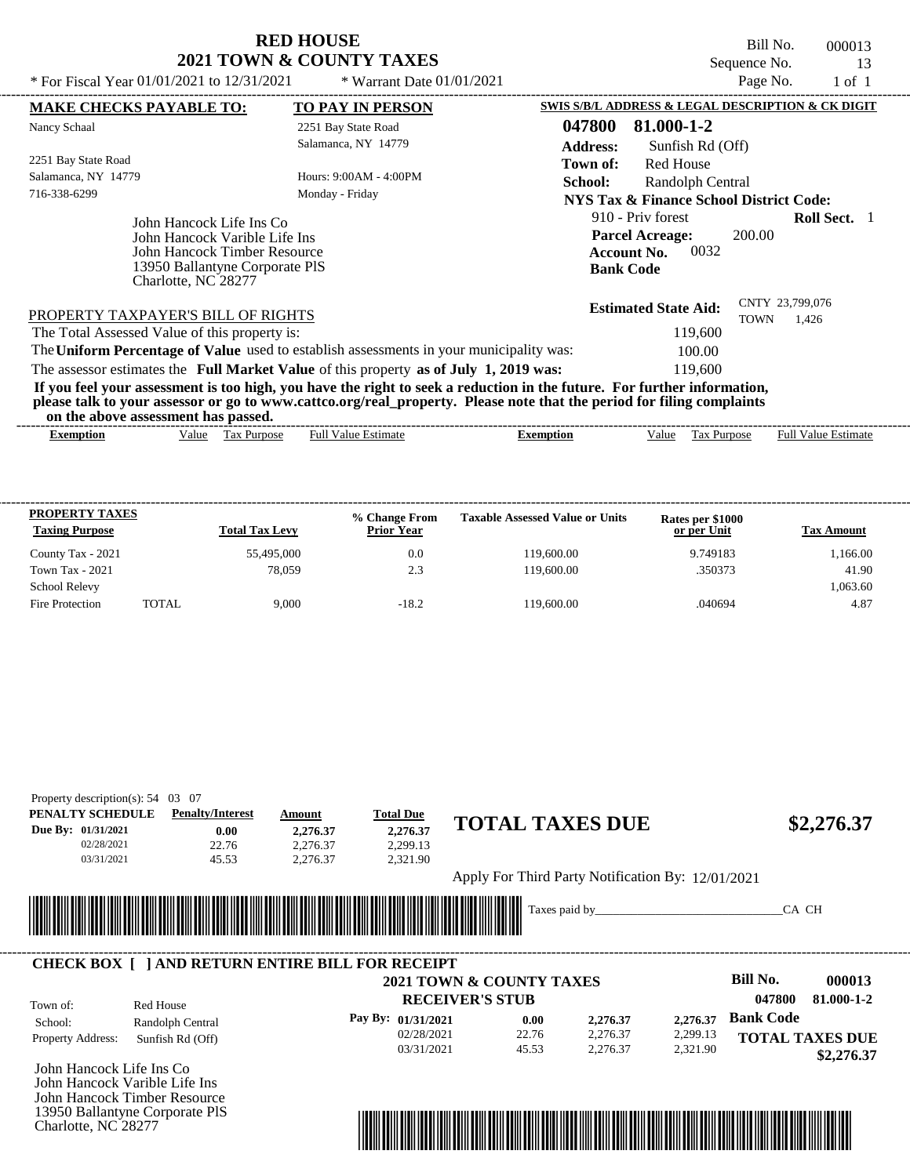Bill No. 000013 Sequence No. 13<br>Page No. 1 of 1

| * For Fiscal Year $01/01/2021$ to $12/31/2021$                                                                                                     | * Warrant Date $01/01/2021$                                                                                                                                                                                                                      | Page No.<br>$1$ of $1$                                                                                            |  |
|----------------------------------------------------------------------------------------------------------------------------------------------------|--------------------------------------------------------------------------------------------------------------------------------------------------------------------------------------------------------------------------------------------------|-------------------------------------------------------------------------------------------------------------------|--|
| <b>MAKE CHECKS PAYABLE TO:</b>                                                                                                                     | <b>TO PAY IN PERSON</b>                                                                                                                                                                                                                          | SWIS S/B/L ADDRESS & LEGAL DESCRIPTION & CK DIGIT                                                                 |  |
| Nancy Schaal                                                                                                                                       | 2251 Bay State Road<br>Salamanca, NY 14779                                                                                                                                                                                                       | 81.000-1-2<br>047800<br><b>Address:</b><br>Sunfish Rd (Off)                                                       |  |
| 2251 Bay State Road<br>Salamanca, NY 14779<br>716-338-6299                                                                                         | Hours: 9:00AM - 4:00PM<br>Monday - Friday                                                                                                                                                                                                        | <b>Red House</b><br>Town of:<br>Randolph Central<br>School:<br><b>NYS Tax &amp; Finance School District Code:</b> |  |
| John Hancock Life Ins Co<br>John Hancock Varible Life Ins<br>John Hancock Timber Resource<br>13950 Ballantyne Corporate PIS<br>Charlotte, NC 28277 | 910 - Priv forest<br><b>Roll Sect.</b> 1<br><b>Parcel Acreage:</b><br>200.00<br>0032<br><b>Account No.</b><br><b>Bank Code</b>                                                                                                                   |                                                                                                                   |  |
| PROPERTY TAXPAYER'S BILL OF RIGHTS<br>The Total Assessed Value of this property is:                                                                |                                                                                                                                                                                                                                                  | CNTY 23,799,076<br><b>Estimated State Aid:</b><br><b>TOWN</b><br>1,426<br>119,600                                 |  |
|                                                                                                                                                    | The Uniform Percentage of Value used to establish assessments in your municipality was:                                                                                                                                                          | 100.00                                                                                                            |  |
|                                                                                                                                                    | The assessor estimates the Full Market Value of this property as of July 1, 2019 was:                                                                                                                                                            | 119,600                                                                                                           |  |
| on the above assessment has passed.                                                                                                                | If you feel your assessment is too high, you have the right to seek a reduction in the future. For further information,<br>please talk to your assessor or go to www.cattco.org/real_property. Please note that the period for filing complaints |                                                                                                                   |  |
|                                                                                                                                                    |                                                                                                                                                                                                                                                  |                                                                                                                   |  |

| xemption | ′alue | . ax<br><b>Purpose</b> | Full<br>≅ ∺stimau<br>V alue | xemption | alue | $\sim$<br>urpo<br>n<br>Lάλ | Estimate<br>alue<br>Fuh |  |
|----------|-------|------------------------|-----------------------------|----------|------|----------------------------|-------------------------|--|
|          |       |                        |                             |          |      |                            |                         |  |

| <b>PROPERTY TAXES</b><br><b>Taxing Purpose</b> |        | <b>Total Tax Levy</b> | % Change From<br><b>Prior Year</b> | <b>Taxable Assessed Value or Units</b> | Rates per \$1000<br>or per Unit | <b>Tax Amount</b> |
|------------------------------------------------|--------|-----------------------|------------------------------------|----------------------------------------|---------------------------------|-------------------|
| County Tax - 2021                              |        | 55,495,000            | 0.0                                | 119,600.00                             | 9.749183                        | 1,166.00          |
| <b>Town Tax - 2021</b>                         |        | 78.059                | 2.3                                | 119,600.00                             | .350373                         | 41.90             |
| <b>School Relevy</b>                           |        |                       |                                    |                                        |                                 | 1,063.60          |
| Fire Protection                                | TOTAL. | 9.000                 | $-18.2$                            | 119,600.00                             | .040694                         | 4.87              |

| PENALTY SCHEDULE             | <b>Penalty/Interest</b>                                | Amount                      | <b>Total Due</b>         |               | <b>TOTAL TAXES DUE</b>                            |          |                           |
|------------------------------|--------------------------------------------------------|-----------------------------|--------------------------|---------------|---------------------------------------------------|----------|---------------------------|
| Due By: 01/31/2021           | 0.00                                                   | 2,276.37                    | 2,276.37                 |               |                                                   |          | \$2,276.37                |
| 02/28/2021                   | 22.76                                                  | 2,276.37                    | 2,299.13                 |               |                                                   |          |                           |
| 03/31/2021                   | 45.53                                                  | 2,276.37                    | 2,321.90                 |               |                                                   |          |                           |
|                              |                                                        |                             |                          |               | Apply For Third Party Notification By: 12/01/2021 |          |                           |
|                              |                                                        |                             |                          |               |                                                   |          |                           |
|                              |                                                        |                             |                          |               |                                                   |          |                           |
|                              |                                                        |                             |                          | Taxes paid by |                                                   |          | CA CH                     |
|                              |                                                        | <u> Tanzania (h. 1878).</u> |                          |               |                                                   |          |                           |
|                              |                                                        |                             |                          |               |                                                   |          |                           |
|                              | <b>CHECK BOX   JAND RETURN ENTIRE BILL FOR RECEIPT</b> |                             |                          |               |                                                   |          |                           |
|                              |                                                        |                             | 2021 TOWN & COUNTY TAXES |               |                                                   |          | <b>Bill No.</b><br>000013 |
| Town of:                     | Red House                                              |                             | <b>RECEIVER'S STUB</b>   |               |                                                   |          | 047800<br>81.000-1-2      |
|                              |                                                        |                             | Pay By: 01/31/2021       | 0.00          | 2,276.37                                          | 2,276.37 | <b>Bank Code</b>          |
| School:<br>Property Address: | Randolph Central<br>Sunfish Rd (Off)                   |                             | 02/28/2021               | 22.76         | 2,276.37                                          | 2,299.13 | <b>TOTAL TAXES DUE</b>    |

John Hancock Varible Life Ins John Hancock Timber Resource 13950 Ballantyne Corporate PlS Charlotte, NC 28277

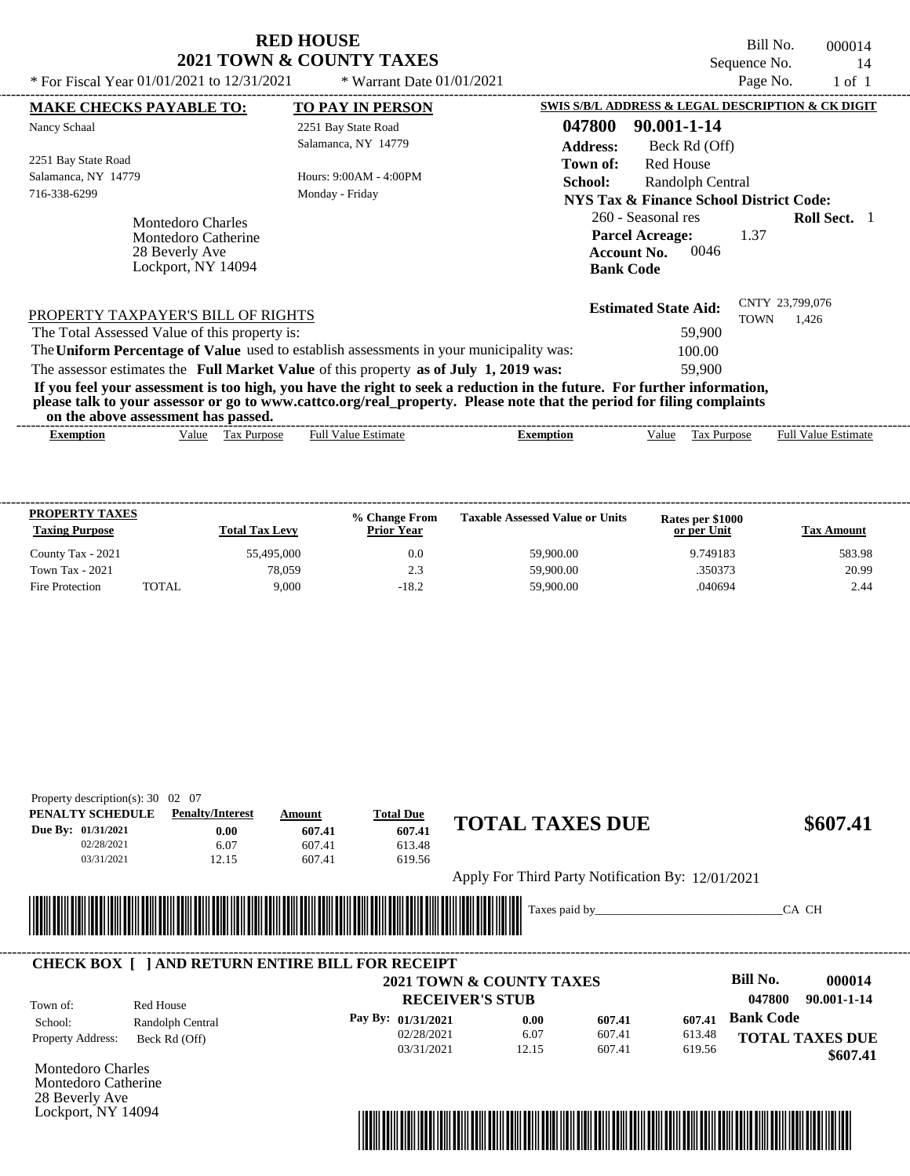Bill No. 000014 Sequence No.  $14$ <br>Page No.  $1 \text{ of } 1$ 

| * For Fiscal Year 01/01/2021 to 12/31/2021    | * Warrant Date $01/01/2021$                                                                                                                                                                                                                      |                                                                  | Page No.    | 1 of 1          |  |
|-----------------------------------------------|--------------------------------------------------------------------------------------------------------------------------------------------------------------------------------------------------------------------------------------------------|------------------------------------------------------------------|-------------|-----------------|--|
| <b>MAKE CHECKS PAYABLE TO:</b>                | <b>TO PAY IN PERSON</b>                                                                                                                                                                                                                          | <b>SWIS S/B/L ADDRESS &amp; LEGAL DESCRIPTION &amp; CK DIGIT</b> |             |                 |  |
| Nancy Schaal                                  | 2251 Bay State Road                                                                                                                                                                                                                              | 047800<br>90.001-1-14                                            |             |                 |  |
|                                               | Salamanca, NY 14779                                                                                                                                                                                                                              | <b>Address:</b><br>Beck Rd (Off)                                 |             |                 |  |
| 2251 Bay State Road                           |                                                                                                                                                                                                                                                  | Red House<br>Town of:                                            |             |                 |  |
| Salamanca, NY 14779                           | Hours: 9:00AM - 4:00PM                                                                                                                                                                                                                           | School:<br>Randolph Central                                      |             |                 |  |
| 716-338-6299                                  | Monday - Friday                                                                                                                                                                                                                                  | NYS Tax & Finance School District Code:                          |             |                 |  |
| <b>Montedoro Charles</b>                      |                                                                                                                                                                                                                                                  | 260 - Seasonal res                                               |             | Roll Sect. 1    |  |
| <b>Montedoro Catherine</b>                    |                                                                                                                                                                                                                                                  | <b>Parcel Acreage:</b>                                           | 1.37        |                 |  |
| 28 Beverly Ave                                |                                                                                                                                                                                                                                                  | 0046<br><b>Account No.</b>                                       |             |                 |  |
| Lockport, NY 14094                            |                                                                                                                                                                                                                                                  | <b>Bank Code</b>                                                 |             |                 |  |
|                                               |                                                                                                                                                                                                                                                  | <b>Estimated State Aid:</b>                                      |             | CNTY 23,799,076 |  |
| PROPERTY TAXPAYER'S BILL OF RIGHTS            |                                                                                                                                                                                                                                                  |                                                                  | <b>TOWN</b> | 1,426           |  |
| The Total Assessed Value of this property is: |                                                                                                                                                                                                                                                  | 59,900                                                           |             |                 |  |
|                                               | The Uniform Percentage of Value used to establish assessments in your municipality was:                                                                                                                                                          | 100.00                                                           |             |                 |  |
|                                               | The assessor estimates the Full Market Value of this property as of July 1, 2019 was:                                                                                                                                                            | 59,900                                                           |             |                 |  |
| on the above assessment has passed.           | If you feel your assessment is too high, you have the right to seek a reduction in the future. For further information,<br>please talk to your assessor or go to www.cattco.org/real_property. Please note that the period for filing complaints |                                                                  |             |                 |  |
|                                               |                                                                                                                                                                                                                                                  |                                                                  |             |                 |  |

| xemption | Value | $\overline{\phantom{a}}$<br>Purpose<br>. a | Value.<br>Ful.<br>Estimate | xemption | Value | $\mathbf{a}$<br><b>Purpose</b><br>∟a∧ | . .<br>Full<br>√alue<br>stimate |  |
|----------|-------|--------------------------------------------|----------------------------|----------|-------|---------------------------------------|---------------------------------|--|
|          |       |                                            |                            |          |       |                                       |                                 |  |

| <b>PROPERTY TAXES</b><br><b>Taxing Purpose</b> |       | <b>Total Tax Levy</b> | % Change From<br><b>Prior Year</b> | <b>Taxable Assessed Value or Units</b> | Rates per \$1000<br>or per Unit | <b>Tax Amount</b> |
|------------------------------------------------|-------|-----------------------|------------------------------------|----------------------------------------|---------------------------------|-------------------|
| County Tax - 2021                              |       | 55,495,000            | 0.0                                | 59,900.00                              | 9.749183                        | 583.98            |
| <b>Town Tax - 2021</b>                         |       | 78,059                | 2.3                                | 59,900.00                              | .350373                         | 20.99             |
| Fire Protection                                | TOTAL | 9.000                 | $-18.2$                            | 59,900.00                              | .040694                         | 2.44              |

| \$607.41               |
|------------------------|
|                        |
|                        |
|                        |
|                        |
|                        |
|                        |
| CA CH                  |
|                        |
|                        |
| 000014                 |
| 90.001-1-14            |
|                        |
|                        |
|                        |
| <b>TOTAL TAXES DUE</b> |
|                        |

Montedoro Charles Montedoro Catherine 28 Beverly Ave Lockport, NY 14094

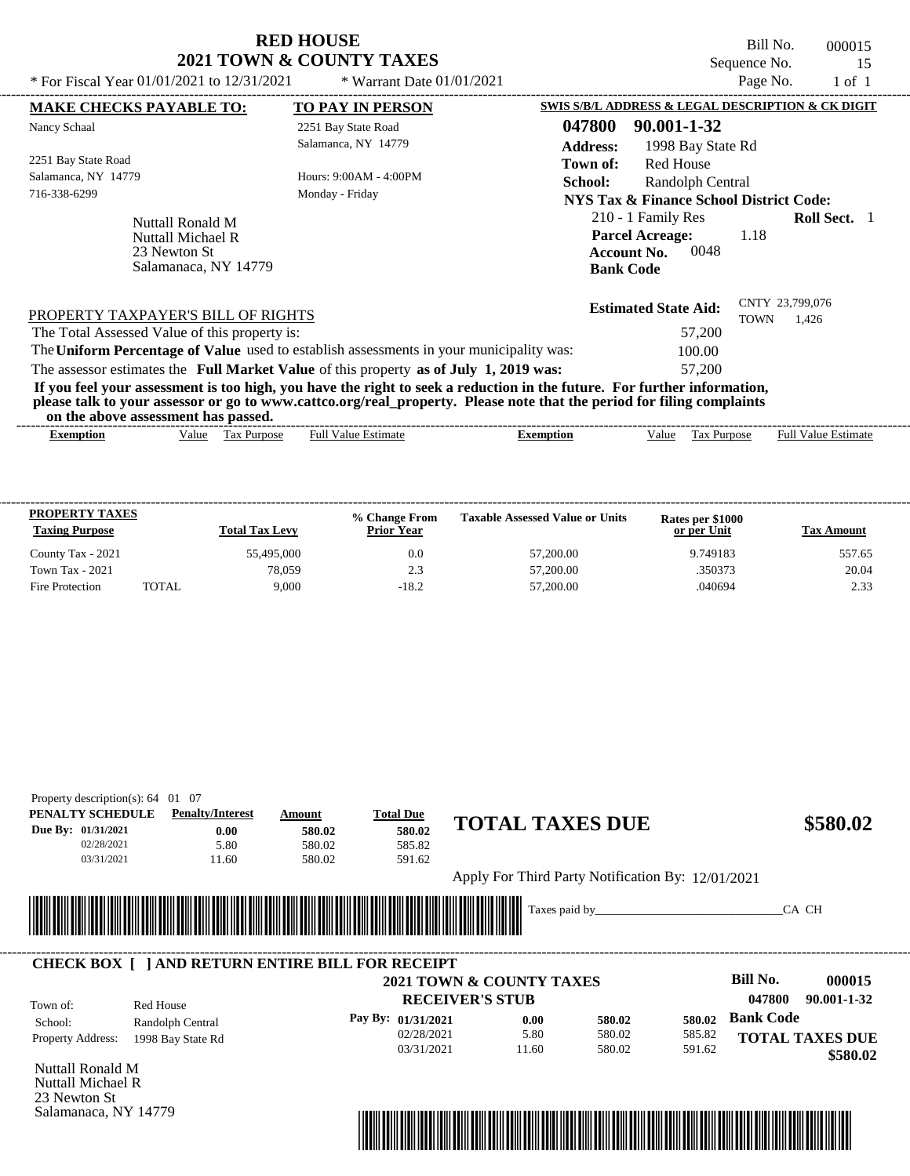| <b>RED HOUSE</b>         |  |
|--------------------------|--|
| 2021 TOWN & COUNTY TAXES |  |

Bill No. 000015 Sequence No. 15<br>Page No. 1 of 1

| * For Fiscal Year 01/01/2021 to 12/31/2021    | * Warrant Date $01/01/2021$                                                                                                                                                                                                                      | Page No.<br>1 of 1                                |
|-----------------------------------------------|--------------------------------------------------------------------------------------------------------------------------------------------------------------------------------------------------------------------------------------------------|---------------------------------------------------|
| <b>MAKE CHECKS PAYABLE TO:</b>                | <b>TO PAY IN PERSON</b>                                                                                                                                                                                                                          | SWIS S/B/L ADDRESS & LEGAL DESCRIPTION & CK DIGIT |
| Nancy Schaal                                  | 2251 Bay State Road                                                                                                                                                                                                                              | 047800<br>90.001-1-32                             |
|                                               | Salamanca, NY 14779                                                                                                                                                                                                                              | <b>Address:</b><br>1998 Bay State Rd              |
| 2251 Bay State Road                           |                                                                                                                                                                                                                                                  | Red House<br>Town of:                             |
| Salamanca, NY 14779                           | Hours: 9:00AM - 4:00PM                                                                                                                                                                                                                           | <b>School:</b><br>Randolph Central                |
| 716-338-6299                                  | Monday - Friday                                                                                                                                                                                                                                  | NYS Tax & Finance School District Code:           |
| Nuttall Ronald M                              |                                                                                                                                                                                                                                                  | 210 - 1 Family Res<br><b>Roll Sect.</b> 1         |
| Nuttall Michael R                             |                                                                                                                                                                                                                                                  | <b>Parcel Acreage:</b><br>1.18                    |
| 23 Newton St                                  |                                                                                                                                                                                                                                                  | 0048<br><b>Account No.</b>                        |
| Salamanaca, NY 14779                          |                                                                                                                                                                                                                                                  | <b>Bank Code</b>                                  |
|                                               |                                                                                                                                                                                                                                                  | CNTY 23,799,076<br><b>Estimated State Aid:</b>    |
| PROPERTY TAXPAYER'S BILL OF RIGHTS            |                                                                                                                                                                                                                                                  | 1,426<br>TOWN                                     |
| The Total Assessed Value of this property is: |                                                                                                                                                                                                                                                  | 57,200                                            |
|                                               | The Uniform Percentage of Value used to establish assessments in your municipality was:                                                                                                                                                          | 100.00                                            |
|                                               | The assessor estimates the Full Market Value of this property as of July 1, 2019 was:                                                                                                                                                            | 57,200                                            |
| on the above assessment has passed.           | If you feel your assessment is too high, you have the right to seek a reduction in the future. For further information,<br>please talk to your assessor or go to www.cattco.org/real_property. Please note that the period for filing complaints |                                                   |

| vu uv<br>. азэсээнісні наз базэса. |       |                       |                  |         |      |                |                             |  |  |  |
|------------------------------------|-------|-----------------------|------------------|---------|------|----------------|-----------------------------|--|--|--|
| Exemption                          | Value | 'ax<br><b>Purpose</b> | -Estimate<br>Ful | emption | alue | <b>Purpose</b> | Full $V$<br>Estimate<br>alu |  |  |  |
|                                    |       |                       |                  |         |      |                |                             |  |  |  |

| <b>PROPERTY TAXES</b><br><b>Taxing Purpose</b> |       | <b>Total Tax Levy</b> | % Change From<br><b>Prior Year</b> | <b>Taxable Assessed Value or Units</b> | Rates per \$1000<br>or per Unit | <b>Tax Amount</b> |
|------------------------------------------------|-------|-----------------------|------------------------------------|----------------------------------------|---------------------------------|-------------------|
| County Tax - 2021                              |       | 55,495,000            | 0.0                                | 57,200.00                              | 9.749183                        | 557.65            |
| Town Tax - 2021                                |       | 78.059                | 2.3                                | 57,200.00                              | .350373                         | 20.04             |
| Fire Protection                                | TOTAL | 9.000                 | $-18.2$                            | 57,200.00                              | .040694                         | 2.33              |

| PENALTY SCHEDULE                             | <b>Penalty/Interest</b>                                 | Amount                      | <b>Total Due</b>       | <b>TOTAL TAXES DUE</b>                            |               |        |                  |                        |
|----------------------------------------------|---------------------------------------------------------|-----------------------------|------------------------|---------------------------------------------------|---------------|--------|------------------|------------------------|
| Due By: 01/31/2021                           | 0.00                                                    | 580.02                      | 580.02                 |                                                   |               |        |                  | \$580.02               |
| 02/28/2021                                   | 5.80                                                    | 580.02                      | 585.82                 |                                                   |               |        |                  |                        |
| 03/31/2021                                   | 11.60                                                   | 580.02                      | 591.62                 |                                                   |               |        |                  |                        |
|                                              |                                                         |                             |                        | Apply For Third Party Notification By: 12/01/2021 |               |        |                  |                        |
|                                              |                                                         |                             |                        |                                                   |               |        |                  |                        |
|                                              |                                                         | <u> Tanzania (h. 1888).</u> |                        |                                                   | Taxes paid by |        |                  | CA CH                  |
|                                              |                                                         |                             |                        |                                                   |               |        |                  |                        |
|                                              |                                                         |                             |                        |                                                   |               |        |                  |                        |
|                                              |                                                         |                             |                        |                                                   |               |        |                  |                        |
|                                              |                                                         |                             |                        |                                                   |               |        |                  |                        |
|                                              | <b>CHECK BOX     AND RETURN ENTIRE BILL FOR RECEIPT</b> |                             |                        |                                                   |               |        |                  |                        |
|                                              |                                                         |                             |                        | 2021 TOWN & COUNTY TAXES                          |               |        | Bill No.         | 000015                 |
| Town of:                                     | Red House                                               |                             | <b>RECEIVER'S STUB</b> |                                                   |               |        | 047800           | 90.001-1-32            |
| School:                                      | Randolph Central                                        |                             | Pay By: 01/31/2021     | 0.00                                              | 580.02        | 580.02 | <b>Bank Code</b> |                        |
|                                              |                                                         |                             | 02/28/2021             | 5.80                                              | 580.02        | 585.82 |                  |                        |
| Property Address:                            | 1998 Bay State Rd                                       |                             | 03/31/2021             | 11.60                                             | 580.02        | 591.62 |                  | <b>TOTAL TAXES DUE</b> |
|                                              |                                                         |                             |                        |                                                   |               |        |                  | \$580.02               |
| Nuttall Ronald M<br><b>Nuttall Michael R</b> |                                                         |                             |                        |                                                   |               |        |                  |                        |

Salamanaca, NY 14779

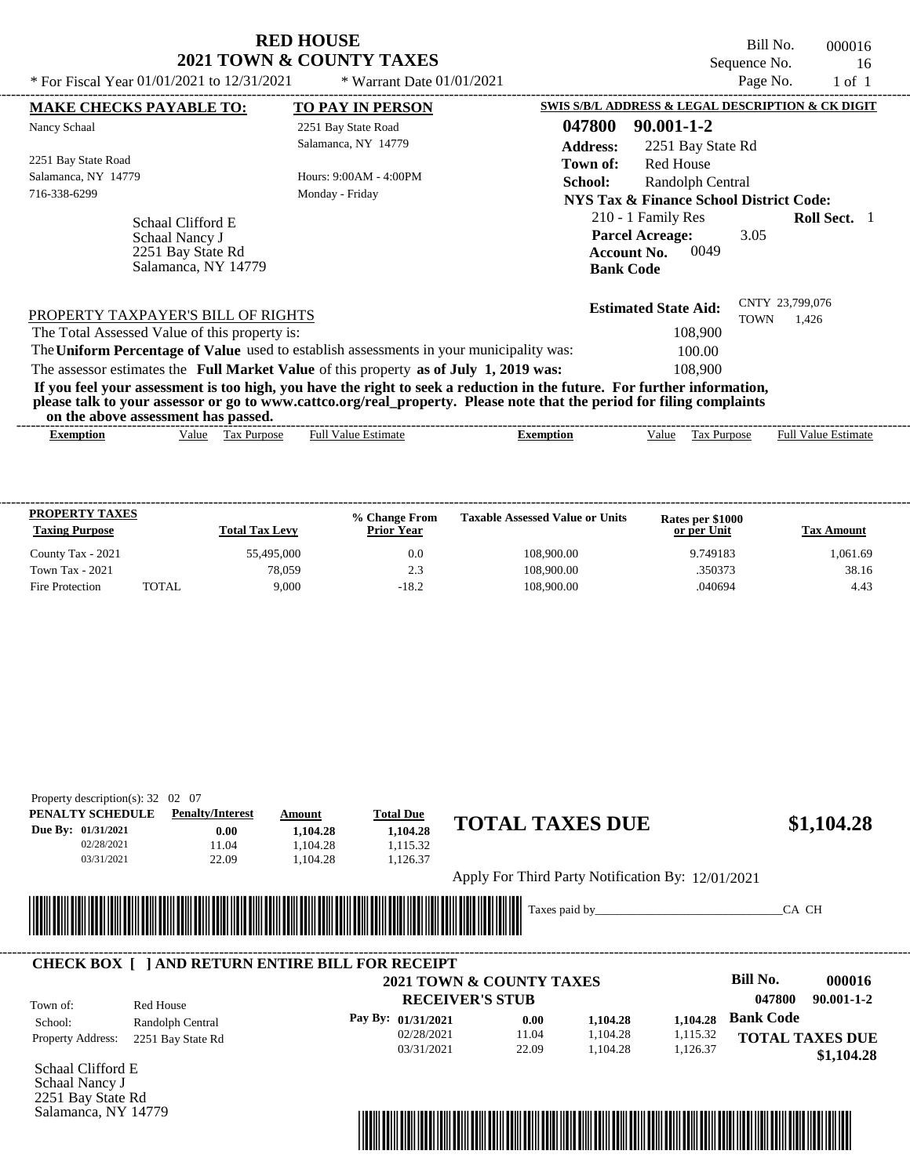| <b>RED HOUSE</b>                    |
|-------------------------------------|
| <b>2021 TOWN &amp; COUNTY TAXES</b> |

Bill No. 000016 Sequence No. 16<br>Page No. 1 of 1 \* For Fiscal Year  $01/01/2021$  to  $12/31/2021$  \* Warrant Date  $01/01/2021$  Page No. 1 of 1

| <b>MAKE CHECKS PAYABLE TO:</b>                                                          | <b>TO PAY IN PERSON</b>    | SWIS S/B/L ADDRESS & LEGAL DESCRIPTION & CK DIGIT                                                                       |                                           |
|-----------------------------------------------------------------------------------------|----------------------------|-------------------------------------------------------------------------------------------------------------------------|-------------------------------------------|
| Nancy Schaal                                                                            | 2251 Bay State Road        | 047800<br>90.001-1-2                                                                                                    |                                           |
|                                                                                         | Salamanca, NY 14779        | <b>Address:</b><br>2251 Bay State Rd                                                                                    |                                           |
| 2251 Bay State Road                                                                     |                            | Red House<br>Town of:                                                                                                   |                                           |
| Salamanca, NY 14779                                                                     | Hours: 9:00AM - 4:00PM     | School:<br>Randolph Central                                                                                             |                                           |
| 716-338-6299                                                                            | Monday - Friday            | NYS Tax & Finance School District Code:                                                                                 |                                           |
| Schaal Clifford E                                                                       |                            | 210 - 1 Family Res                                                                                                      | <b>Roll Sect.</b>                         |
| Schaal Nancy J                                                                          |                            | <b>Parcel Acreage:</b>                                                                                                  | 3.05                                      |
| 2251 Bay State Rd                                                                       |                            | 0049<br><b>Account No.</b>                                                                                              |                                           |
| Salamanca, NY 14779                                                                     |                            | <b>Bank Code</b>                                                                                                        |                                           |
| PROPERTY TAXPAYER'S BILL OF RIGHTS                                                      |                            | <b>Estimated State Aid:</b>                                                                                             | CNTY 23,799,076                           |
| The Total Assessed Value of this property is:                                           |                            | 108,900                                                                                                                 | <b>TOWN</b><br>1.426                      |
| The Uniform Percentage of Value used to establish assessments in your municipality was: |                            | 100.00                                                                                                                  |                                           |
| The assessor estimates the Full Market Value of this property as of July 1, 2019 was:   |                            | 108,900                                                                                                                 |                                           |
|                                                                                         |                            | If you feel your assessment is too high, you have the right to seek a reduction in the future. For further information, |                                           |
| on the above assessment has passed.                                                     |                            | please talk to your assessor or go to www.cattco.org/real_property. Please note that the period for filing complaints   |                                           |
| Tax Purpose<br><b>Exemption</b><br>Value                                                | <b>Full Value Estimate</b> | Value<br><b>Exemption</b>                                                                                               | <b>Full Value Estimate</b><br>Tax Purpose |
|                                                                                         |                            |                                                                                                                         |                                           |

| <b>PROPERTY TAXES</b><br><b>Taxing Purpose</b> |       | <b>Total Tax Levy</b> | % Change From<br><b>Prior Year</b> | <b>Taxable Assessed Value or Units</b> | Rates per \$1000<br>or per Unit | Tax Amount |
|------------------------------------------------|-------|-----------------------|------------------------------------|----------------------------------------|---------------------------------|------------|
| County Tax - 2021                              |       | 55,495,000            | 0.0                                | 108,900.00                             | 9.749183                        | 1,061.69   |
| <b>Town Tax - 2021</b>                         |       | 78.059                | 2.3                                | 108,900.00                             | .350373                         | 38.16      |
| Fire Protection                                | TOTAL | 9.000                 | $-18.2$                            | 108,900.00                             | .040694                         | 4.43       |

| PENALTY SCHEDULE   | <b>Penalty/Interest</b>                                 | Amount                                                                                                                | <b>Total Due</b>                    |       | <b>TOTAL TAXES DUE</b>                            |          |                            |
|--------------------|---------------------------------------------------------|-----------------------------------------------------------------------------------------------------------------------|-------------------------------------|-------|---------------------------------------------------|----------|----------------------------|
| Due By: 01/31/2021 | 0.00                                                    | 1.104.28                                                                                                              | 1.104.28                            |       |                                                   |          | \$1,104.28                 |
| 02/28/2021         | 11.04                                                   | 1.104.28                                                                                                              | 1.115.32                            |       |                                                   |          |                            |
| 03/31/2021         | 22.09                                                   | 1.104.28                                                                                                              | 1,126.37                            |       |                                                   |          |                            |
|                    |                                                         |                                                                                                                       |                                     |       | Apply For Third Party Notification By: 12/01/2021 |          |                            |
|                    |                                                         |                                                                                                                       |                                     |       |                                                   |          |                            |
|                    |                                                         |                                                                                                                       |                                     |       |                                                   |          |                            |
|                    |                                                         |                                                                                                                       |                                     |       | Taxes paid by                                     |          | CA CH                      |
|                    |                                                         | <u> Timba ka matsayin ka shekara ta shekara ta 1999 da shekara ta 1999 da shekara ta 1999 da shekara ta 1999 da s</u> |                                     |       |                                                   |          |                            |
|                    |                                                         |                                                                                                                       |                                     |       |                                                   |          |                            |
|                    | <b>CHECK BOX     AND RETURN ENTIRE BILL FOR RECEIPT</b> |                                                                                                                       |                                     |       |                                                   |          |                            |
|                    |                                                         |                                                                                                                       | <b>2021 TOWN &amp; COUNTY TAXES</b> |       |                                                   |          | Bill No.<br>000016         |
| Town of:           | Red House                                               |                                                                                                                       | <b>RECEIVER'S STUB</b>              |       |                                                   |          | 047800<br>$90.001 - 1 - 2$ |
| School:            |                                                         |                                                                                                                       | Pay By: 01/31/2021                  | 0.00  | 1,104.28                                          | 1,104.28 | <b>Bank Code</b>           |
| Property Address:  | Randolph Central<br>2251 Bay State Rd                   |                                                                                                                       | 02/28/2021                          | 11.04 | 1,104.28                                          | 1,115.32 | <b>TOTAL TAXES DUE</b>     |

Schaal Nancy J 2251 Bay State Rd Salamanca, NY 14779

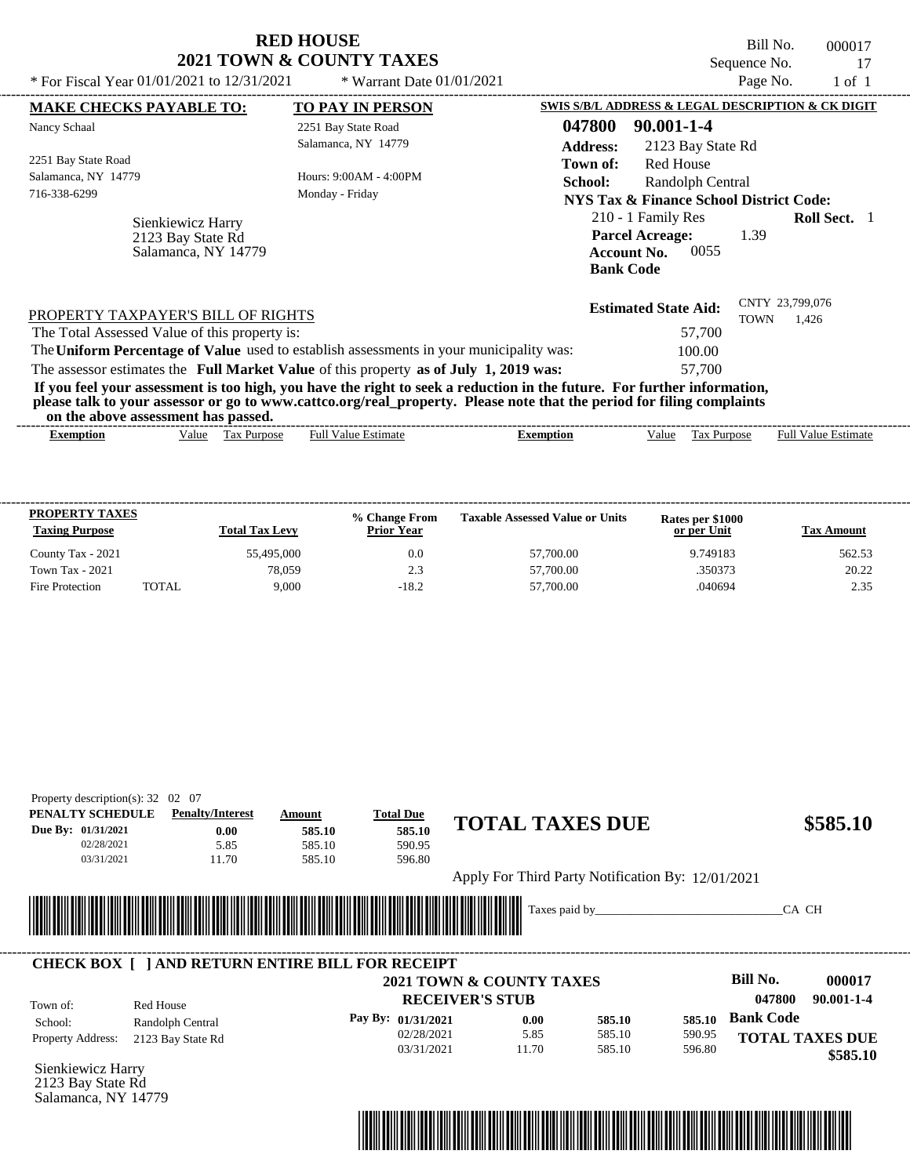|                                                                                                                                                                                                                  | KED HOUSE<br>2021 TOWN & COUNTY TAXES | Bill No.<br>000017                                                                                                            |
|------------------------------------------------------------------------------------------------------------------------------------------------------------------------------------------------------------------|---------------------------------------|-------------------------------------------------------------------------------------------------------------------------------|
| * For Fiscal Year $01/01/2021$ to $12/31/2021$                                                                                                                                                                   | * Warrant Date $01/01/2021$           | Sequence No.<br>17<br>Page No.<br>$1$ of $1$                                                                                  |
| <b>MAKE CHECKS PAYABLE TO:</b>                                                                                                                                                                                   | <b>TO PAY IN PERSON</b>               | SWIS S/B/L ADDRESS & LEGAL DESCRIPTION & CK DIGIT                                                                             |
| Nancy Schaal                                                                                                                                                                                                     | 2251 Bay State Road                   | 047800<br>90.001-1-4                                                                                                          |
|                                                                                                                                                                                                                  | Salamanca, NY 14779                   | <b>Address:</b><br>2123 Bay State Rd                                                                                          |
| 2251 Bay State Road                                                                                                                                                                                              |                                       | Red House<br>Town of:                                                                                                         |
| Salamanca, NY 14779                                                                                                                                                                                              | Hours: 9:00AM - 4:00PM                | <b>School:</b><br>Randolph Central                                                                                            |
| 716-338-6299                                                                                                                                                                                                     | Monday - Friday                       | NYS Tax & Finance School District Code:                                                                                       |
| Sienkiewicz Harry<br>2123 Bay State Rd<br>Salamanca, NY 14779                                                                                                                                                    |                                       | 210 - 1 Family Res<br><b>Roll Sect.</b> 1<br><b>Parcel Acreage:</b><br>1.39<br>0055<br><b>Account No.</b><br><b>Bank Code</b> |
| PROPERTY TAXPAYER'S BILL OF RIGHTS                                                                                                                                                                               |                                       | CNTY 23,799,076<br><b>Estimated State Aid:</b><br><b>TOWN</b><br>1,426                                                        |
| The Total Assessed Value of this property is:                                                                                                                                                                    |                                       | 57,700                                                                                                                        |
| The Uniform Percentage of Value used to establish assessments in your municipality was:                                                                                                                          |                                       | 100.00                                                                                                                        |
| The assessor estimates the Full Market Value of this property as of July 1, 2019 was:<br>If you feel your assessment is too high, you have the right to seek a reduction in the future. For further information, |                                       | 57,700                                                                                                                        |

**RED HOUSE** 

| the<br>or<br>asses<br>$\sim$ abov $^{\circ}$ | . nas<br>-passed.<br>essment        |                |         |                                       |                                                             |
|----------------------------------------------|-------------------------------------|----------------|---------|---------------------------------------|-------------------------------------------------------------|
| txemption                                    | √alue<br><b>ax</b><br><b>ITDOS6</b> | Estimat<br>Ful | emption | $\sim$<br>alue<br>'urbo:<br>יצר<br>__ | $\sim$<br>$\lceil \text{full } V \rceil$<br>Estimate<br>alu |

| <b>PROPERTY TAXES</b><br><b>Taxing Purpose</b> |       | <b>Total Tax Levy</b> | % Change From<br><b>Prior Year</b> | <b>Taxable Assessed Value or Units</b> | Rates per \$1000<br>or per Unit | <b>Tax Amount</b> |
|------------------------------------------------|-------|-----------------------|------------------------------------|----------------------------------------|---------------------------------|-------------------|
| County Tax - 2021                              |       | 55,495,000            | 0.0                                | 57,700.00                              | 9.749183                        | 562.53            |
| Town Tax - 2021                                |       | 78.059                | 2.3                                | 57,700.00                              | .350373                         | 20.22             |
| Fire Protection                                | TOTAL | 9.000                 | $-18.2$                            | 57,700.00                              | .040694                         | 2.35              |

| PENALTY SCHEDULE<br>Due By: 01/31/2021<br>02/28/2021<br>03/31/2021 | <b>Penalty/Interest</b><br>0.00<br>5.85<br>11.70       | Amount<br>585.10<br>585.10<br>585.10                                                                                  | <b>Total Due</b><br>585.10<br>590.95<br>596.80                           | <b>TOTAL TAXES DUE</b>                            |                            |                            |                            | \$585.10                                               |
|--------------------------------------------------------------------|--------------------------------------------------------|-----------------------------------------------------------------------------------------------------------------------|--------------------------------------------------------------------------|---------------------------------------------------|----------------------------|----------------------------|----------------------------|--------------------------------------------------------|
|                                                                    |                                                        |                                                                                                                       |                                                                          | Apply For Third Party Notification By: 12/01/2021 |                            |                            |                            |                                                        |
|                                                                    |                                                        | <u> Harry Harry Harry Harry Harry Harry Harry Harry Harry Harry Harry Harry Harry Harry Harry Harry Harry Harry H</u> |                                                                          |                                                   |                            |                            | CA CH                      |                                                        |
|                                                                    | <b>CHECK BOX   JAND RETURN ENTIRE BILL FOR RECEIPT</b> |                                                                                                                       |                                                                          | <b>2021 TOWN &amp; COUNTY TAXES</b>               |                            |                            | Bill No.                   | 000017                                                 |
| Town of:<br>School:<br>Property Address:                           | Red House<br>Randolph Central<br>2123 Bay State Rd     |                                                                                                                       | <b>RECEIVER'S STUB</b><br>Pay By: 01/31/2021<br>02/28/2021<br>03/31/2021 | 0.00<br>5.85<br>11.70                             | 585.10<br>585.10<br>585.10 | 585.10<br>590.95<br>596.80 | 047800<br><b>Bank Code</b> | $90.001 - 1 - 4$<br><b>TOTAL TAXES DUE</b><br>\$585.10 |

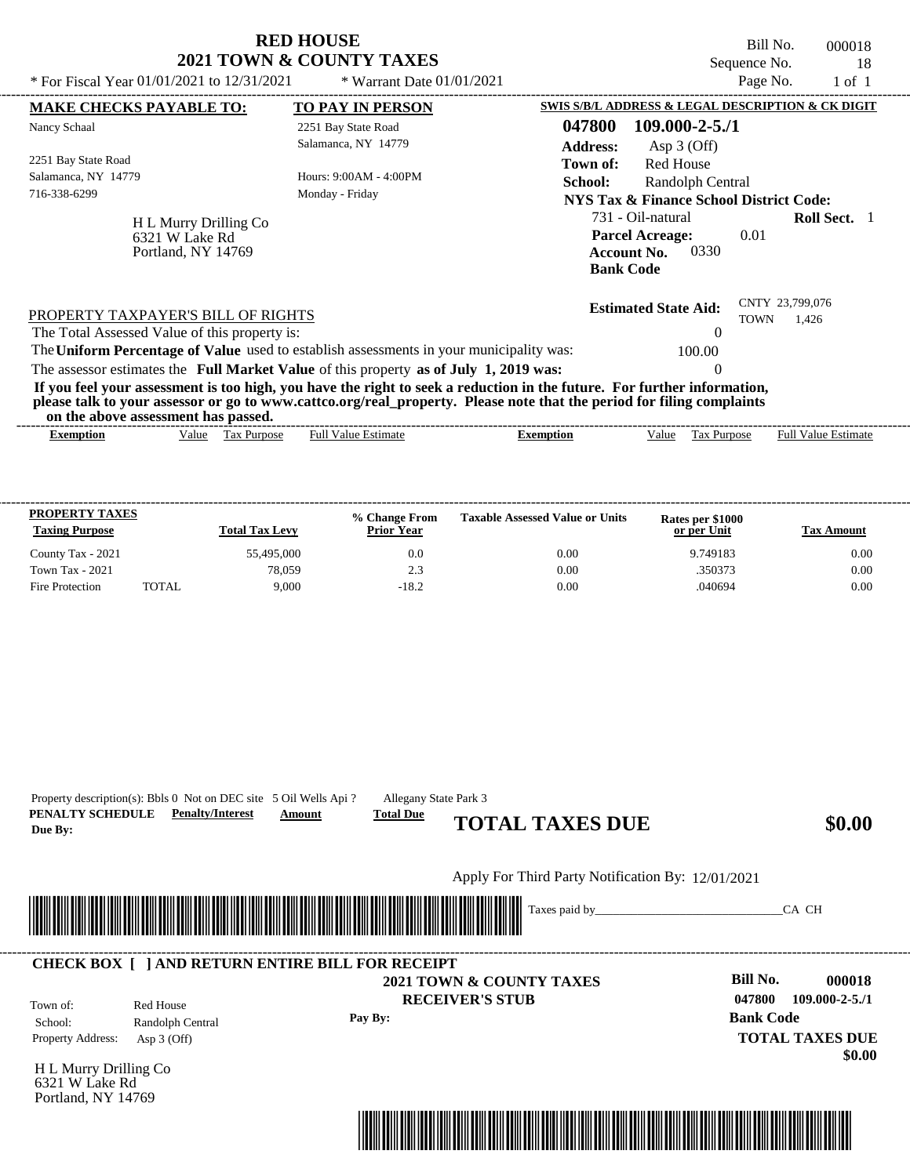|                                                                                                                                                                                                                                                                                         | <b>RED HOUSE</b><br>2021 TOWN & COUNTY TAXES |                                        |                                                                                            | Bill No.<br>Sequence No.       | 000018<br>18               |  |
|-----------------------------------------------------------------------------------------------------------------------------------------------------------------------------------------------------------------------------------------------------------------------------------------|----------------------------------------------|----------------------------------------|--------------------------------------------------------------------------------------------|--------------------------------|----------------------------|--|
| * For Fiscal Year $01/01/2021$ to $12/31/2021$                                                                                                                                                                                                                                          | * Warrant Date $01/01/2021$                  |                                        | Page No.                                                                                   |                                |                            |  |
| <b>MAKE CHECKS PAYABLE TO:</b>                                                                                                                                                                                                                                                          | <b>TO PAY IN PERSON</b>                      |                                        | SWIS S/B/L ADDRESS & LEGAL DESCRIPTION & CK DIGIT                                          |                                |                            |  |
| Nancy Schaal                                                                                                                                                                                                                                                                            | 2251 Bay State Road<br>Salamanca, NY 14779   | 047800<br><b>Address:</b>              | $109.000 - 2 - 5.71$<br>Asp $3$ (Off)                                                      |                                |                            |  |
| 2251 Bay State Road<br>Salamanca, NY 14779<br>716-338-6299                                                                                                                                                                                                                              | Hours: 9:00AM - 4:00PM<br>Monday - Friday    | Town of:<br>School:                    | <b>Red House</b><br>Randolph Central<br><b>NYS Tax &amp; Finance School District Code:</b> |                                |                            |  |
| H L Murry Drilling Co<br>6321 W Lake Rd<br>Portland, NY 14769                                                                                                                                                                                                                           |                                              | <b>Account No.</b><br><b>Bank Code</b> | 731 - Oil-natural<br><b>Parcel Acreage:</b><br>0330                                        | 0.01                           | Roll Sect. 1               |  |
| PROPERTY TAXPAYER'S BILL OF RIGHTS<br>The Total Assessed Value of this property is:<br>The Uniform Percentage of Value used to establish assessments in your municipality was:                                                                                                          |                                              |                                        | <b>Estimated State Aid:</b><br>0<br>100.00                                                 | CNTY 23,799,076<br><b>TOWN</b> | 1.426                      |  |
| The assessor estimates the Full Market Value of this property as of July 1, 2019 was:                                                                                                                                                                                                   |                                              |                                        | $\Omega$                                                                                   |                                |                            |  |
| If you feel your assessment is too high, you have the right to seek a reduction in the future. For further information,<br>please talk to your assessor or go to www.cattco.org/real_property. Please note that the period for filing complaints<br>on the above assessment has passed. |                                              |                                        |                                                                                            |                                |                            |  |
| Value Tax Purpose<br><b>Exemption</b>                                                                                                                                                                                                                                                   | <b>Full Value Estimate</b>                   | <b>Exemption</b>                       | Value Tax Purpose                                                                          |                                | <b>Full Value Estimate</b> |  |
| <b>PROPERTY TAXES</b><br><b>Taxing Purpose</b><br><b>Total Tax Levy</b>                                                                                                                                                                                                                 | % Change From<br><b>Prior Year</b>           | <b>Taxable Assessed Value or Units</b> | Rates per \$1000<br>or per Unit                                                            |                                | <b>Tax Amount</b>          |  |

County Tax - 2021 55,495,000 6.00 6.00 0.00 0.00 9.749183 0.00 Town Tax - 2021 28,059 78,059 2.3 0.00 350373 350373 0.00 Fire Protection TOTAL 9,000 -18.2 0.00 .040694 0.00

| PENALTY SCHEDULE<br>Due By:                                   | Property description(s): Bbls 0 Not on DEC site 5 Oil Wells Api?<br><b>Penalty/Interest</b> | Allegany State Park 3<br><b>Total Due</b><br>Amount | <b>TOTAL TAXES DUE</b>                                        | \$0.00                                                                                             |
|---------------------------------------------------------------|---------------------------------------------------------------------------------------------|-----------------------------------------------------|---------------------------------------------------------------|----------------------------------------------------------------------------------------------------|
|                                                               |                                                                                             |                                                     | Apply For Third Party Notification By: 12/01/2021             |                                                                                                    |
|                                                               |                                                                                             |                                                     |                                                               | CA CH                                                                                              |
|                                                               | <b>CHECK BOX [ ] AND RETURN ENTIRE BILL FOR RECEIPT</b>                                     |                                                     |                                                               |                                                                                                    |
| Town of:<br>School:<br>Property Address:                      | Red House<br>Randolph Central<br>Asp $3$ (Off)                                              | Pay By:                                             | <b>2021 TOWN &amp; COUNTY TAXES</b><br><b>RECEIVER'S STUB</b> | Bill No.<br>000018<br>047800<br>$109.000 - 2 - 5.71$<br><b>Bank Code</b><br><b>TOTAL TAXES DUE</b> |
| H L Murry Drilling Co<br>6321 W Lake Rd<br>Portland, NY 14769 |                                                                                             |                                                     |                                                               | \$0.00                                                                                             |
|                                                               |                                                                                             |                                                     |                                                               |                                                                                                    |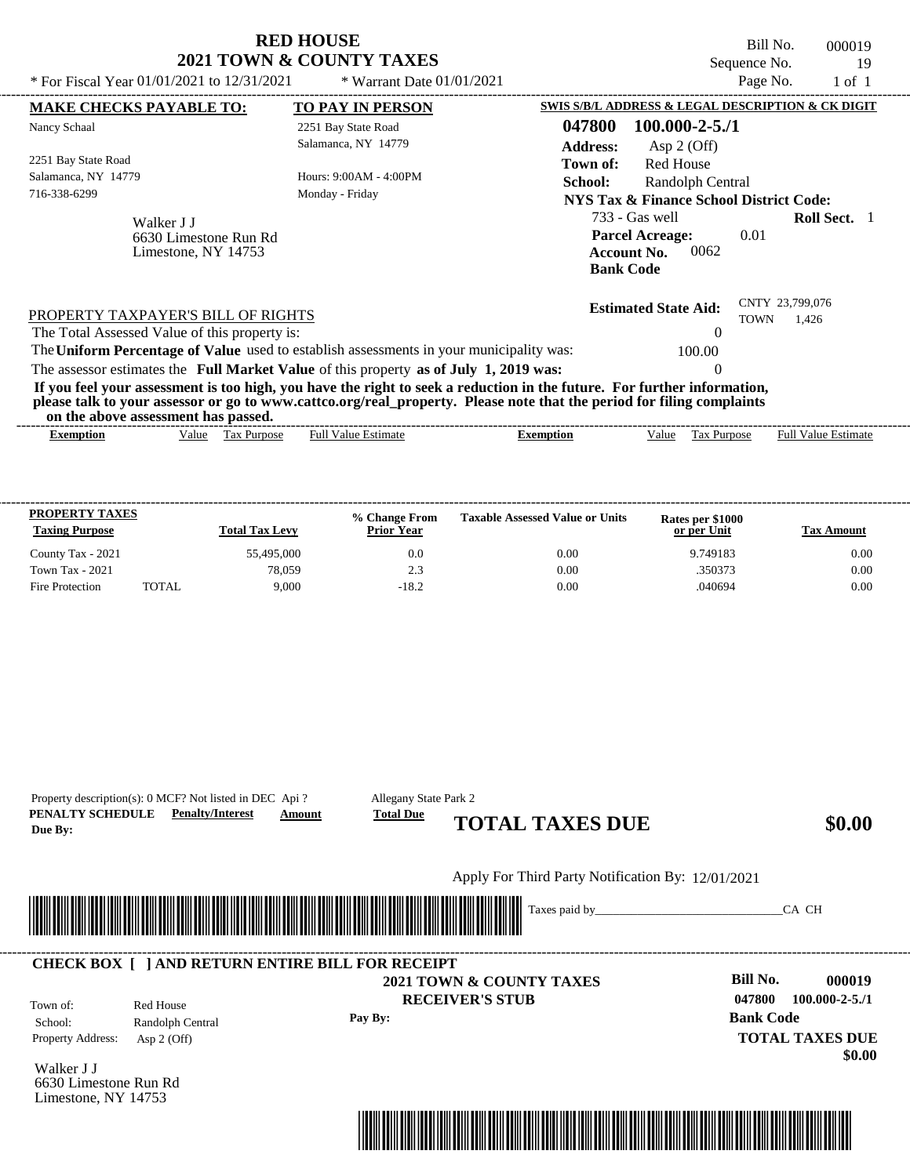|                                                                                                                                                                                                                                                                                         | KED HOUSE                   |                                                   |                                                                  | Bill No.                                           |                            | 000019     |
|-----------------------------------------------------------------------------------------------------------------------------------------------------------------------------------------------------------------------------------------------------------------------------------------|-----------------------------|---------------------------------------------------|------------------------------------------------------------------|----------------------------------------------------|----------------------------|------------|
|                                                                                                                                                                                                                                                                                         | 2021 TOWN & COUNTY TAXES    |                                                   |                                                                  | Sequence No.                                       |                            | 19         |
| * For Fiscal Year 01/01/2021 to 12/31/2021                                                                                                                                                                                                                                              | * Warrant Date $01/01/2021$ |                                                   |                                                                  | Page No.                                           |                            | $1$ of $1$ |
| <b>MAKE CHECKS PAYABLE TO:</b>                                                                                                                                                                                                                                                          | <b>TO PAY IN PERSON</b>     | SWIS S/B/L ADDRESS & LEGAL DESCRIPTION & CK DIGIT |                                                                  |                                                    |                            |            |
| Nancy Schaal                                                                                                                                                                                                                                                                            | 2251 Bay State Road         | 047800                                            | $100.000 - 2 - 5.71$                                             |                                                    |                            |            |
|                                                                                                                                                                                                                                                                                         | Salamanca, NY 14779         | <b>Address:</b>                                   | Asp $2$ (Off)                                                    |                                                    |                            |            |
| 2251 Bay State Road                                                                                                                                                                                                                                                                     |                             | Town of:                                          | <b>Red House</b>                                                 |                                                    |                            |            |
| Salamanca, NY 14779                                                                                                                                                                                                                                                                     | Hours: 9:00AM - 4:00PM      | School:                                           | Randolph Central                                                 |                                                    |                            |            |
| 716-338-6299                                                                                                                                                                                                                                                                            | Monday - Friday             |                                                   |                                                                  | <b>NYS Tax &amp; Finance School District Code:</b> |                            |            |
| Walker J J                                                                                                                                                                                                                                                                              |                             |                                                   | 733 - Gas well                                                   |                                                    | <b>Roll Sect.</b> 1        |            |
| 6630 Limestone Run Rd<br>Limestone, NY 14753                                                                                                                                                                                                                                            |                             |                                                   | <b>Parcel Acreage:</b><br><b>Account No.</b><br><b>Bank Code</b> | 0.01<br>0062                                       |                            |            |
| PROPERTY TAXPAYER'S BILL OF RIGHTS<br>The Total Assessed Value of this property is:                                                                                                                                                                                                     |                             |                                                   | <b>Estimated State Aid:</b>                                      | <b>TOWN</b>                                        | CNTY 23,799,076<br>1.426   |            |
| The Uniform Percentage of Value used to establish assessments in your municipality was:                                                                                                                                                                                                 |                             |                                                   |                                                                  | 100.00                                             |                            |            |
|                                                                                                                                                                                                                                                                                         |                             |                                                   |                                                                  |                                                    |                            |            |
| The assessor estimates the Full Market Value of this property as of July 1, 2019 was:                                                                                                                                                                                                   |                             |                                                   |                                                                  |                                                    |                            |            |
| If you feel your assessment is too high, you have the right to seek a reduction in the future. For further information,<br>please talk to your assessor or go to www.cattco.org/real_property. Please note that the period for filing complaints<br>on the above assessment has passed. |                             |                                                   |                                                                  |                                                    |                            |            |
| Tax Purpose<br><b>Exemption</b><br>Value                                                                                                                                                                                                                                                | <b>Full Value Estimate</b>  | <b>Exemption</b>                                  | Value                                                            | Tax Purpose                                        | <b>Full Value Estimate</b> |            |
|                                                                                                                                                                                                                                                                                         |                             |                                                   |                                                                  |                                                    |                            |            |

**RED HOUSE** 

| <b>PROPERTY TAXES</b><br><b>Taxing Purpose</b> |       | <b>Total Tax Levy</b> | % Change From<br><b>Prior Year</b> | <b>Taxable Assessed Value or Units</b> | Rates per \$1000<br>or per Unit | Tax Amount |
|------------------------------------------------|-------|-----------------------|------------------------------------|----------------------------------------|---------------------------------|------------|
| County Tax - 2021                              |       | 55,495,000            | 0.0                                | 0.00                                   | 9.749183                        | 0.00       |
| Town Tax - 2021                                |       | 78.059                | 2.3                                | 0.00                                   | .350373                         | 0.00       |
| Fire Protection                                | TOTAL | 9.000                 | $-18.2$                            | 0.00                                   | .040694                         | 0.00       |

**PENALTY SCHEDULE Penalty/Interest Amount Total Due Due By: CHEDULE <u>Penanty/Interest Amount</u> TOTAL TAXES DUE** \$0.00 Property description(s): 0 MCF? Not listed in DEC Api ? Allegany State Park 2

**Pay By:**

**RECEIVER'S STUB**

Apply For Third Party Notification By: 12/01/2021

\*04780000001900000000000000\*

#### **2021 TOWN & COUNTY TAXES** ---------------------------------------------------------------------------------------------------------------------------------------------------------------------------------------------------- **CHECK BOX [ ] AND RETURN ENTIRE BILL FOR RECEIPT**

Town of:

Property Address: Asp 2 (Off) Red House School: Randolph Central

Walker J J 6630 Limestone Run Rd Limestone, NY 14753



Taxes paid by\_\_\_\_\_\_\_\_\_\_\_\_\_\_\_\_\_\_\_\_\_\_\_\_\_\_\_\_\_\_\_CA CH

**Bill No. 000019 Bank Code TOTAL TAXES DUE 047800 100.000-2-5./1**

 **\$0.00**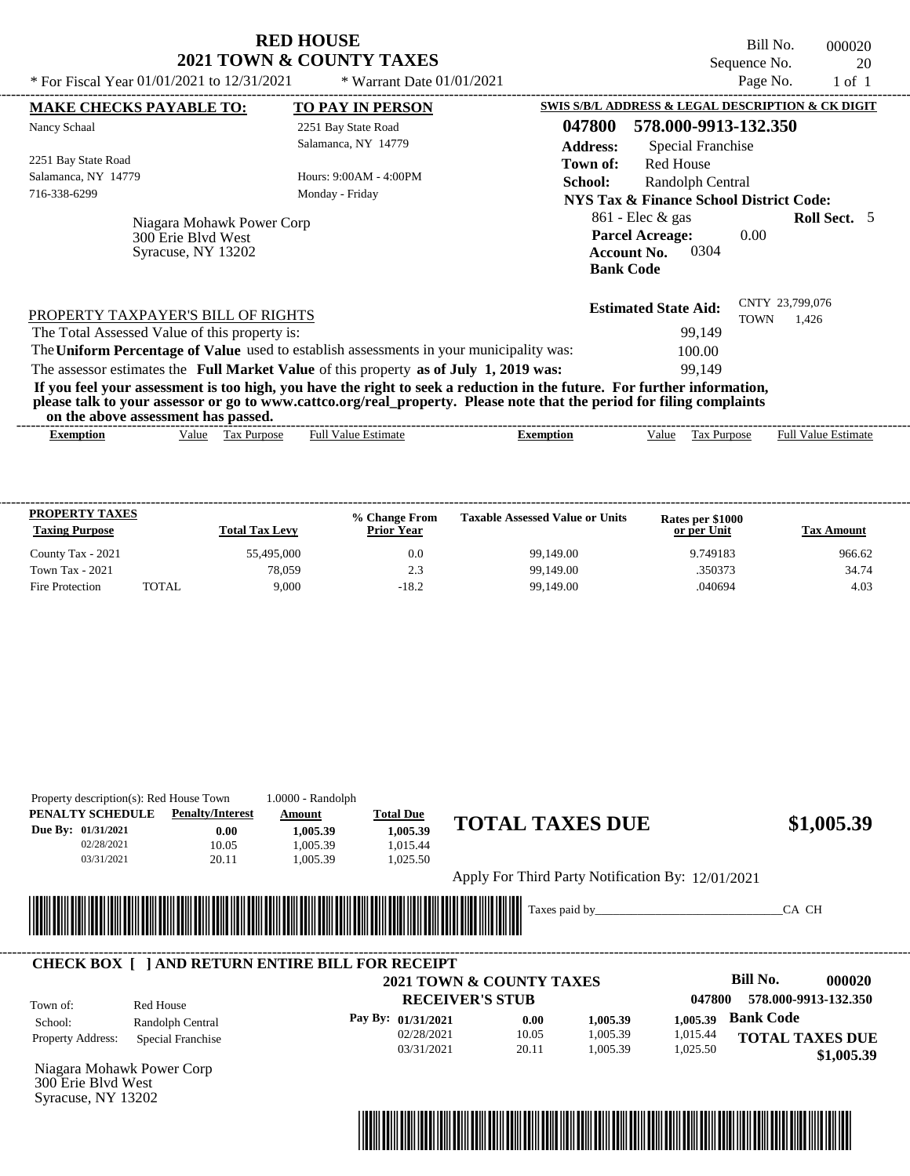| <b>RED HOUSE</b>         |  |
|--------------------------|--|
| 2021 TOWN & COUNTY TAXES |  |

Bill No. 000020 Sequence No. 20<br>Page No. 20<br>1 of 1

|                                                                                                                                                                                                                                                                                         | * Warrant Date 01/01/2021  |                                                                                        | Page No.             | $1$ of $1$                 |
|-----------------------------------------------------------------------------------------------------------------------------------------------------------------------------------------------------------------------------------------------------------------------------------------|----------------------------|----------------------------------------------------------------------------------------|----------------------|----------------------------|
| <b>MAKE CHECKS PAYABLE TO:</b>                                                                                                                                                                                                                                                          | <b>TO PAY IN PERSON</b>    | SWIS S/B/L ADDRESS & LEGAL DESCRIPTION & CK DIGIT                                      |                      |                            |
| Nancy Schaal                                                                                                                                                                                                                                                                            | 2251 Bay State Road        | 047800                                                                                 | 578.000-9913-132.350 |                            |
|                                                                                                                                                                                                                                                                                         | Salamanca, NY 14779        | <b>Address:</b>                                                                        | Special Franchise    |                            |
| 2251 Bay State Road                                                                                                                                                                                                                                                                     |                            | <b>Red House</b><br>Town of:                                                           |                      |                            |
| Salamanca, NY 14779                                                                                                                                                                                                                                                                     | Hours: 9:00AM - 4:00PM     | School:                                                                                | Randolph Central     |                            |
| 716-338-6299                                                                                                                                                                                                                                                                            | Monday - Friday            | <b>NYS Tax &amp; Finance School District Code:</b>                                     |                      |                            |
| Niagara Mohawk Power Corp<br>300 Erie Blyd West<br>Syracuse, NY 13202                                                                                                                                                                                                                   |                            | $861$ - Elec & gas<br><b>Parcel Acreage:</b><br><b>Account No.</b><br><b>Bank Code</b> | 0.00<br>0304         | Roll Sect. 5               |
| PROPERTY TAXPAYER'S BILL OF RIGHTS                                                                                                                                                                                                                                                      |                            | <b>Estimated State Aid:</b>                                                            | <b>TOWN</b>          | CNTY 23,799,076<br>1.426   |
| The Total Assessed Value of this property is:<br>The Uniform Percentage of Value used to establish assessments in your municipality was:                                                                                                                                                |                            |                                                                                        | 99,149<br>100.00     |                            |
| The assessor estimates the Full Market Value of this property as of July 1, 2019 was:                                                                                                                                                                                                   |                            |                                                                                        | 99,149               |                            |
| If you feel your assessment is too high, you have the right to seek a reduction in the future. For further information,<br>please talk to your assessor or go to www.cattco.org/real_property. Please note that the period for filing complaints<br>on the above assessment has passed. |                            |                                                                                        |                      |                            |
| Tax Purpose<br>Value<br><b>Exemption</b>                                                                                                                                                                                                                                                | <b>Full Value Estimate</b> | <b>Exemption</b><br>Value                                                              | Tax Purpose          | <b>Full Value Estimate</b> |

| <b>PROPERTY TAXES</b><br><b>Taxing Purpose</b> |       | <b>Total Tax Levy</b> | <b>% Change From</b><br><b>Prior Year</b> | <b>Taxable Assessed Value or Units</b> | Rates per \$1000<br>or per Unit | <b>Tax Amount</b> |
|------------------------------------------------|-------|-----------------------|-------------------------------------------|----------------------------------------|---------------------------------|-------------------|
| County Tax - 2021                              |       | 55,495,000            | 0.0                                       | 99,149.00                              | 9.749183                        | 966.62            |
| <b>Town Tax - 2021</b>                         |       | 78.059                | 2.3                                       | 99,149.00                              | .350373                         | 34.74             |
| Fire Protection                                | TOTAL | 9.000                 | $-18.2$                                   | 99,149.00                              | .040694                         | 4.03              |

| PENALTY SCHEDULE                                                      | Property description(s): Red House Town<br><b>Penalty/Interest</b> | 1.0000 - Randolph<br>Amount | <b>Total Due</b>   |                                                   |          |          |                           |
|-----------------------------------------------------------------------|--------------------------------------------------------------------|-----------------------------|--------------------|---------------------------------------------------|----------|----------|---------------------------|
| Due By: 01/31/2021                                                    | 0.00                                                               | 1,005.39                    | 1,005.39           | <b>TOTAL TAXES DUE</b>                            |          |          | \$1,005.39                |
| 02/28/2021                                                            | 10.05                                                              | 1,005.39                    | 1,015.44           |                                                   |          |          |                           |
| 03/31/2021                                                            | 20.11                                                              | 1,005.39                    | 1,025.50           |                                                   |          |          |                           |
|                                                                       |                                                                    |                             |                    | Apply For Third Party Notification By: 12/01/2021 |          |          |                           |
|                                                                       |                                                                    |                             |                    | Taxes paid by_                                    |          |          | CA CH                     |
|                                                                       |                                                                    |                             |                    |                                                   |          |          |                           |
|                                                                       |                                                                    |                             |                    |                                                   |          |          |                           |
|                                                                       | <b>CHECK BOX [ ] AND RETURN ENTIRE BILL FOR RECEIPT</b>            |                             |                    |                                                   |          |          |                           |
|                                                                       |                                                                    |                             |                    | <b>2021 TOWN &amp; COUNTY TAXES</b>               |          |          | <b>Bill No.</b><br>000020 |
| Town of:                                                              | Red House                                                          |                             |                    | <b>RECEIVER'S STUB</b>                            |          | 047800   | 578.000-9913-132.350      |
| School:                                                               | Randolph Central                                                   |                             | Pay By: 01/31/2021 | 0.00                                              | 1,005.39 | 1,005.39 | <b>Bank Code</b>          |
| Property Address:                                                     | Special Franchise                                                  |                             | 02/28/2021         | 10.05                                             | 1,005.39 | 1,015.44 | <b>TOTAL TAXES DUE</b>    |
|                                                                       |                                                                    |                             | 03/31/2021         | 20.11                                             | 1,005.39 | 1,025.50 | \$1,005.39                |
|                                                                       |                                                                    |                             |                    |                                                   |          |          |                           |
| Niagara Mohawk Power Corp<br>300 Erie Blvd West<br>Syracuse, NY 13202 |                                                                    |                             |                    |                                                   |          |          |                           |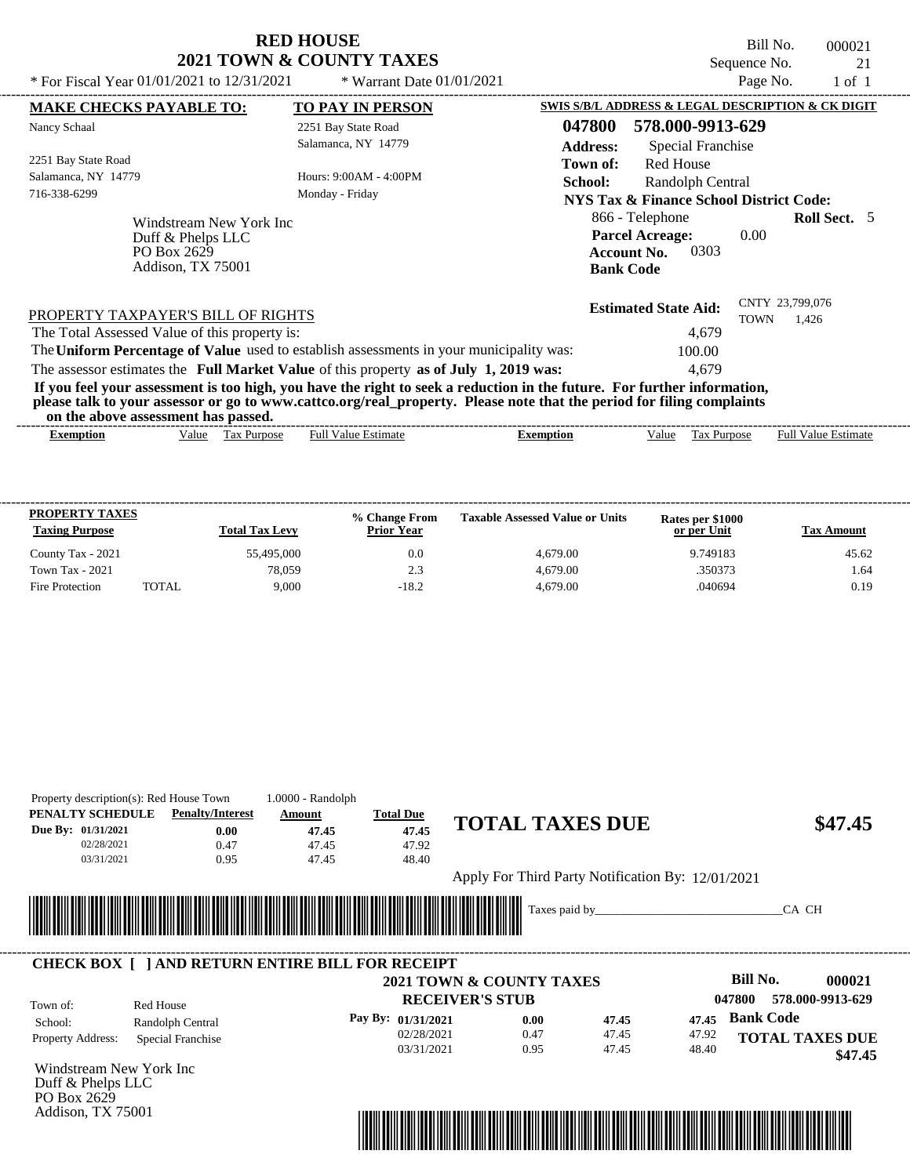## **RED HOUSE 2021 TOWN & COUNTY TAXES**<br>**2021 TOWN & COUNTY TAXES**

Bill No. 000021 Sequence No.  $21$ <br>Page No.  $1 \text{ of } 1$ 

| * For Fiscal Year 01/01/2021 to 12/31/2021                                          |                         | * Warrant Date $01/01/2021$                                                                                                                                                                                                                      |                           |                                                                                             | Page No.    | $1$ of $1$                 |  |
|-------------------------------------------------------------------------------------|-------------------------|--------------------------------------------------------------------------------------------------------------------------------------------------------------------------------------------------------------------------------------------------|---------------------------|---------------------------------------------------------------------------------------------|-------------|----------------------------|--|
| <b>MAKE CHECKS PAYABLE TO:</b>                                                      |                         | <b>TO PAY IN PERSON</b>                                                                                                                                                                                                                          |                           | SWIS S/B/L ADDRESS & LEGAL DESCRIPTION & CK DIGIT                                           |             |                            |  |
| Nancy Schaal                                                                        |                         | 2251 Bay State Road<br>Salamanca, NY 14779                                                                                                                                                                                                       | 047800<br><b>Address:</b> | 578.000-9913-629<br>Special Franchise                                                       |             |                            |  |
| 2251 Bay State Road<br>Salamanca, NY 14779<br>716-338-6299                          |                         | Hours: 9:00AM - 4:00PM<br>Monday - Friday                                                                                                                                                                                                        | Town of:<br>School:       | Red House<br>Randolph Central<br>NYS Tax & Finance School District Code:                    |             |                            |  |
| Duff & Phelps LLC<br>PO Box 2629<br>Addison, TX 75001                               | Windstream New York Inc |                                                                                                                                                                                                                                                  |                           | 866 - Telephone<br><b>Parcel Acreage:</b><br>0303<br><b>Account No.</b><br><b>Bank Code</b> | 0.00        | <b>Roll Sect.</b> 5        |  |
| PROPERTY TAXPAYER'S BILL OF RIGHTS<br>The Total Assessed Value of this property is: |                         |                                                                                                                                                                                                                                                  |                           | <b>Estimated State Aid:</b><br>4.679                                                        | <b>TOWN</b> | CNTY 23,799,076<br>1.426   |  |
|                                                                                     |                         | The Uniform Percentage of Value used to establish assessments in your municipality was:                                                                                                                                                          |                           | 100.00                                                                                      |             |                            |  |
|                                                                                     |                         | The assessor estimates the Full Market Value of this property as of July 1, 2019 was:                                                                                                                                                            |                           | 4.679                                                                                       |             |                            |  |
| on the above assessment has passed.                                                 |                         | If you feel your assessment is too high, you have the right to seek a reduction in the future. For further information,<br>please talk to your assessor or go to www.cattco.org/real_property. Please note that the period for filing complaints |                           |                                                                                             |             |                            |  |
| <b>Exemption</b>                                                                    | Value Tax Purpose       | <b>Full Value Estimate</b>                                                                                                                                                                                                                       | <b>Exemption</b>          | Value                                                                                       | Tax Purpose | <b>Full Value Estimate</b> |  |

| <b>PROPERTY TAXES</b><br><b>Taxing Purpose</b> |       | <b>Total Tax Levy</b> | % Change From<br><b>Prior Year</b> | <b>Taxable Assessed Value or Units</b> | Rates per \$1000<br>or per Unit | Tax Amount |
|------------------------------------------------|-------|-----------------------|------------------------------------|----------------------------------------|---------------------------------|------------|
| County Tax - 2021                              |       | 55,495,000            | 0.0                                | 4,679.00                               | 9.749183                        | 45.62      |
| <b>Town Tax - 2021</b>                         |       | 78.059                | 2.3                                | 4.679.00                               | .350373                         | 1.64       |
| Fire Protection                                | TOTAL | 9.000                 | $-18.2$                            | 4.679.00                               | .040694                         | 0.19       |

| PENALTY SCHEDULE             | <b>Penalty/Interest</b>                                 | Amount | <b>Total Due</b>                 |                                                    |                |                                      |
|------------------------------|---------------------------------------------------------|--------|----------------------------------|----------------------------------------------------|----------------|--------------------------------------|
| Due By: 01/31/2021           | 0.00                                                    | 47.45  | 47.45                            | <b>TOTAL TAXES DUE</b>                             |                | \$47.45                              |
| 02/28/2021                   | 0.47                                                    | 47.45  | 47.92                            |                                                    |                |                                      |
| 03/31/2021                   | 0.95                                                    | 47.45  | 48.40                            |                                                    |                |                                      |
|                              |                                                         |        |                                  | Apply For Third Party Notification By: 12/01/2021  |                |                                      |
|                              |                                                         |        |                                  |                                                    |                |                                      |
|                              |                                                         |        |                                  | Taxes paid by                                      |                | CA CH                                |
|                              |                                                         |        |                                  |                                                    |                |                                      |
|                              |                                                         |        |                                  |                                                    |                |                                      |
|                              |                                                         |        |                                  |                                                    |                |                                      |
|                              | <b>CHECK BOX     AND RETURN ENTIRE BILL FOR RECEIPT</b> |        |                                  |                                                    |                | Bill No.                             |
|                              |                                                         |        |                                  | 2021 TOWN & COUNTY TAXES<br><b>RECEIVER'S STUB</b> |                | 000021<br>578.000-9913-629<br>047800 |
| Town of:                     | Red House                                               |        |                                  | 0.00                                               | 47.45<br>47.45 | <b>Bank Code</b>                     |
| School:<br>Property Address: | Randolph Central<br><b>Special Franchise</b>            |        | Pay By: 01/31/2021<br>02/28/2021 | 0.47                                               | 47.45<br>47.92 | <b>TOTAL TAXES DUE</b>               |

Windstream New York Inc Duff & Phelps LLC PO Box 2629 Addison, TX 75001

Property description(s): Red House Town 1.0000 - Randolph

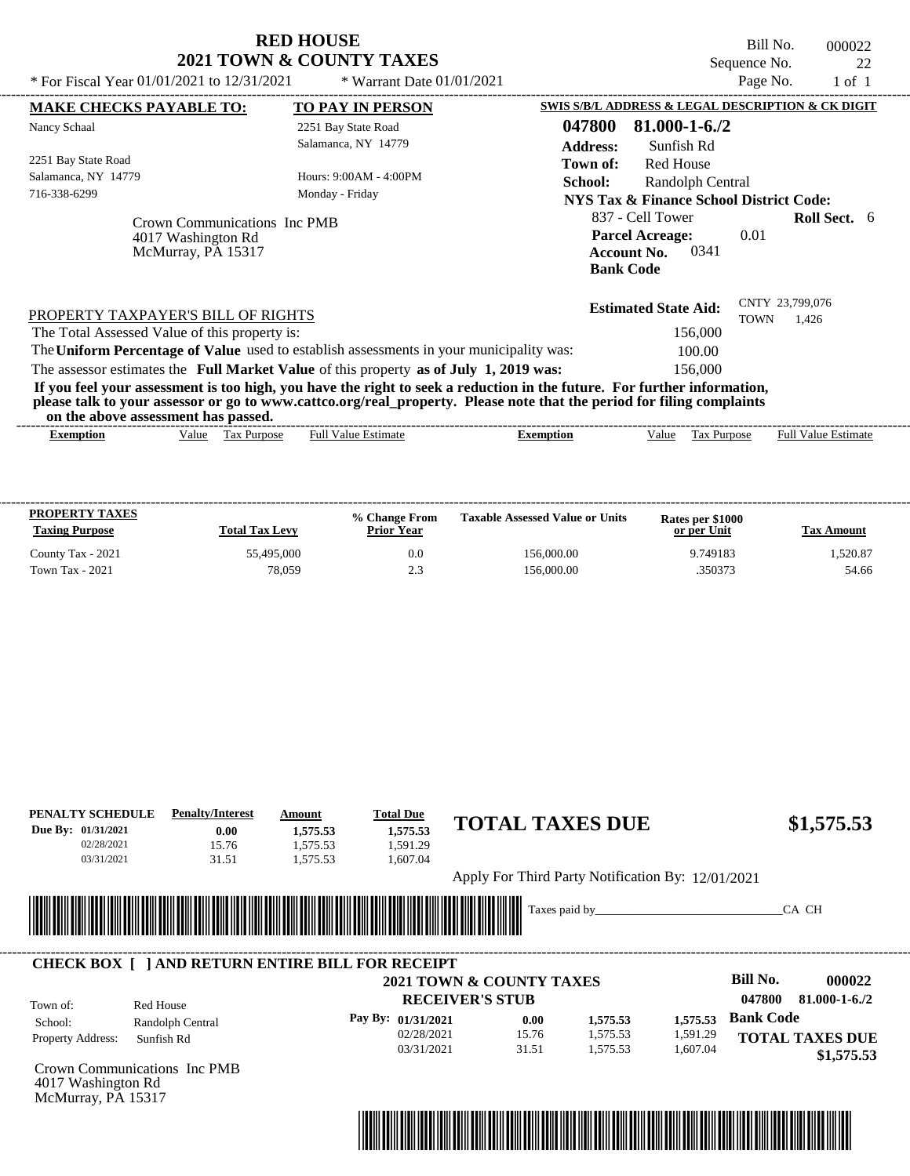|                                                                                                                                                                                                                                                                                         | <b>RED HOUSE</b>             |                             |                  |                                                                  |                  | Bill No.     | 000022                                            |    |
|-----------------------------------------------------------------------------------------------------------------------------------------------------------------------------------------------------------------------------------------------------------------------------------------|------------------------------|-----------------------------|------------------|------------------------------------------------------------------|------------------|--------------|---------------------------------------------------|----|
|                                                                                                                                                                                                                                                                                         | 2021 TOWN & COUNTY TAXES     |                             |                  |                                                                  |                  | Sequence No. |                                                   | 22 |
| * For Fiscal Year $01/01/2021$ to $12/31/2021$                                                                                                                                                                                                                                          |                              | * Warrant Date $01/01/2021$ |                  |                                                                  |                  | Page No.     | $1$ of $1$                                        |    |
| <b>MAKE CHECKS PAYABLE TO:</b>                                                                                                                                                                                                                                                          |                              | <b>TO PAY IN PERSON</b>     |                  |                                                                  |                  |              | SWIS S/B/L ADDRESS & LEGAL DESCRIPTION & CK DIGIT |    |
| Nancy Schaal                                                                                                                                                                                                                                                                            |                              | 2251 Bay State Road         | 047800           | 81.000-1-6./2                                                    |                  |              |                                                   |    |
|                                                                                                                                                                                                                                                                                         |                              | Salamanca, NY 14779         | <b>Address:</b>  | Sunfish Rd                                                       |                  |              |                                                   |    |
| 2251 Bay State Road                                                                                                                                                                                                                                                                     |                              |                             | Town of:         | <b>Red House</b>                                                 |                  |              |                                                   |    |
| Salamanca, NY 14779                                                                                                                                                                                                                                                                     |                              | Hours: 9:00AM - 4:00PM      | School:          |                                                                  | Randolph Central |              |                                                   |    |
| 716-338-6299                                                                                                                                                                                                                                                                            |                              | Monday - Friday             |                  | NYS Tax & Finance School District Code:                          |                  |              |                                                   |    |
| 4017 Washington Rd<br>McMurray, PA 15317                                                                                                                                                                                                                                                | Crown Communications Inc PMB |                             |                  | <b>Parcel Acreage:</b><br><b>Account No.</b><br><b>Bank Code</b> | 0341             | 0.01         |                                                   |    |
| PROPERTY TAXPAYER'S BILL OF RIGHTS                                                                                                                                                                                                                                                      |                              |                             |                  | <b>Estimated State Aid:</b>                                      |                  | <b>TOWN</b>  | CNTY 23,799,076<br>1,426                          |    |
| The Total Assessed Value of this property is:                                                                                                                                                                                                                                           |                              |                             |                  |                                                                  | 156,000          |              |                                                   |    |
| The Uniform Percentage of Value used to establish assessments in your municipality was:                                                                                                                                                                                                 |                              |                             |                  |                                                                  | 100.00           |              |                                                   |    |
| The assessor estimates the Full Market Value of this property as of July 1, 2019 was:                                                                                                                                                                                                   |                              |                             |                  |                                                                  | 156,000          |              |                                                   |    |
| If you feel your assessment is too high, you have the right to seek a reduction in the future. For further information,<br>please talk to your assessor or go to www.cattco.org/real_property. Please note that the period for filing complaints<br>on the above assessment has passed. |                              |                             |                  |                                                                  |                  |              |                                                   |    |
| Value<br><b>Exemption</b>                                                                                                                                                                                                                                                               | <b>Tax Purpose</b>           | <b>Full Value Estimate</b>  | <b>Exemption</b> | Value                                                            | Tax Purpose      |              | <b>Full Value Estimate</b>                        |    |
|                                                                                                                                                                                                                                                                                         |                              |                             |                  |                                                                  |                  |              |                                                   |    |

| 55,495,000<br>156,000.00<br>9.749183<br>County Tax - 2021<br>0.0 | <b>Taxing Purpose</b> | Tax Amount |
|------------------------------------------------------------------|-----------------------|------------|
|                                                                  |                       | 1.520.87   |
| 78,059<br>156,000.00<br>2.3<br>350373<br><b>Town Tax - 2021</b>  |                       | 54.66      |

| PENALTY SCHEDULE    | <b>Penalty/Interest</b>                                 | Amount   | <b>Total Due</b>   |                                                    |          |                                      |
|---------------------|---------------------------------------------------------|----------|--------------------|----------------------------------------------------|----------|--------------------------------------|
| Due By: 01/31/2021  | 0.00                                                    | 1,575.53 | 1,575.53           | <b>TOTAL TAXES DUE</b>                             |          | \$1,575.53                           |
| 02/28/2021          | 15.76                                                   | 1,575.53 | 1,591.29           |                                                    |          |                                      |
| 03/31/2021          | 31.51                                                   | 1,575.53 | 1,607.04           |                                                    |          |                                      |
|                     |                                                         |          |                    | Apply For Third Party Notification By: 12/01/2021  |          |                                      |
|                     |                                                         |          |                    |                                                    |          |                                      |
|                     |                                                         |          |                    | Taxes paid by                                      |          | CA CH                                |
|                     |                                                         |          |                    |                                                    |          |                                      |
|                     | <b>CHECK BOX     AND RETURN ENTIRE BILL FOR RECEIPT</b> |          |                    |                                                    |          |                                      |
|                     |                                                         |          |                    |                                                    |          |                                      |
|                     |                                                         |          |                    |                                                    |          | Bill No.<br>000022                   |
|                     |                                                         |          |                    | 2021 TOWN & COUNTY TAXES<br><b>RECEIVER'S STUB</b> |          | 047800<br>81.000-1-6./2              |
| Town of:<br>School: | Red House                                               |          | Pay By: 01/31/2021 | 0.00<br>1,575.53                                   | 1,575.53 | <b>Bank Code</b>                     |
|                     | Randolph Central                                        |          | 02/28/2021         | 15.76<br>1,575.53                                  | 1,591.29 |                                      |
| Property Address:   | Sunfish Rd                                              |          | 03/31/2021         | 31.51<br>1,575.53                                  | 1,607.04 | <b>TOTAL TAXES DUE</b><br>\$1,575.53 |

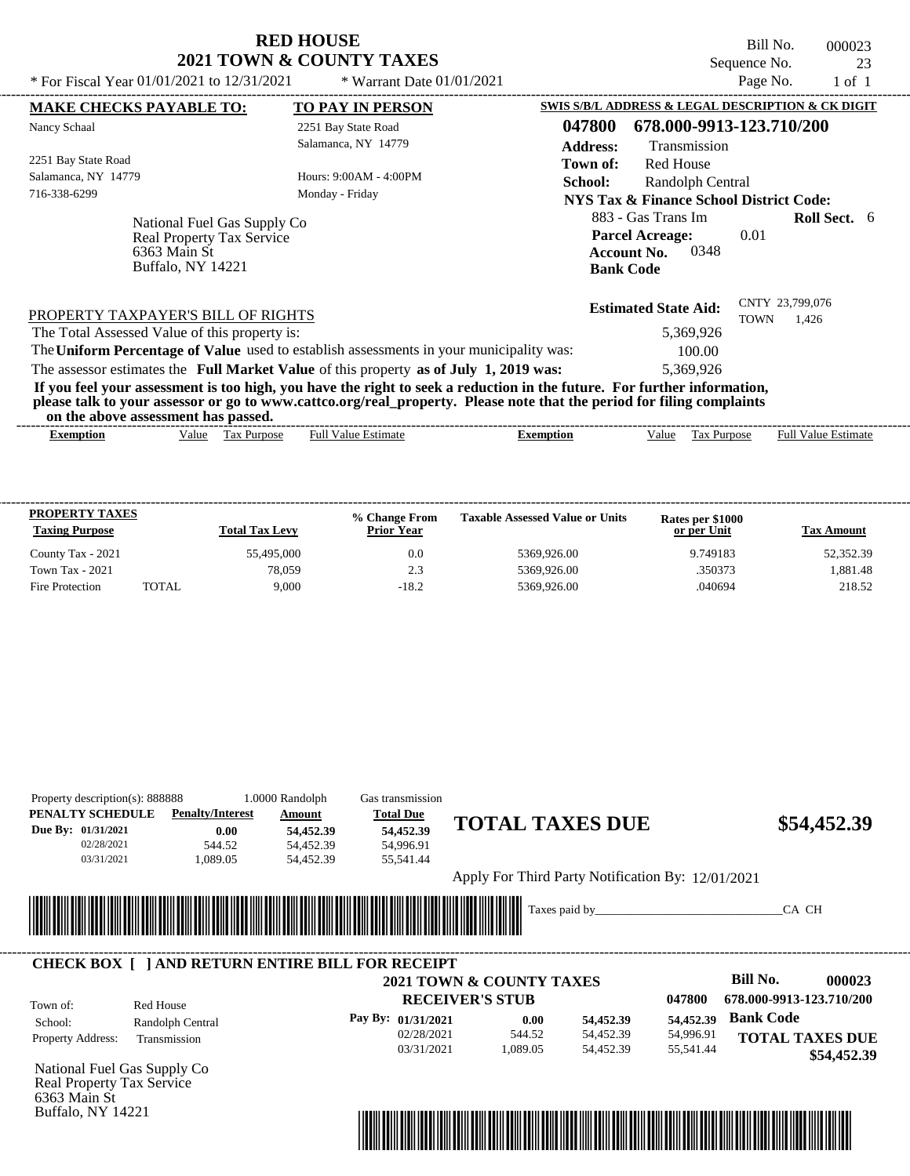| <b>RED HOUSE</b>         |
|--------------------------|
| 2021 TOWN & COUNTY TAXES |

Bill No. 000023 Sequence No. 23<br>Page No. 23<br>1 of 1

| * For Fiscal Year 01/01/2021 to 12/31/2021                                                                                                                                                                                                       | * Warrant Date $01/01/2021$ |                                                                  |                          | Page No.    | $1$ of $1$               |  |
|--------------------------------------------------------------------------------------------------------------------------------------------------------------------------------------------------------------------------------------------------|-----------------------------|------------------------------------------------------------------|--------------------------|-------------|--------------------------|--|
| <b>MAKE CHECKS PAYABLE TO:</b>                                                                                                                                                                                                                   | <b>TO PAY IN PERSON</b>     | SWIS S/B/L ADDRESS & LEGAL DESCRIPTION & CK DIGIT                |                          |             |                          |  |
| Nancy Schaal                                                                                                                                                                                                                                     | 2251 Bay State Road         | 047800                                                           | 678.000-9913-123.710/200 |             |                          |  |
|                                                                                                                                                                                                                                                  | Salamanca, NY 14779         | <b>Address:</b>                                                  | Transmission             |             |                          |  |
| 2251 Bay State Road                                                                                                                                                                                                                              |                             | Town of:                                                         | <b>Red House</b>         |             |                          |  |
| Salamanca, NY 14779                                                                                                                                                                                                                              | Hours: 9:00AM - 4:00PM      | School:                                                          | Randolph Central         |             |                          |  |
| 716-338-6299                                                                                                                                                                                                                                     | Monday - Friday             | <b>NYS Tax &amp; Finance School District Code:</b>               |                          |             |                          |  |
|                                                                                                                                                                                                                                                  |                             | 883 - Gas Trans Im                                               |                          |             | <b>Roll Sect.</b> 6      |  |
| National Fuel Gas Supply Co<br><b>Real Property Tax Service</b><br>6363 Main St<br><b>Buffalo, NY 14221</b>                                                                                                                                      |                             | <b>Parcel Acreage:</b><br><b>Account No.</b><br><b>Bank Code</b> | 0348                     | 0.01        |                          |  |
| PROPERTY TAXPAYER'S BILL OF RIGHTS                                                                                                                                                                                                               |                             | <b>Estimated State Aid:</b>                                      |                          | <b>TOWN</b> | CNTY 23,799,076<br>1,426 |  |
| The Total Assessed Value of this property is:                                                                                                                                                                                                    |                             |                                                                  | 5,369,926                |             |                          |  |
| The Uniform Percentage of Value used to establish assessments in your municipality was:                                                                                                                                                          |                             |                                                                  | 100.00                   |             |                          |  |
| The assessor estimates the Full Market Value of this property as of July 1, 2019 was:                                                                                                                                                            |                             |                                                                  | 5,369,926                |             |                          |  |
| If you feel your assessment is too high, you have the right to seek a reduction in the future. For further information,<br>please talk to your assessor or go to www.cattco.org/real_property. Please note that the period for filing complaints |                             |                                                                  |                          |             |                          |  |
| on the above assessment has passed.                                                                                                                                                                                                              |                             |                                                                  |                          |             |                          |  |

| <b>PROPERTY TAXES</b><br><b>Taxing Purpose</b> |       | <b>Total Tax Levy</b> | % Change From<br><b>Prior Year</b> | <b>Taxable Assessed Value or Units</b> | Rates per \$1000<br>or per Unit | Tax Amount |
|------------------------------------------------|-------|-----------------------|------------------------------------|----------------------------------------|---------------------------------|------------|
| County Tax - 2021                              |       | 55,495,000            | 0.0                                | 5369.926.00                            | 9.749183                        | 52,352.39  |
| <b>Town Tax - 2021</b>                         |       | 78.059                | 2.3                                | 5369,926.00                            | .350373                         | 1.881.48   |
| Fire Protection                                | TOTAL | 9.000                 | $-18.2$                            | 5369,926.00                            | .040694                         | 218.52     |

| Property description(s): 888888<br>PENALTY SCHEDULE<br>Due By: 01/31/2021<br>02/28/2021<br>03/31/2021 | <b>Penalty/Interest</b><br>0.00<br>544.52<br>1,089.05   | 1.0000 Randolph<br>Amount<br>54,452.39<br>54,452.39<br>54,452.39                                                      | Gas transmission<br><b>Total Due</b><br>54,452.39<br>54,996.91<br>55,541.44 | <b>TOTAL TAXES DUE</b>   |                        |                                                   |                  | \$54,452.39                           |
|-------------------------------------------------------------------------------------------------------|---------------------------------------------------------|-----------------------------------------------------------------------------------------------------------------------|-----------------------------------------------------------------------------|--------------------------|------------------------|---------------------------------------------------|------------------|---------------------------------------|
|                                                                                                       |                                                         |                                                                                                                       |                                                                             |                          |                        | Apply For Third Party Notification By: 12/01/2021 |                  |                                       |
|                                                                                                       | <b>CHECK BOX [ ] AND RETURN ENTIRE BILL FOR RECEIPT</b> | <u> Tanzania di Baratta di Baratta di Baratta di Baratta di Baratta di Baratta di Baratta di Baratta di Baratta d</u> |                                                                             | 2021 TOWN & COUNTY TAXES |                        |                                                   | <b>Bill No.</b>  | CA CH<br>000023                       |
| Town of:<br>School:                                                                                   | Red House<br>Randolph Central                           |                                                                                                                       | Pay By: 01/31/2021                                                          | <b>RECEIVER'S STUB</b>   | 0.00<br>54,452.39      | 047800<br>54,452.39                               | <b>Bank Code</b> | 678.000-9913-123.710/200              |
| Property Address:                                                                                     | Transmission                                            |                                                                                                                       | 02/28/2021<br>03/31/2021                                                    | 544.52<br>1,089.05       | 54,452.39<br>54,452.39 | 54,996.91<br>55,541.44                            |                  | <b>TOTAL TAXES DUE</b><br>\$54,452.39 |
| National Fuel Gas Supply Co<br>Real Property Tax Service<br>6363 Main St                              |                                                         |                                                                                                                       |                                                                             |                          |                        |                                                   |                  |                                       |

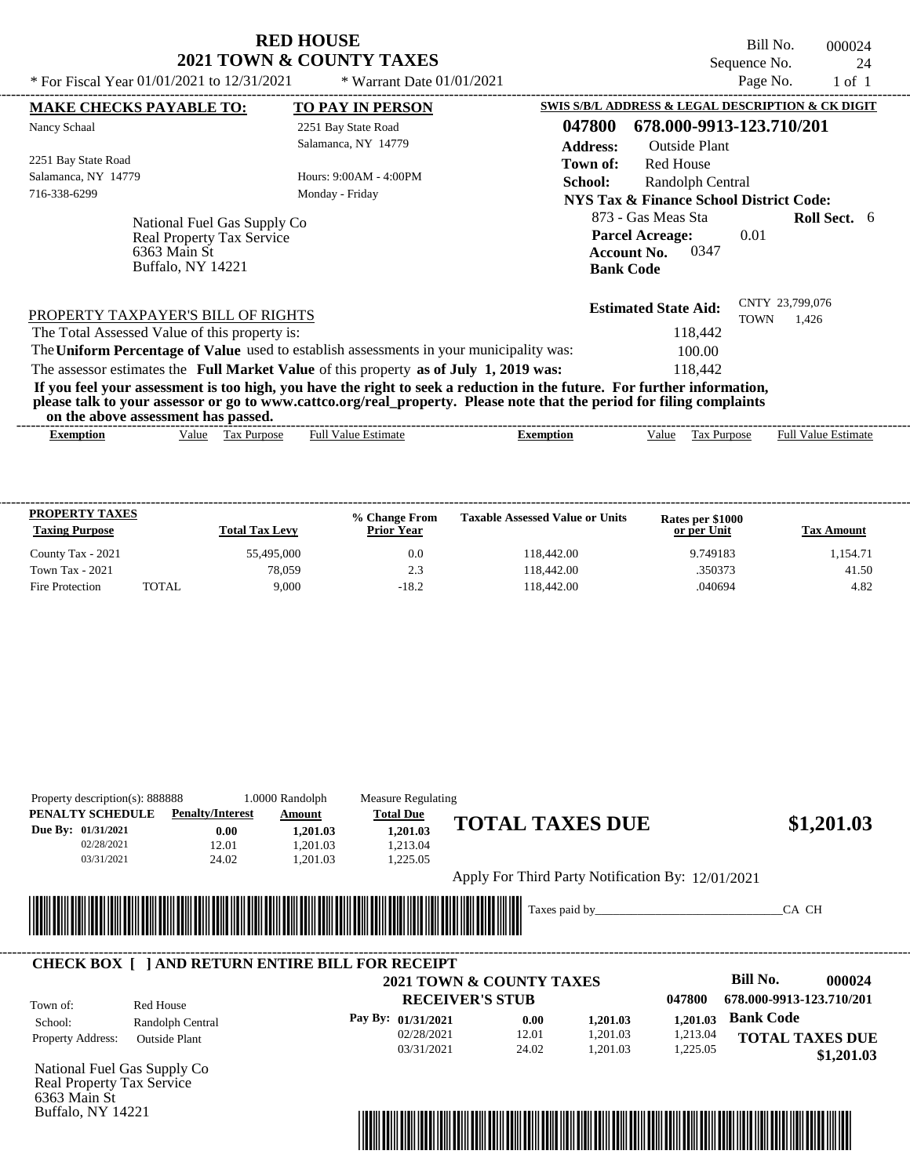| <b>RED HOUSE</b>                    |
|-------------------------------------|
| <b>2021 TOWN &amp; COUNTY TAXES</b> |

Bill No. 000024 Sequence No. 24<br>Page No. 24<br>1 of 1 \* For Fiscal Year  $01/01/2021$  to  $12/31/2021$  \* Warrant Date  $01/01/2021$  Page No. 1 of 1

| <b>MAKE CHECKS PAYABLE TO:</b>                                                          |                                  | <b>TO PAY IN PERSON</b>    |                                                                                                                                                                                                                                                  | SWIS S/B/L ADDRESS & LEGAL DESCRIPTION & CK DIGIT                 |                    |                            |
|-----------------------------------------------------------------------------------------|----------------------------------|----------------------------|--------------------------------------------------------------------------------------------------------------------------------------------------------------------------------------------------------------------------------------------------|-------------------------------------------------------------------|--------------------|----------------------------|
| Nancy Schaal                                                                            |                                  | 2251 Bay State Road        | 047800                                                                                                                                                                                                                                           | 678.000-9913-123.710/201                                          |                    |                            |
|                                                                                         |                                  | Salamanca, NY 14779        | <b>Address:</b>                                                                                                                                                                                                                                  | <b>Outside Plant</b>                                              |                    |                            |
| 2251 Bay State Road                                                                     |                                  |                            | Town of:                                                                                                                                                                                                                                         | Red House                                                         |                    |                            |
| Salamanca, NY 14779                                                                     |                                  | Hours: 9:00 AM - 4:00 PM   | School:                                                                                                                                                                                                                                          | Randolph Central                                                  |                    |                            |
| 716-338-6299                                                                            |                                  | Monday - Friday            |                                                                                                                                                                                                                                                  | NYS Tax & Finance School District Code:                           |                    |                            |
|                                                                                         | National Fuel Gas Supply Co      |                            |                                                                                                                                                                                                                                                  | 873 - Gas Meas Sta                                                |                    | <b>Roll Sect.</b> 6        |
| 6363 Main St<br>Buffalo, NY 14221                                                       | <b>Real Property Tax Service</b> |                            |                                                                                                                                                                                                                                                  | <b>Parcel Acreage:</b><br>0347<br>Account No.<br><b>Bank Code</b> | 0.01               |                            |
| PROPERTY TAXPAYER'S BILL OF RIGHTS                                                      |                                  |                            |                                                                                                                                                                                                                                                  | <b>Estimated State Aid:</b>                                       | <b>TOWN</b>        | CNTY 23,799,076<br>1.426   |
| The Total Assessed Value of this property is:                                           |                                  |                            |                                                                                                                                                                                                                                                  | 118,442                                                           |                    |                            |
| The Uniform Percentage of Value used to establish assessments in your municipality was: |                                  |                            |                                                                                                                                                                                                                                                  | 100.00                                                            |                    |                            |
| The assessor estimates the Full Market Value of this property as of July 1, 2019 was:   |                                  |                            |                                                                                                                                                                                                                                                  | 118,442                                                           |                    |                            |
| on the above assessment has passed.                                                     |                                  |                            | If you feel your assessment is too high, you have the right to seek a reduction in the future. For further information,<br>please talk to your assessor or go to www.cattco.org/real_property. Please note that the period for filing complaints |                                                                   |                    |                            |
|                                                                                         | Tax Purpose<br>Value             | <b>Full Value Estimate</b> |                                                                                                                                                                                                                                                  | Value                                                             | <b>Tax Purpose</b> | <b>Full Value Estimate</b> |

| <b>PROPERTY TAXES</b><br><b>Taxing Purpose</b> |       | <b>Total Tax Levy</b> | % Change From<br><b>Prior Year</b> | <b>Taxable Assessed Value or Units</b> | Rates per \$1000<br>or per Unit | Tax Amount |
|------------------------------------------------|-------|-----------------------|------------------------------------|----------------------------------------|---------------------------------|------------|
| County Tax - 2021                              |       | 55,495,000            | 0.0                                | 118,442.00                             | 9.749183                        | 1.154.71   |
| <b>Town Tax - 2021</b>                         |       | 78.059                | 2.3                                | 118.442.00                             | .350373                         | 41.50      |
| Fire Protection                                | TOTAL | 9.000                 | $-18.2$                            | 118.442.00                             | .040694                         | 4.82       |

| Property description(s): 888888<br>PENALTY SCHEDULE      | <b>Penalty/Interest</b> |       | 1.0000 Randolph<br>Amount   | <b>Measure Regulating</b><br><b>Total Due</b> |                        |                                     |                                                   |          |                          |                        |
|----------------------------------------------------------|-------------------------|-------|-----------------------------|-----------------------------------------------|------------------------|-------------------------------------|---------------------------------------------------|----------|--------------------------|------------------------|
| Due By: 01/31/2021                                       |                         | 0.00  | 1,201.03                    | 1,201.03                                      |                        |                                     | <b>TOTAL TAXES DUE</b>                            |          |                          | \$1,201.03             |
| 02/28/2021                                               |                         | 12.01 | 1,201.03                    | 1,213.04                                      |                        |                                     |                                                   |          |                          |                        |
| 03/31/2021                                               |                         | 24.02 | 1,201.03                    | 1,225.05                                      |                        |                                     |                                                   |          |                          |                        |
|                                                          |                         |       |                             |                                               |                        |                                     | Apply For Third Party Notification By: 12/01/2021 |          |                          |                        |
|                                                          |                         |       |                             |                                               |                        |                                     |                                                   |          |                          |                        |
|                                                          |                         |       | <u> Tanzania (h. 1888).</u> |                                               |                        | Taxes paid by                       |                                                   |          |                          | CA CH                  |
|                                                          |                         |       |                             |                                               |                        |                                     |                                                   |          |                          |                        |
|                                                          |                         |       |                             |                                               |                        |                                     |                                                   |          |                          |                        |
|                                                          |                         |       |                             |                                               |                        |                                     |                                                   |          |                          |                        |
|                                                          |                         |       |                             |                                               |                        |                                     |                                                   |          |                          |                        |
| <b>CHECK BOX [ ] AND RETURN ENTIRE BILL FOR RECEIPT</b>  |                         |       |                             |                                               |                        |                                     |                                                   |          |                          |                        |
|                                                          |                         |       |                             |                                               |                        | <b>2021 TOWN &amp; COUNTY TAXES</b> |                                                   |          | Bill No.                 | 000024                 |
| Town of:                                                 | Red House               |       |                             |                                               | <b>RECEIVER'S STUB</b> |                                     |                                                   | 047800   | 678.000-9913-123.710/201 |                        |
| School:                                                  |                         |       |                             | Pay By: 01/31/2021                            |                        | 0.00                                | 1,201.03                                          | 1,201.03 | <b>Bank Code</b>         |                        |
|                                                          | Randolph Central        |       |                             | 02/28/2021                                    |                        | 12.01                               | 1,201.03                                          | 1,213.04 |                          |                        |
| Property Address:                                        | <b>Outside Plant</b>    |       |                             | 03/31/2021                                    |                        | 24.02                               | 1,201.03                                          | 1,225.05 |                          |                        |
|                                                          |                         |       |                             |                                               |                        |                                     |                                                   |          |                          | \$1,201.03             |
| National Fuel Gas Supply Co<br>Real Property Tax Service |                         |       |                             |                                               |                        |                                     |                                                   |          |                          | <b>TOTAL TAXES DUE</b> |

Buffalo, NY 14221

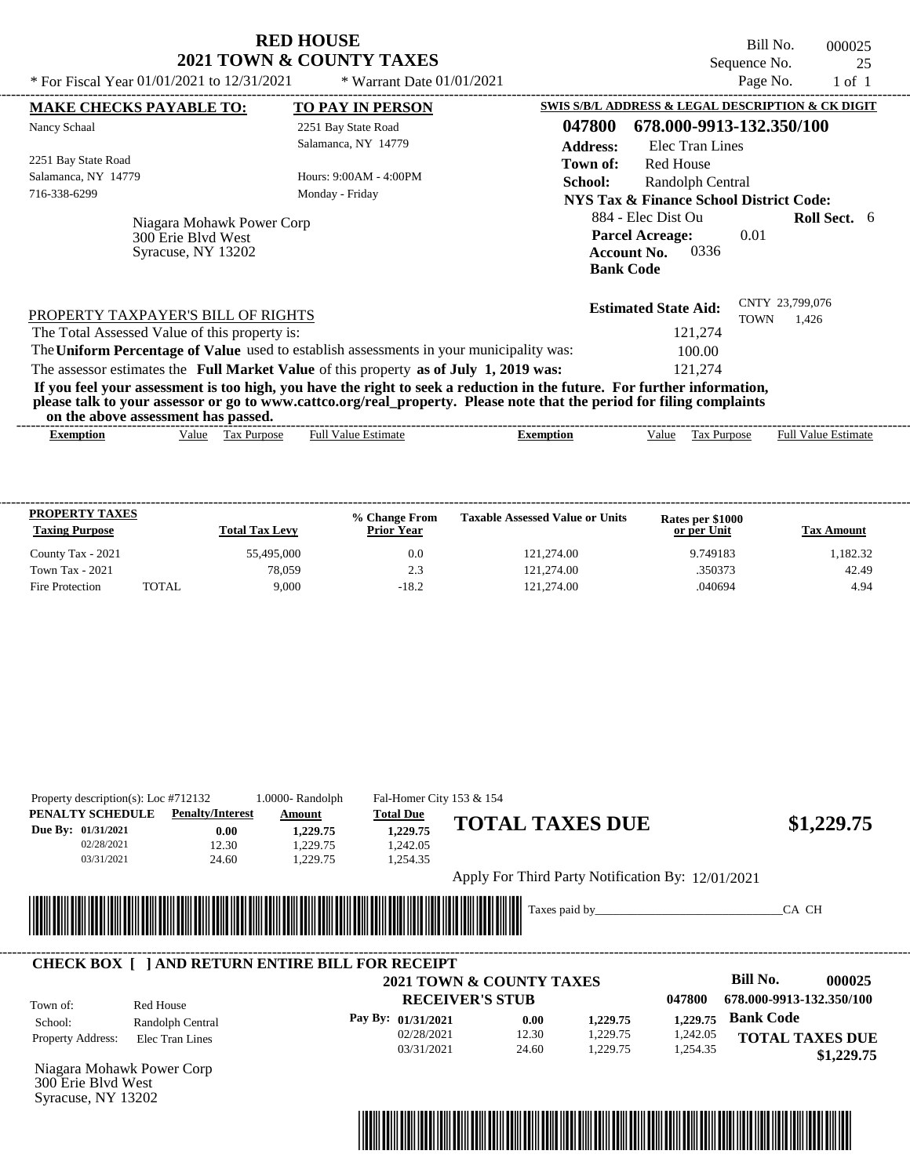| <b>RED HOUSE</b>                           |                             | Bill No.     | 000025 |
|--------------------------------------------|-----------------------------|--------------|--------|
| <b>2021 TOWN &amp; COUNTY TAXES</b>        |                             | Sequence No. |        |
| * For Fiscal Year 01/01/2021 to 12/31/2021 | * Warrant Date $01/01/2021$ | Page No.     | 1 of 1 |

| <b>MAKE CHECKS PAYABLE TO:</b>                                                                                                                                                                                                                                                          |             |                            |                  |                                                                                                |                    |                                                   |
|-----------------------------------------------------------------------------------------------------------------------------------------------------------------------------------------------------------------------------------------------------------------------------------------|-------------|----------------------------|------------------|------------------------------------------------------------------------------------------------|--------------------|---------------------------------------------------|
|                                                                                                                                                                                                                                                                                         |             | <b>TO PAY IN PERSON</b>    |                  |                                                                                                |                    | SWIS S/B/L ADDRESS & LEGAL DESCRIPTION & CK DIGIT |
| Nancy Schaal                                                                                                                                                                                                                                                                            |             | 2251 Bay State Road        | 047800           | 678.000-9913-132.350/100                                                                       |                    |                                                   |
|                                                                                                                                                                                                                                                                                         |             | Salamanca, NY 14779        | <b>Address:</b>  | Elec Tran Lines                                                                                |                    |                                                   |
| 2251 Bay State Road                                                                                                                                                                                                                                                                     |             |                            | Town of:         | Red House                                                                                      |                    |                                                   |
| Salamanca, NY 14779                                                                                                                                                                                                                                                                     |             | Hours: $9:00AM - 4:00PM$   | School:          | Randolph Central                                                                               |                    |                                                   |
| 716-338-6299                                                                                                                                                                                                                                                                            |             | Monday - Friday            |                  | NYS Tax & Finance School District Code:                                                        |                    |                                                   |
| Niagara Mohawk Power Corp<br>300 Erie Blyd West<br>Syracuse, NY 13202                                                                                                                                                                                                                   |             |                            |                  | 884 - Elec Dist Ou<br><b>Parcel Acreage:</b><br>0336<br><b>Account No.</b><br><b>Bank Code</b> | 0.01               | <b>Roll Sect.</b> 6                               |
| PROPERTY TAXPAYER'S BILL OF RIGHTS                                                                                                                                                                                                                                                      |             |                            |                  | <b>Estimated State Aid:</b>                                                                    | <b>TOWN</b>        | CNTY 23,799,076<br>1.426                          |
| The Total Assessed Value of this property is:                                                                                                                                                                                                                                           |             |                            |                  | 121,274                                                                                        |                    |                                                   |
| The Uniform Percentage of Value used to establish assessments in your municipality was:                                                                                                                                                                                                 |             |                            |                  | 100.00                                                                                         |                    |                                                   |
| The assessor estimates the Full Market Value of this property as of July 1, 2019 was:                                                                                                                                                                                                   |             |                            |                  | 121,274                                                                                        |                    |                                                   |
| If you feel your assessment is too high, you have the right to seek a reduction in the future. For further information,<br>please talk to your assessor or go to www.cattco.org/real_property. Please note that the period for filing complaints<br>on the above assessment has passed. |             |                            |                  |                                                                                                |                    |                                                   |
|                                                                                                                                                                                                                                                                                         | Tax Purpose | <b>Full Value Estimate</b> | <b>Exemption</b> | Value                                                                                          | <b>Tax Purpose</b> | <b>Full Value Estimate</b>                        |

| <b>PROPERTY TAXES</b><br><b>Taxing Purpose</b> |              | <b>Total Tax Levy</b> | % Change From<br><b>Prior Year</b> | <b>Taxable Assessed Value or Units</b> | Rates per \$1000<br>or per Unit | <b>Tax Amount</b> |
|------------------------------------------------|--------------|-----------------------|------------------------------------|----------------------------------------|---------------------------------|-------------------|
| County Tax - 2021                              |              | 55,495,000            | 0.0                                | 121.274.00                             | 9.749183                        | 1.182.32          |
| <b>Town Tax - 2021</b>                         |              | 78.059                | 2.3                                | 121.274.00                             | .350373                         | 42.49             |
| Fire Protection                                | <b>TOTAL</b> | 9.000                 | $-18.2$                            | 121.274.00                             | .040694                         | 4.94              |

| Property description(s): Loc #712132<br>PENALTY SCHEDULE | <b>Penalty/Interest</b>                                 | 1.0000-Randolph<br>Amount       | Fal-Homer City 153 & 154<br><b>Total Due</b> |                                                   |          |                          |
|----------------------------------------------------------|---------------------------------------------------------|---------------------------------|----------------------------------------------|---------------------------------------------------|----------|--------------------------|
| Due By: 01/31/2021                                       | 0.00                                                    | 1,229.75                        | 1,229.75                                     | <b>TOTAL TAXES DUE</b>                            |          | \$1,229.75               |
| 02/28/2021                                               | 12.30                                                   | 1,229.75                        | 1,242.05                                     |                                                   |          |                          |
| 03/31/2021                                               | 24.60                                                   | 1,229.75                        | 1,254.35                                     |                                                   |          |                          |
|                                                          |                                                         |                                 |                                              | Apply For Third Party Notification By: 12/01/2021 |          |                          |
|                                                          |                                                         |                                 |                                              |                                                   |          |                          |
|                                                          |                                                         |                                 |                                              |                                                   |          | CA CH                    |
|                                                          |                                                         |                                 |                                              | Taxes paid by                                     |          |                          |
|                                                          |                                                         | <u> Maria Maria Maria III (</u> |                                              |                                                   |          |                          |
|                                                          |                                                         |                                 |                                              |                                                   |          |                          |
|                                                          | <b>CHECK BOX [ ] AND RETURN ENTIRE BILL FOR RECEIPT</b> |                                 |                                              |                                                   |          |                          |
|                                                          |                                                         |                                 |                                              | <b>2021 TOWN &amp; COUNTY TAXES</b>               |          | Bill No.<br>000025       |
|                                                          | Red House                                               |                                 |                                              | <b>RECEIVER'S STUB</b>                            | 047800   | 678.000-9913-132.350/100 |
| School:                                                  |                                                         |                                 | Pay By: 01/31/2021                           | 0.00<br>1,229.75                                  | 1,229.75 | <b>Bank Code</b>         |
|                                                          | Randolph Central                                        |                                 | 02/28/2021                                   | 12.30<br>1,229.75                                 | 1,242.05 |                          |
| Town of:<br>Property Address:                            | Elec Tran Lines                                         |                                 | 03/31/2021                                   | 24.60<br>1,229.75                                 | 1,254.35 | <b>TOTAL TAXES DUE</b>   |
| Niagara Mohawk Power Corp                                |                                                         |                                 |                                              |                                                   |          | \$1,229.75               |

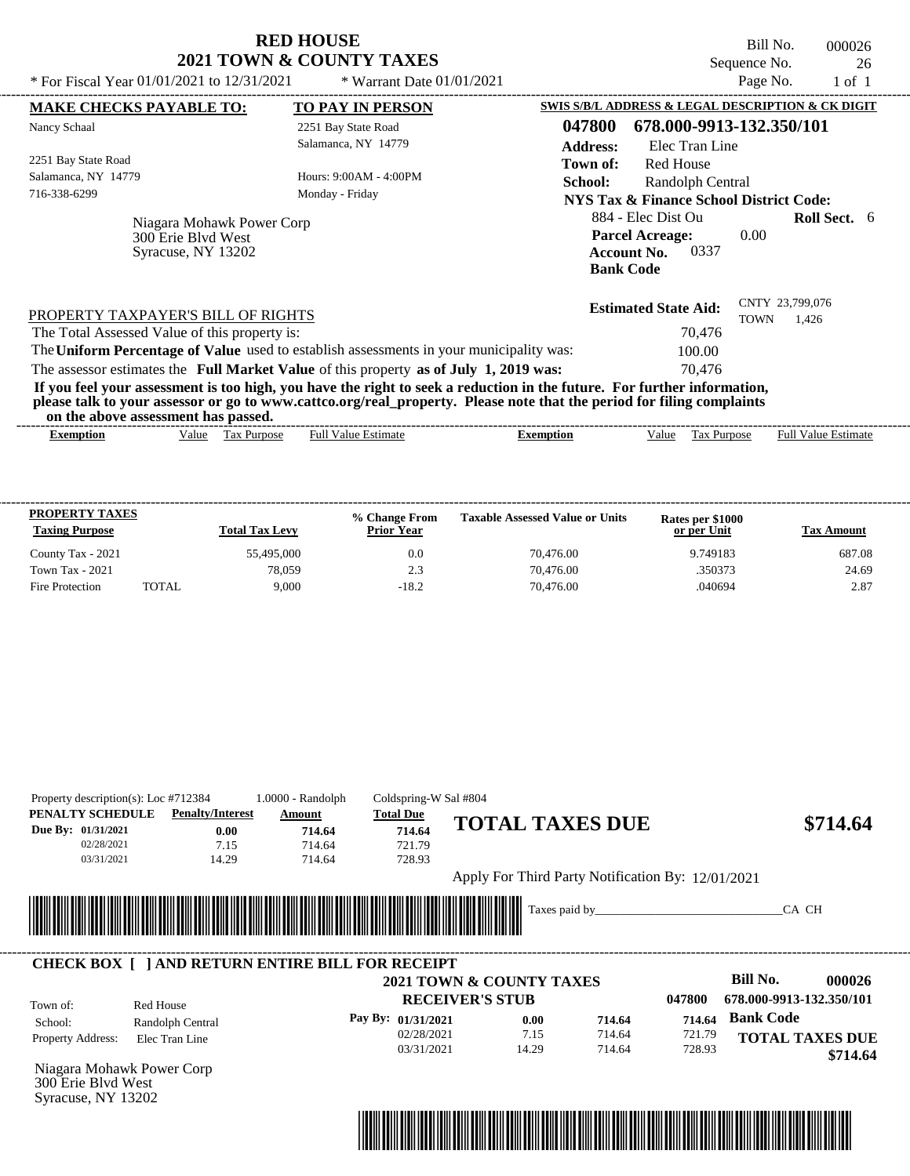| * For Fiscal Year 01/01/2021 to 12/31/2021                                                                                                                                                                                                       | <b>RED HOUSE</b><br><b>2021 TOWN &amp; COUNTY TAXES</b><br>* Warrant Date $01/01/2021$ | Sequence No.                                                                                   | Bill No.<br>000026<br>26<br>Page No.<br>$1$ of $1$ |
|--------------------------------------------------------------------------------------------------------------------------------------------------------------------------------------------------------------------------------------------------|----------------------------------------------------------------------------------------|------------------------------------------------------------------------------------------------|----------------------------------------------------|
| <b>MAKE CHECKS PAYABLE TO:</b>                                                                                                                                                                                                                   | <b>TO PAY IN PERSON</b>                                                                | SWIS S/B/L ADDRESS & LEGAL DESCRIPTION & CK DIGIT<br>047800                                    |                                                    |
| Nancy Schaal                                                                                                                                                                                                                                     | 2251 Bay State Road<br>Salamanca, NY 14779                                             | 678.000-9913-132.350/101<br><b>Address:</b><br>Elec Tran Line                                  |                                                    |
| 2251 Bay State Road                                                                                                                                                                                                                              |                                                                                        | Town of:<br>Red House                                                                          |                                                    |
| Salamanca, NY 14779                                                                                                                                                                                                                              | Hours: 9:00AM - 4:00PM                                                                 | <b>School:</b><br>Randolph Central                                                             |                                                    |
| 716-338-6299                                                                                                                                                                                                                                     | Monday - Friday                                                                        | <b>NYS Tax &amp; Finance School District Code:</b>                                             |                                                    |
| Niagara Mohawk Power Corp<br>300 Erie Blyd West<br>Syracuse, NY 13202                                                                                                                                                                            |                                                                                        | 884 - Elec Dist Ou<br><b>Parcel Acreage:</b><br>0337<br><b>Account No.</b><br><b>Bank Code</b> | <b>Roll Sect.</b> 6<br>0.00                        |
| PROPERTY TAXPAYER'S BILL OF RIGHTS                                                                                                                                                                                                               |                                                                                        | <b>Estimated State Aid:</b>                                                                    | CNTY 23,799,076<br><b>TOWN</b><br>1,426            |
| The Total Assessed Value of this property is:                                                                                                                                                                                                    |                                                                                        | 70.476                                                                                         |                                                    |
| The Uniform Percentage of Value used to establish assessments in your municipality was:                                                                                                                                                          |                                                                                        | 100.00                                                                                         |                                                    |
| The assessor estimates the Full Market Value of this property as of July 1, 2019 was:                                                                                                                                                            |                                                                                        | 70.476                                                                                         |                                                    |
| If you feel your assessment is too high, you have the right to seek a reduction in the future. For further information,<br>please talk to your assessor or go to www.cattco.org/real_property. Please note that the period for filing complaints |                                                                                        |                                                                                                |                                                    |

**on the above assessment has passed.** ----------------------------------------------------------------------------------------------------------------------------------------------------------------------------------------------------

**% Change From Taxable Assessed Value or Units**

County Tax - 2021 55,495,000 687.08 687.08 687.08 687.08 687.08 Town Tax - 2021 2.69 2.3 24.69 2.3 2.3 2.469 2.3 2.69 2.3 2.469 2.3 2.469 2.3 2.469 2.3 2.469 2.469 2.3 2.469 2.50373 Fire Protection TOTAL 9,000 -18.2 70,476.00 .040694 2.87

----------------------------------------------------------------------------------------------------------------------------------------------------------------------------------------------------

Full Value Estimate

**or per Unit Rates per \$1000**

**Exemption** Value Tax Purpose Full Value Estimate

**Tax Amount**

| Property description(s): Loc #712384 |                                                         | $1.0000 - Random$                                           | Coldspring-W Sal #804 |                                                   |        |        |                          |          |
|--------------------------------------|---------------------------------------------------------|-------------------------------------------------------------|-----------------------|---------------------------------------------------|--------|--------|--------------------------|----------|
| PENALTY SCHEDULE                     | <b>Penalty/Interest</b>                                 | Amount                                                      | <b>Total Due</b>      | <b>TOTAL TAXES DUE</b>                            |        |        |                          |          |
| Due By: 01/31/2021                   | 0.00                                                    | 714.64                                                      | 714.64                |                                                   |        |        |                          | \$714.64 |
| 02/28/2021                           | 7.15                                                    | 714.64                                                      | 721.79                |                                                   |        |        |                          |          |
| 03/31/2021                           | 14.29                                                   | 714.64                                                      | 728.93                |                                                   |        |        |                          |          |
|                                      |                                                         |                                                             |                       | Apply For Third Party Notification By: 12/01/2021 |        |        |                          |          |
|                                      |                                                         |                                                             |                       |                                                   |        |        |                          |          |
|                                      |                                                         |                                                             |                       | Taxes paid by                                     |        |        | CA CH                    |          |
|                                      |                                                         | <u> 1989 - Johann Stoff, Amerikaansk politiker († 1958)</u> |                       |                                                   |        |        |                          |          |
|                                      |                                                         |                                                             |                       |                                                   |        |        |                          |          |
|                                      | <b>CHECK BOX     AND RETURN ENTIRE BILL FOR RECEIPT</b> |                                                             |                       |                                                   |        |        |                          |          |
|                                      |                                                         |                                                             |                       | 2021 TOWN & COUNTY TAXES                          |        |        | Bill No.                 | 000026   |
|                                      |                                                         |                                                             |                       | <b>RECEIVER'S STUB</b>                            |        | 047800 | 678.000-9913-132.350/101 |          |
| Town of:<br>School:                  | Red House                                               |                                                             | Pay By: 01/31/2021    | 0.00                                              | 714.64 | 714.64 | <b>Bank Code</b>         |          |
| Property Address:                    | Randolph Central<br>Elec Tran Line                      |                                                             | 02/28/2021            | 7.15                                              | 714.64 | 721.79 | <b>TOTAL TAXES DUE</b>   |          |

Niagara Mohawk Power Corp 300 Erie Blvd West Syracuse, NY 13202

**Exemption** Value Tax Purpose

**Taxing Purpose Total Tax Levy Prior Year** 

**PROPERTY TAXES**

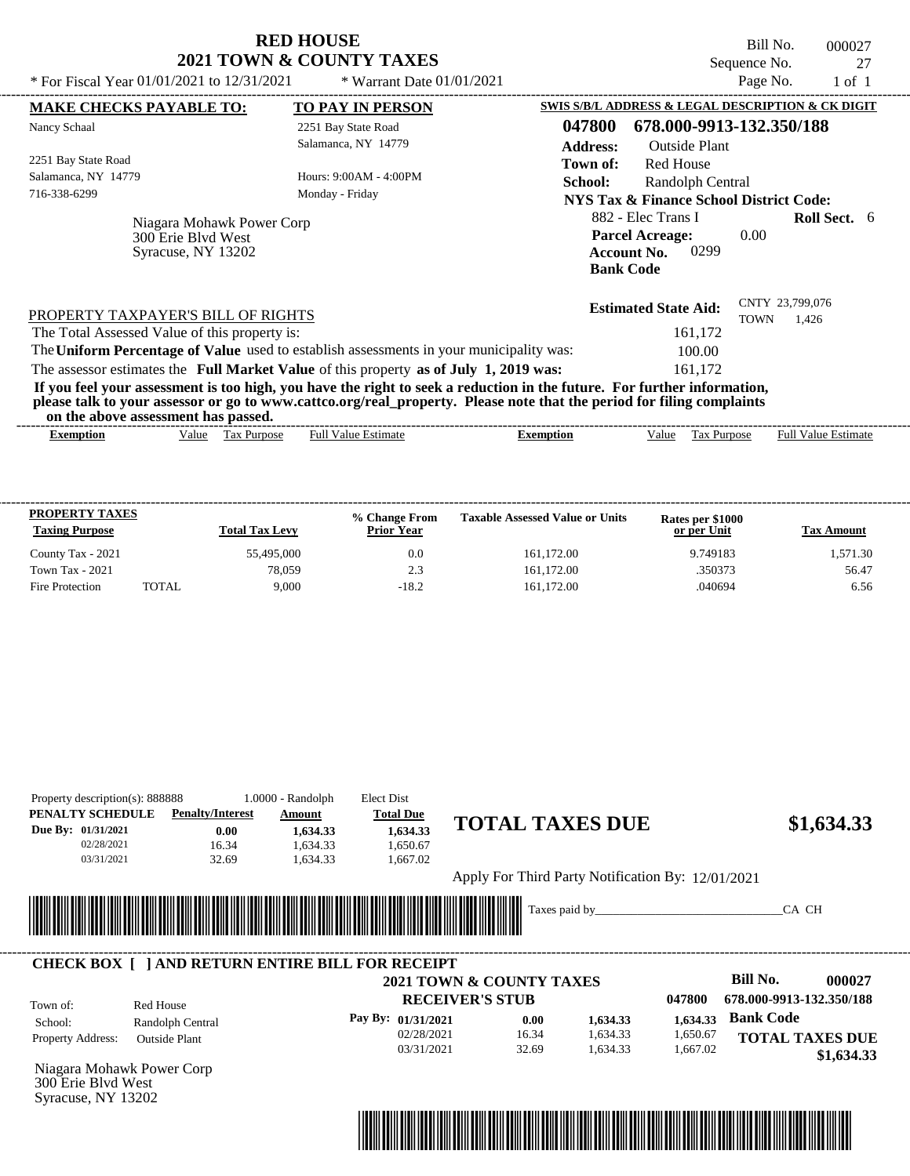|                                                                                                                         | <b>RED HOUSE</b><br>2021 TOWN & COUNTY TAXES |                                                                                                | Bill No.<br>Sequence No.       | 000027<br>27        |
|-------------------------------------------------------------------------------------------------------------------------|----------------------------------------------|------------------------------------------------------------------------------------------------|--------------------------------|---------------------|
| * For Fiscal Year $01/01/2021$ to $12/31/2021$                                                                          | * Warrant Date $01/01/2021$                  |                                                                                                | Page No.                       | $1$ of $1$          |
| <b>MAKE CHECKS PAYABLE TO:</b>                                                                                          | <b>TO PAY IN PERSON</b>                      | SWIS S/B/L ADDRESS & LEGAL DESCRIPTION & CK DIGIT                                              |                                |                     |
| Nancy Schaal                                                                                                            | 2251 Bay State Road                          | 047800<br>678.000-9913-132.350/188                                                             |                                |                     |
|                                                                                                                         | Salamanca, NY 14779                          | <b>Outside Plant</b><br><b>Address:</b>                                                        |                                |                     |
| 2251 Bay State Road                                                                                                     |                                              | <b>Red House</b><br>Town of:                                                                   |                                |                     |
| Salamanca, NY 14779                                                                                                     | Hours: $9:00AM - 4:00PM$                     | School:<br>Randolph Central                                                                    |                                |                     |
| 716-338-6299                                                                                                            | Monday - Friday                              | NYS Tax & Finance School District Code:                                                        |                                |                     |
| Niagara Mohawk Power Corp<br>300 Erie Blyd West<br>Syracuse, NY 13202                                                   |                                              | 882 - Elec Trans I<br><b>Parcel Acreage:</b><br>0299<br><b>Account No.</b><br><b>Bank Code</b> | 0.00                           | <b>Roll Sect.</b> 6 |
| PROPERTY TAXPAYER'S BILL OF RIGHTS                                                                                      |                                              | <b>Estimated State Aid:</b>                                                                    | CNTY 23,799,076<br><b>TOWN</b> | 1,426               |
| The Total Assessed Value of this property is:                                                                           |                                              | 161,172                                                                                        |                                |                     |
| The Uniform Percentage of Value used to establish assessments in your municipality was:                                 |                                              | 100.00                                                                                         |                                |                     |
| The assessor estimates the Full Market Value of this property as of July 1, 2019 was:                                   |                                              | 161,172                                                                                        |                                |                     |
| If you feel your assessment is too high, you have the right to seek a reduction in the future. For further information, |                                              |                                                                                                |                                |                     |

**please talk to your assessor or go to www.cattco.org/real\_property. Please note that the period for filing complaints**

| or | assessment<br>the<br>. adov | has   | passed       |                 |       |      |                                          |                             |
|----|-----------------------------|-------|--------------|-----------------|-------|------|------------------------------------------|-----------------------------|
|    | *xemption                   | √alue | аx<br>.rdose | Estimate<br>Ful | mtıon | alue | $\sim$<br>$v_{\text{UfDO}}$<br>151<br>__ | Full $V$<br>Estimate<br>alu |
|    |                             |       |              |                 |       |      |                                          |                             |

| <b>PROPERTY TAXES</b><br><b>Taxing Purpose</b> |              | <b>Total Tax Levy</b> | % Change From<br><b>Prior Year</b> | <b>Taxable Assessed Value or Units</b> | Rates per \$1000<br>or per Unit | <b>Tax Amount</b> |
|------------------------------------------------|--------------|-----------------------|------------------------------------|----------------------------------------|---------------------------------|-------------------|
| County Tax - 2021                              |              | 55,495,000            | 0.0                                | 161.172.00                             | 9.749183                        | 1.571.30          |
| <b>Town Tax - 2021</b>                         |              | 78.059                | 2.3                                | 161.172.00                             | .350373                         | 56.47             |
| Fire Protection                                | <b>TOTAL</b> | 9.000                 | $-18.2$                            | 161.172.00                             | .040694                         | 6.56              |

| Property description(s): 888888 |                                          |                         | $1.0000 - Random$ | Elect Dist                                                    |                                                   |          |          |                          |                        |
|---------------------------------|------------------------------------------|-------------------------|-------------------|---------------------------------------------------------------|---------------------------------------------------|----------|----------|--------------------------|------------------------|
| PENALTY SCHEDULE                |                                          | <b>Penalty/Interest</b> | Amount            | <b>Total Due</b>                                              |                                                   |          |          |                          |                        |
| Due By: 01/31/2021              |                                          | 0.00                    | 1,634.33          | 1,634.33                                                      | <b>TOTAL TAXES DUE</b>                            |          |          |                          | \$1,634.33             |
| 02/28/2021                      |                                          | 16.34                   | 1,634.33          | 1,650.67                                                      |                                                   |          |          |                          |                        |
| 03/31/2021                      |                                          | 32.69                   | 1,634.33          | 1,667.02                                                      |                                                   |          |          |                          |                        |
|                                 |                                          |                         |                   |                                                               | Apply For Third Party Notification By: 12/01/2021 |          |          |                          |                        |
|                                 |                                          |                         |                   |                                                               |                                                   |          |          |                          |                        |
|                                 |                                          |                         |                   |                                                               |                                                   |          |          | CA CH                    |                        |
|                                 |                                          |                         |                   |                                                               |                                                   |          |          |                          |                        |
|                                 |                                          |                         |                   | <u> 1989 - Andrea Stadt British, fransk politik (d. 1989)</u> |                                                   |          |          |                          |                        |
|                                 |                                          |                         |                   |                                                               |                                                   |          |          |                          |                        |
|                                 |                                          |                         |                   | <b>CHECK BOX     AND RETURN ENTIRE BILL FOR RECEIPT</b>       |                                                   |          |          |                          |                        |
|                                 |                                          |                         |                   |                                                               | <b>2021 TOWN &amp; COUNTY TAXES</b>               |          |          | Bill No.                 | 000027                 |
| Town of:                        | Red House                                |                         |                   |                                                               | <b>RECEIVER'S STUB</b>                            |          | 047800   | 678.000-9913-132.350/188 |                        |
| School:                         |                                          |                         |                   | Pay By: 01/31/2021                                            | 0.00                                              | 1,634.33 | 1,634.33 | <b>Bank Code</b>         |                        |
| Property Address:               | Randolph Central<br><b>Outside Plant</b> |                         |                   | 02/28/2021                                                    | 16.34                                             | 1,634.33 | 1,650.67 |                          | <b>TOTAL TAXES DUE</b> |



300 Erie Blvd West Syracuse, NY 13202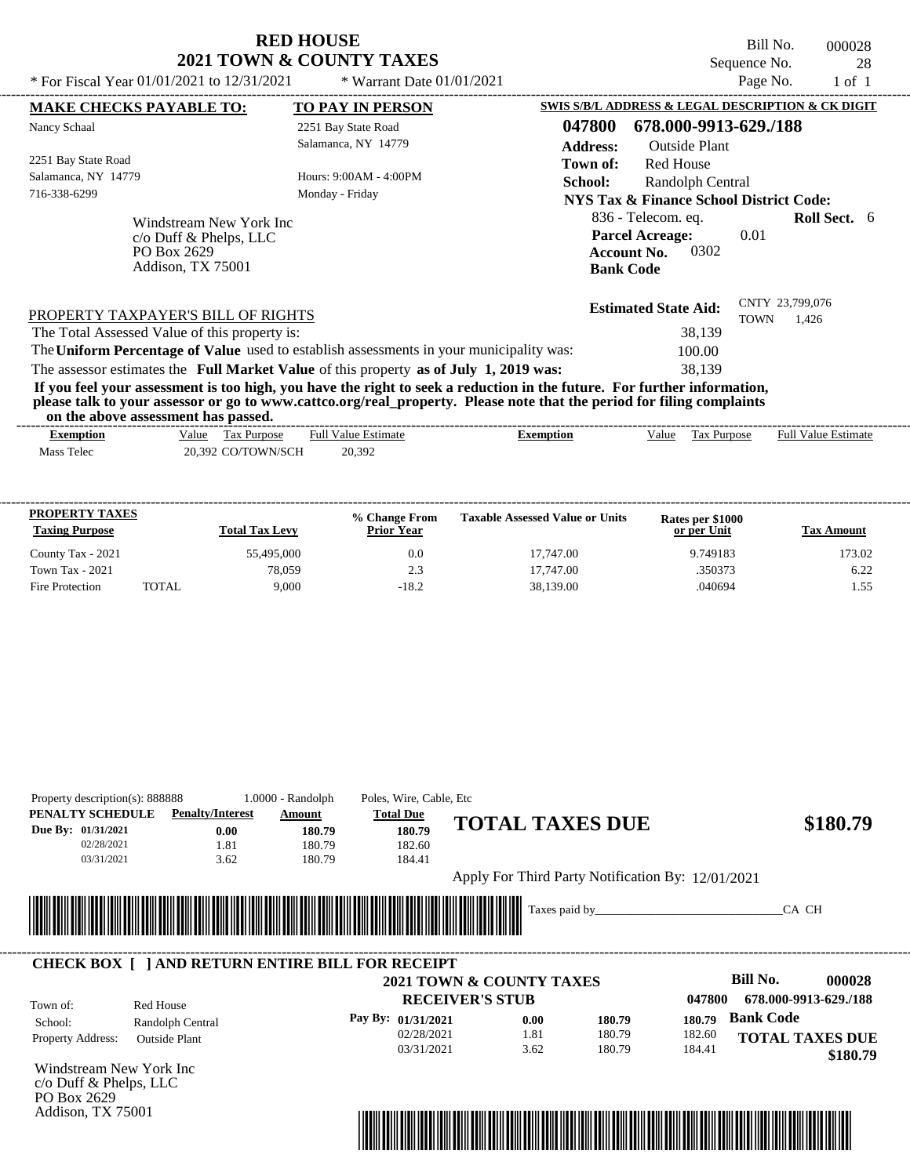Bill No. 000028 Sequence No. 28<br>Page No. 28<br>1 of 1

| * For Fiscal Year $01/01/2021$ to $12/31/2021$                                        | * Warrant Date $01/01/2021$                                                                                                                                                                                                                      |                                        |                                                                                     | Page No.                | 1 of 1              |  |
|---------------------------------------------------------------------------------------|--------------------------------------------------------------------------------------------------------------------------------------------------------------------------------------------------------------------------------------------------|----------------------------------------|-------------------------------------------------------------------------------------|-------------------------|---------------------|--|
| <b>MAKE CHECKS PAYABLE TO:</b>                                                        | <b>TO PAY IN PERSON</b>                                                                                                                                                                                                                          |                                        | SWIS S/B/L ADDRESS & LEGAL DESCRIPTION & CK DIGIT                                   |                         |                     |  |
| Nancy Schaal                                                                          | 2251 Bay State Road<br>Salamanca, NY 14779                                                                                                                                                                                                       | 047800<br><b>Address:</b>              | 678.000-9913-629./188<br>Outside Plant                                              |                         |                     |  |
| 2251 Bay State Road<br>Salamanca, NY 14779<br>716-338-6299                            | Hours: 9:00AM - 4:00PM<br>Monday - Friday                                                                                                                                                                                                        | Town of:<br><b>School:</b>             | Red House<br>Randolph Central<br><b>NYS Tax &amp; Finance School District Code:</b> |                         |                     |  |
| Windstream New York Inc<br>$c$ Duff & Phelps, LLC<br>PO Box 2629<br>Addison, TX 75001 |                                                                                                                                                                                                                                                  | <b>Account No.</b><br><b>Bank Code</b> | 836 - Telecom. eq.<br><b>Parcel Acreage:</b><br>0302                                | 0.01                    | <b>Roll Sect.</b> 6 |  |
| PROPERTY TAXPAYER'S BILL OF RIGHTS<br>The Total Assessed Value of this property is:   |                                                                                                                                                                                                                                                  |                                        | <b>Estimated State Aid:</b><br>38,139                                               | CNTY 23,799,076<br>TOWN | 1,426               |  |
|                                                                                       | The Uniform Percentage of Value used to establish assessments in your municipality was:                                                                                                                                                          |                                        | 100.00                                                                              |                         |                     |  |
|                                                                                       | The assessor estimates the Full Market Value of this property as of July 1, 2019 was:                                                                                                                                                            |                                        | 38,139                                                                              |                         |                     |  |
| on the above assessment has passed.                                                   | If you feel your assessment is too high, you have the right to seek a reduction in the future. For further information,<br>please talk to your assessor or go to www.cattco.org/real_property. Please note that the period for filing complaints |                                        |                                                                                     |                         |                     |  |

| vn me above assessment nas basseu. |                                   |                                 |           |       |                          |                               |
|------------------------------------|-----------------------------------|---------------------------------|-----------|-------|--------------------------|-------------------------------|
| Exemption                          | Value<br>$\sim$<br>rax<br>Purpose | <b>Estimate</b><br>ەئتا<br>Full | ∠xemption | Value | $\sim$<br>Purpose<br>Гaх | <b>Full Value</b><br>Estimate |
| <b>CONTINUES</b><br>Mass<br>Telec  | CO/TOWN/SCH<br>392<br>20          | 20,392                          |           |       |                          |                               |
|                                    |                                   |                                 |           |       |                          |                               |

| <b>PROPERTY TAXES</b><br><b>Taxing Purpose</b> |       | <b>Total Tax Levy</b> | % Change From<br><b>Prior Year</b> | <b>Taxable Assessed Value or Units</b> | Rates per \$1000<br>or per Unit | <b>Tax Amount</b> |
|------------------------------------------------|-------|-----------------------|------------------------------------|----------------------------------------|---------------------------------|-------------------|
| County Tax - 2021                              |       | 55,495,000            | 0.0                                | 17.747.00                              | 9.749183                        | 173.02            |
| <b>Town Tax - 2021</b>                         |       | 78,059                | 2.3                                | 17,747.00                              | .350373                         | 6.22              |
| Fire Protection                                | TOTAL | 9.000                 | $-18.2$                            | 38,139.00                              | .040694                         | . . 55            |

| PENALTY SCHEDULE        | <b>Penalty/Interest</b>                                | Amount                      | <b>Total Due</b>         | <b>TOTAL TAXES DUE</b> |                                                   |        |                  | \$180.79               |
|-------------------------|--------------------------------------------------------|-----------------------------|--------------------------|------------------------|---------------------------------------------------|--------|------------------|------------------------|
| Due By: 01/31/2021      | 0.00                                                   | 180.79                      | 180.79                   |                        |                                                   |        |                  |                        |
| 02/28/2021              | 1.81                                                   | 180.79                      | 182.60                   |                        |                                                   |        |                  |                        |
| 03/31/2021              | 3.62                                                   | 180.79                      | 184.41                   |                        |                                                   |        |                  |                        |
|                         |                                                        |                             |                          |                        | Apply For Third Party Notification By: 12/01/2021 |        |                  |                        |
|                         |                                                        |                             |                          |                        |                                                   |        |                  |                        |
|                         |                                                        |                             |                          |                        |                                                   |        |                  | CA CH                  |
|                         |                                                        |                             |                          |                        |                                                   |        |                  |                        |
|                         |                                                        | <u> Tanzania (h. 1888).</u> |                          |                        |                                                   |        |                  |                        |
|                         |                                                        |                             |                          |                        |                                                   |        |                  |                        |
|                         | <b>CHECK BOX   JAND RETURN ENTIRE BILL FOR RECEIPT</b> |                             |                          |                        |                                                   |        |                  |                        |
|                         |                                                        |                             | 2021 TOWN & COUNTY TAXES |                        |                                                   |        | Bill No.         | 000028                 |
|                         |                                                        |                             | <b>RECEIVER'S STUB</b>   |                        |                                                   | 047800 |                  | 678.000-9913-629./188  |
| Town of:                | Red House                                              |                             | Pay By: 01/31/2021       | 0.00                   | 180.79                                            | 180.79 | <b>Bank Code</b> |                        |
| School:                 | Randolph Central                                       |                             | 02/28/2021               | 1.81                   | 180.79                                            | 182.60 |                  |                        |
| Property Address:       | <b>Outside Plant</b>                                   |                             | 03/31/2021               | 3.62                   | 180.79                                            | 184.41 |                  | <b>TOTAL TAXES DUE</b> |
| Windstream New York Inc |                                                        |                             |                          |                        |                                                   |        |                  | \$180.79               |

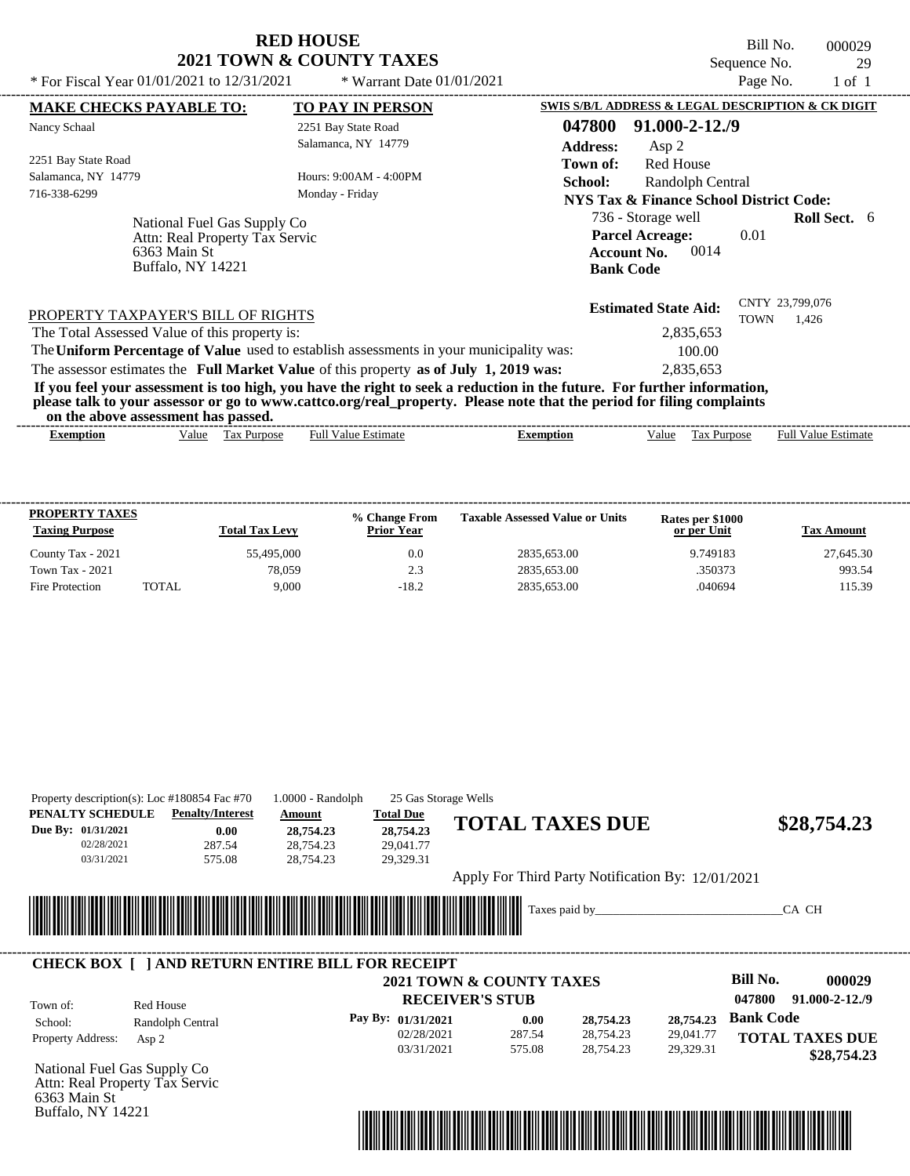| <b>RED HOUSE</b>                    |
|-------------------------------------|
| <b>2021 TOWN &amp; COUNTY TAXES</b> |

Bill No. 000029 Sequence No. 29<br>Page No. 1 of 1

| * For Fiscal Year 01/01/2021 to 12/31/2021                                                                                                                                                                                                                              |                                | * Warrant Date 01/01/2021  |                                                                                                                         |                                                                 | Page No.    | $1$ of $1$                 |  |
|-------------------------------------------------------------------------------------------------------------------------------------------------------------------------------------------------------------------------------------------------------------------------|--------------------------------|----------------------------|-------------------------------------------------------------------------------------------------------------------------|-----------------------------------------------------------------|-------------|----------------------------|--|
| <b>MAKE CHECKS PAYABLE TO:</b>                                                                                                                                                                                                                                          |                                | <b>TO PAY IN PERSON</b>    |                                                                                                                         | SWIS S/B/L ADDRESS & LEGAL DESCRIPTION & CK DIGIT               |             |                            |  |
| Nancy Schaal                                                                                                                                                                                                                                                            |                                | 2251 Bay State Road        | 047800                                                                                                                  | $91,000 - 2 - 12,79$                                            |             |                            |  |
|                                                                                                                                                                                                                                                                         |                                | Salamanca, NY 14779        | <b>Address:</b>                                                                                                         | Asp 2                                                           |             |                            |  |
| 2251 Bay State Road                                                                                                                                                                                                                                                     |                                |                            | Town of:                                                                                                                | <b>Red House</b>                                                |             |                            |  |
| Salamanca, NY 14779                                                                                                                                                                                                                                                     |                                | Hours: 9:00AM - 4:00PM     | School:                                                                                                                 | Randolph Central                                                |             |                            |  |
| 716-338-6299                                                                                                                                                                                                                                                            |                                | Monday - Friday            |                                                                                                                         | NYS Tax & Finance School District Code:                         |             |                            |  |
|                                                                                                                                                                                                                                                                         | National Fuel Gas Supply Co    |                            |                                                                                                                         | 736 - Storage well                                              |             | <b>Roll Sect.</b> 6        |  |
|                                                                                                                                                                                                                                                                         | Attn: Real Property Tax Servic |                            |                                                                                                                         | <b>Parcel Acreage:</b>                                          | 0.01        |                            |  |
| 6363 Main St                                                                                                                                                                                                                                                            |                                |                            |                                                                                                                         | 0014<br><b>Account No.</b>                                      |             |                            |  |
|                                                                                                                                                                                                                                                                         | Buffalo, NY 14221              |                            |                                                                                                                         | <b>Bank Code</b>                                                |             |                            |  |
| PROPERTY TAXPAYER'S BILL OF RIGHTS<br>The Total Assessed Value of this property is:<br>The Uniform Percentage of Value used to establish assessments in your municipality was:<br>The assessor estimates the Full Market Value of this property as of July 1, 2019 was: |                                |                            | If you feel your assessment is too high, you have the right to seek a reduction in the future. For further information, | <b>Estimated State Aid:</b><br>2,835,653<br>100.00<br>2,835,653 | <b>TOWN</b> | CNTY 23,799,076<br>1.426   |  |
| on the above assessment has passed.                                                                                                                                                                                                                                     |                                |                            | please talk to your assessor or go to www.cattco.org/real_property. Please note that the period for filing complaints   |                                                                 |             |                            |  |
| <b>Exemption</b>                                                                                                                                                                                                                                                        | Value Tax Purpose              | <b>Full Value Estimate</b> | <b>Exemption</b>                                                                                                        | Value<br>Tax Purpose                                            |             | <b>Full Value Estimate</b> |  |
| PROPERTY TAXES                                                                                                                                                                                                                                                          |                                | % Change From              | <b>Taxable Assessed Value or Units</b>                                                                                  | Rates per \$1000                                                |             |                            |  |
| <b>Taxing Purpose</b>                                                                                                                                                                                                                                                   | <b>Total Tax Levy</b>          | <b>Prior Year</b>          |                                                                                                                         | or per Unit                                                     |             | <b>Tax Amount</b>          |  |

County Tax - 2021 55,495,000 55,495,000 0.0 2835,653.00 9.749183 27,645.30 Town Tax - 2021 2835,653.00 2.3 2835,653.00 2.3 2835,653.00 350373 993.54 Fire Protection TOTAL 9,000 -18.2 2835,653.00 040694 115.39

|                                                                    | Property description(s): Loc $\#180854$ Fac $\#70$  | $1.0000 - Random$                                       | 25 Gas Storage Wells                                    |                                                   |               |           |                           |
|--------------------------------------------------------------------|-----------------------------------------------------|---------------------------------------------------------|---------------------------------------------------------|---------------------------------------------------|---------------|-----------|---------------------------|
| PENALTY SCHEDULE<br>Due By: 01/31/2021<br>02/28/2021<br>03/31/2021 | <b>Penalty/Interest</b><br>0.00<br>287.54<br>575.08 | Amount<br>28,754.23<br>28,754.23<br>28,754.23           | <b>Total Due</b><br>28,754.23<br>29,041.77<br>29,329.31 | <b>TOTAL TAXES DUE</b>                            |               |           | \$28,754.23               |
|                                                                    |                                                     |                                                         |                                                         | Apply For Third Party Notification By: 12/01/2021 |               |           |                           |
|                                                                    |                                                     |                                                         |                                                         |                                                   | Taxes paid by |           | CA CH                     |
|                                                                    |                                                     |                                                         |                                                         |                                                   |               |           |                           |
|                                                                    |                                                     | <b>CHECK BOX [ ] AND RETURN ENTIRE BILL FOR RECEIPT</b> |                                                         | <b>2021 TOWN &amp; COUNTY TAXES</b>               |               |           | <b>Bill No.</b><br>000029 |
|                                                                    |                                                     |                                                         |                                                         | <b>RECEIVER'S STUB</b>                            |               |           | 047800<br>91.000-2-12./9  |
| Town of:<br>School:                                                | Red House<br>Randolph Central                       |                                                         | Pay By: 01/31/2021                                      | 0.00                                              | 28,754.23     | 28,754.23 | <b>Bank Code</b>          |

Attn: Real Property Tax Servic 6363 Main St Buffalo, NY 14221